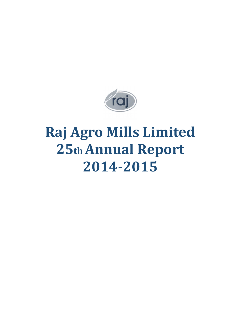

# **Raj Agro Mills Limited 25th Annual Report 2014-2015**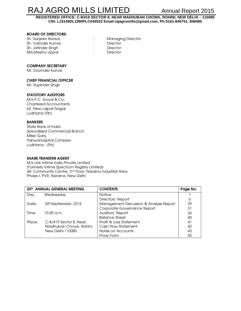**REGISTERED OFFICE: C-8/419 SECTOR 8, NEAR MADHUBAN CHOWK, ROHINI, NEW DELHI – 110085 CIN: L15149DL1990PLC040532 Email:rajagromills@gmail.com, Ph:0161-846751, 846085** 

#### BOARD OF DIRECTORS:

| Sh. Sanjeev Bansal | <b>Managing Director</b> |
|--------------------|--------------------------|
| Sh. Varinder Kumar | Director                 |
| Sh. Jatinder Singh | Director                 |
| Mrs.Meenu Uppal    | Director                 |

#### COMPANY SECRETARY

Mr. Davinder Kumar

#### CHIEF FINANCIAL OFFICER

Mr. Rupinder Singh

#### STATUTORY AUDITORS

M/s P.C. Goyal & Co; Chartered Accountants 62, New Lajpat Nagar Ludhiana (Pb)

#### BANKERS

State Bank of India Specialised Commercial Branch Miller Ganj, PahwaHospital Complex Ludhiana - (Pb)

#### SHARE TRANSFER AGENT

M/s Link Intime India Private Limited (Formerly Intime Spectrum Registry Limited) 44- Community Centre, 2<sup>nd</sup> Floor, Naraina Industrial Area Phase-I, PVR, Naraina, New Delhi

|        | 25th ANNUAL GENERAL MEETING | <b>CONTENTS</b>                         | Page No. |
|--------|-----------------------------|-----------------------------------------|----------|
| Day:   | Wednesday                   | <b>Notice</b>                           |          |
|        |                             | Directors' Report                       | 6        |
| Date:  | 30thSeptember, 2015         | Management Discussion & Analysis Report | 29       |
|        |                             | Corporate Governance Report             | 31       |
| Time:  | 10.00 a.m.                  | Auditors' Report                        | 36       |
|        |                             | <b>Balance Sheet</b>                    | 40       |
| Place: | C-8/419 Sector 8, Near      | Profit & Loss Statement                 | 41       |
|        | Madhuban Chowk, Rohini,     | Cash Flow Statement                     | 42       |
|        | New Delhi-110085            | Notes on Accounts                       | 43       |
|        |                             | Proxy Form                              | 55       |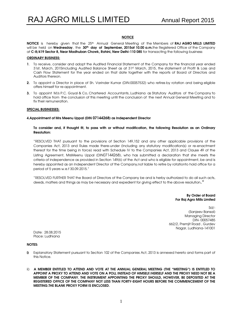#### **NOTICE**

NOTICE is hereby given that the 25<sup>th</sup> Annual General Meeting of the Members of RAJ AGRO MILLS LIMITED will be held on Wednesday, the 30<sup>th</sup> day of September, 2015at 10.00 a.m.the Registered Office of the Company at C-8/419 Sector 8, Near Madhuban Chowk, Rohini, New Delhi-110 085 for transacting the following business:

#### ORDINARY BUSINESS:

- 1. To receive, consider and adopt the Audited Financial Statement of the Company for the financial year ended 31st, March, 2015including Audited Balance Sheet as at 31st, March, 2015, the statement of Profit & Loss and Cash Flow Statement for the year ended on that date together with the reports of Board of Directors and Auditors thereon.
- 2. To appoint a Director in place of Sh. Varinder Kumar (DIN:00057532) who retires by rotation and being eligible offers himself for re-appointment.
- 3. To appoint M/s P.C. Goyal & Co, Chartered Accountants, Ludhiana as Statutory Auditors of the Company to hold office from the conclusion of this meeting until the conclusion of the next Annual General Meeting and to fix their remuneration.

#### SPECIAL BUSINESSES:

#### 4.Appointment of Mrs Meenu Uppal (DIN 07144268) as Independent Director

#### To consider and, if thought fit, to pass with or without modification, the following Resolution as an Ordinary Resolution:

"RESOLVED THAT pursuant to the provisions of Section 149,152 and any other applicable provisions of the Companies Act, 2013 and Rules made there-under (Including any statutory modification(s) or re-enactment thereof for the time being in force) read with Schedule IV to the Companies Act, 2013 and Clause 49 of the Listing Agreement, MrsMeenu Uppal (DIN07144268), who has submitted a declaration that she meets the criteria of independence as provided in Section 149(6) of the Act and who is eligible for appointment, be and is hereby appointed as an Independent Director of the Company,not liable to retire by rotationto hold office for a period of 5 years w.e.f 30.09.2015."

"RESOLVED FURTHER THAT the Board of Directors of the Company be and is herby authorized to do all such acts, deeds, matters and things as may be necessary and expedient for giving effect to the above resolution."

> By Order of Board For Raj Agro Mills Limited

Sd/- (Sanjeev Bansal) Managing Director DIN- 00057485 662/2, Premjit Road , Gurdev Nagar, Ludhiana-141001

Date: 28.08.2015 Place: Ludhiana

#### NOTES:

- i) Explanatory Statement pursuant to Section 102 of the Companies Act, 2013 is annexed hereto and forms part of this Notice.
- ii) A MEMBER ENTITLED TO ATTEND AND VOTE AT THE ANNUAL GENERAL MEETING (THE "MEETING") IS ENTITLED TO APPOINT A PROXY TO ATTEND AND VOTE ON A POLL INSTEAD OF HIMSELF/HERSELF AND THE PROXY NEED NOT BE A MEMBER OF THE COMPANY. THE INSTRUMENT APPOINTING THE PROXY SHOULD, HOWEVER, BE DEPOSITED AT THE REGISTERED OFFICE OF THE COMPANY NOT LESS THAN FORTY-EIGHT HOURS BEFORE THE COMMENCEMENT OF THE MEETING.THE BLANK PROXY FORM IS ENCLOSED.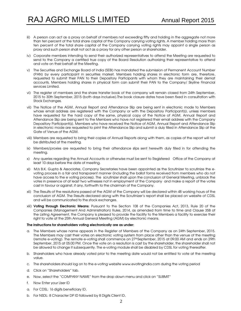- iii) A person can act as a proxy on behalf of members not exceeding fifty and holding in the aggregate not more than ten percent of the total share capital of the Company carrying voting rights. A member holding more than ten percent of the total share capital of the Company carrying voting rights may appoint a single person as proxy and such person shall not act as a proxy for any other person or shareholder.
- iv) Corporate members intending to send their authorized representatives to attend the Meeting are requested to send to the Company a certified true copy of the Board Resolution authorizing their representative to attend and vote on their behalf at the Meeting.
- v) The Securities and Exchange Board of India (SEBI) has mandated the submission of Permanent Account Number (PAN) by every participant in securities market. Members holding shares in electronic form are, therefore, requested to submit their PAN to their Depository Participants with whom they are maintaining their demat accounts. Members holding shares in physical form can submit their PAN to the Company/ Skyline Financial services Limited.
- vi) The register of members and the share transfer book of the company will remain closed from 24th September, 2015 to 30th September, 2015 (both days inclusive).The book closure dates have been fixed in consultation with Stock Exchanges.
- vii) The Notice of the AGM, Annual Report and Attendance Slip are being sent in electronic mode to Members whose email address are registered with the Company or with the Depository Participant(s), unless members have requested for the hard copy of the same, physical copy of the Notice of AGM, Annual Report and Attendance Slip are being sent to the Members who have not registered their email address with the Company Depository Participant(s). Members who have received the Notice of AGM, Annual Report and Attendance Slip in electronic mode are requested to print the Attendance Slip and submit a duly filled in Attendance Slip at the Gate of Venue of the AGM.
- viii) Members are requested to bring their copies of Annual Reports along with them, as copies of the report will not be distributed at the meeting.
- ix) Members/proxies are requested to bring their attendance slips sent herewith duly filled in for attending the meeting.
- x) Any queries regarding the Annual Accounts or otherwise must be sent to Registered Office of the Company at least 10 days before the date of meeting.
- xi) M/s B.K. Gupta & Associates, Company Secretaries have been appointed as the Scrutinizer to scrutinize the evoting process in a fair and transparent manner (including the ballot forms received from members who do not have access to the e voting process). The scrutinizer shall upon the conclusion of General Meeting, unblock the votes in presence of at least two witnesses not in employment of the Company and make a report of the votes cast in favour or against, if any, forthwith to the chairman of the Company.
- xii) The Results of the resolutions passed at the AGM of the Company will be declared within 48 working hours of the conclusion of AGM. The Results declared along with the Scrutinizer's report shall be placed on website of CDSL and will be communicated to the stock exchanges.
- xiii) Voting through Electronic Means: Pursuant to the Section 108 of the Companies Act, 2013, Rule 20 of the Companies (Management And Administration) Rules, 2014, as amended from time to time and Clause 35B of the Listing Agreement, the Company is pleased to provide the facility to the Members a facility to exercise their right to vote at the 25th Annual General Meeting (AGM) by electronic means.

#### The instructions for shareholders voting electronically are as under:

- a. The Members whose name appears in the Register of Members of the Company as on 24th September, 2015. The Members may cast their votes on electronic voting system from place other than the venue of the meeting (remote e-voting). The remote e-voting shall commence on 27thSeptember, 2015 at 09:00 AM and ends on 29th September, 2015 at 05:00 PM. Once the vote on a resolution is cast by the shareholder, the shareholder shall not be allowed to change it subsequently. The e-voting module shall be disabled by CDSL for voting thereafter.
- b. Shareholders who have already voted prior to the meeting date would not be entitled to vote at the meeting value.
- c. The shareholders should log on to the e-voting website www.evotingindia.com during the voting period
- d. Click on "Shareholders" tab.
- e. Now, select the "COMPANY NAME" from the drop down menu and click on "SUBMIT"
- f. Now Enter your User ID
- a. For CDSL: 16 digits beneficiary ID,
- b. For NSDL: 8 Character DP ID followed by 8 Digits Client ID,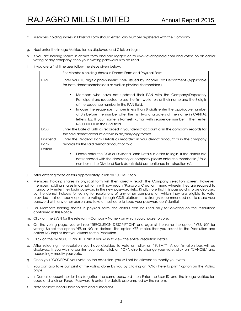- c. Members holding shares in Physical Form should enter Folio Number registered with the Company.
- g. Next enter the Image Verification as displayed and Click on Login.
- h. If you are holding shares in demat form and had logged on to www.evotingindia.com and voted on an earlier voting of any company, then your existing password is to be used.
- i. If you are a first time user follow the steps given below:

|                 | For Members holding shares in Demat Form and Physical Form                                                                                                                                                                                                                                                                                                                                                                                                                                             |
|-----------------|--------------------------------------------------------------------------------------------------------------------------------------------------------------------------------------------------------------------------------------------------------------------------------------------------------------------------------------------------------------------------------------------------------------------------------------------------------------------------------------------------------|
| <b>PAN</b>      | Enter your 10 digit alpha-numeric *PAN issued by Income Tax Department (Applicable<br>for both demat shareholders as well as physical shareholders)                                                                                                                                                                                                                                                                                                                                                    |
|                 | Members who have not updated their PAN with the Company/Depository<br>Participant are requested to use the first two letters of their name and the 8 digits<br>of the sequence number in the PAN field.<br>In case the sequence number is less than 8 digits enter the applicable number<br>$\bullet$<br>of 0's before the number after the first two characters of the name in CAPITAL<br>letters. Eg. If your name is Ramesh Kumar with sequence number 1 then enter<br>RA00000001 in the PAN field. |
| <b>DOB</b>      | Enter the Date of Birth as recorded in your demat account or in the company records for                                                                                                                                                                                                                                                                                                                                                                                                                |
|                 | the said demat account or folio in dd/mm/yyyy format.                                                                                                                                                                                                                                                                                                                                                                                                                                                  |
| <b>Dividend</b> | Enter the Dividend Bank Details as recorded in your demat account or in the company                                                                                                                                                                                                                                                                                                                                                                                                                    |
| <b>Bank</b>     | records for the said demat account or folio.                                                                                                                                                                                                                                                                                                                                                                                                                                                           |
| <b>Details</b>  |                                                                                                                                                                                                                                                                                                                                                                                                                                                                                                        |
|                 | Please enter the DOB or Dividend Bank Details in order to login. If the details are<br>٠<br>not recorded with the depository or company please enter the member id / folio<br>number in the Dividend Bank details field as mentioned in instruction (v).                                                                                                                                                                                                                                               |

- j. After entering these details appropriately, click on "SUBMIT" tab.
- k. Members holding shares in physical form will then directly reach the Company selection screen. However, members holding shares in demat form will now reach 'Password Creation' menu wherein they are required to mandatorily enter their login password in the new password field. Kindly note that this password is to be also used by the demat holders for voting for resolutions of any other company on which they are eligible to vote, provided that company opts for e-voting through CDSL platform. It is strongly recommended not to share your password with any other person and take utmost care to keep your password confidential.
- l. For Members holding shares in physical form, the details can be used only for e-voting on the resolutions contained in this Notice.
- m. Click on the EVSN for the relevant <Company Name> on which you choose to vote.
- n. On the voting page, you will see "RESOLUTION DESCRIPTION" and against the same the option "YES/NO" for voting. Select the option YES or NO as desired. The option YES implies that you assent to the Resolution and option NO implies that you dissent to the Resolution.
- o. Click on the "RESOLUTIONS FILE LINK" if you wish to view the entire Resolution details.
- p. After selecting the resolution you have decided to vote on, click on "SUBMIT". A confirmation box will be displayed. If you wish to confirm your vote, click on "OK", else to change your vote, click on "CANCEL" and accordingly modify your vote.
- q. Once you "CONFIRM" your vote on the resolution, you will not be allowed to modify your vote.
- r. You can also take out print of the voting done by you by clicking on "Click here to print" option on the Voting page.
- s. If Demat account holder has forgotten the same password then Enter the User ID and the image verification code and click on Forgot Password & enter the details as prompted by the system.
- t. Note for Institutional Shareholders and custodians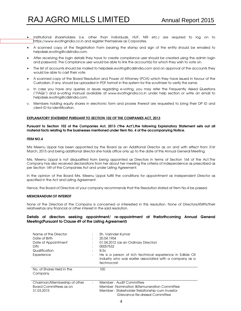- Institutional shareholders (i.e. other than Individuals, HUF, NRI etc.) are required to log on to https://www.evotingindia.co.in and register themselves as Corporates.
- A scanned copy of the Registration Form bearing the stamp and sign of the entity should be emailed to helpdesk.evoting@cdslindia.com.
- After receiving the login details they have to create compliance user should be created using the admin login and password. The Compliance user would be able to link the account(s) for which they wish to vote on.
- The list of accounts should be mailed to helpdesk.evoting@cdslindia.com and on approval of the accounts they would be able to cast their vote.
- A scanned copy of the Board Resolution and Power of Attorney (POA) which they have issued in favour of the Custodian, if any, should be uploaded in PDF format in the system for the scrutinizer to verify the same.
- u. In case you have any queries or issues regarding e-voting, you may refer the Frequently Asked Questions ("FAQs") and e-voting manual available at www.evotingindia.co.in under help section or write an email to helpdesk.evoting@cdslindia.com.
- v. Members holding equity shares in electronic form and proxies thereof are requested to bring their DP ID and client ID for identification.

#### EXPLANATORY STATEMENT PURSUANT TO SECTION 102 OF THE COMPANIES ACT, 2013

#### Pursuant to Section 102 of the Companies Act, 2013 ('the Act'),the following Explanatory Statement sets out all material facts relating to the businesses mentioned under Item No. 4 of the accompanying Notice.

#### ITEM NO.4

Mrs Meenu Uppal has been appointed by the Board as an Additional Director as on and with effect from 31st March, 2015 and being additional director she holds office only up to the date of this Annual General Meeting.

Mrs. Meenu Uppal is not disqualified from being appointed as Directors in terms of Section 164 of the Act.The Company has also received declarations from her about her meeting the criteria of independence as prescribed as per Section 149 of the Companies Act and under Listing Agreement.

In the opinion of the Board Mrs. Meenu Uppal fulfill the conditions for appointment as Independent Director as specified in the Act and Listing Agreement.

Hence, the Board of Directors of your company recommends that the Resolution stated at Item No.4 be passed.

#### MEMORANDUM OF INTEREST

None of the Directors of the Company is concerned or interested in this resolution. None of Directors/KMPs/their relativeshas any financial or other interest in the said resolution.

#### Details of directors seeking appointment/ re-appointment at theforthcoming Annual General Meeting(Pursuant to Clause 49 of the Listing Agreement)

| Name of the Director<br>Date of Birth<br>Date of Appointment<br><b>DIN</b><br>Qualification<br>Experience | $\bullet$<br>$\bullet$<br>$\bullet$<br>$\cdot$<br>٠.<br>$\mathbf{r}$<br>÷ | Sh. Varinder Kumar<br>20.04.1954<br>01.04.2012 (as an Ordinary Director)<br>00057532<br>B.Sc<br>He is a person of rich technical experience in Edible Oil<br>Industry who was earlier associated with a company as a<br>technocrat. |
|-----------------------------------------------------------------------------------------------------------|---------------------------------------------------------------------------|-------------------------------------------------------------------------------------------------------------------------------------------------------------------------------------------------------------------------------------|
| No. of Shares Held in the<br>Company                                                                      |                                                                           | 100                                                                                                                                                                                                                                 |
| Chairman/Membership of other<br>Board Committees as on<br>31.03.2015                                      | ÷                                                                         | Member - Audit Committee<br>Member -Nomination & Remuneration Committee<br>Member - Stakeholder Relationship cum Investor<br>Grievance Re-dressal Committee                                                                         |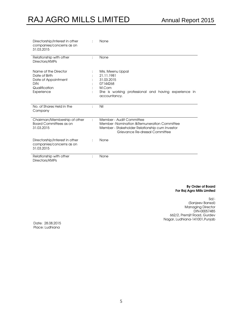| Directorship/Interest in other<br>companies/concerns as on<br>31.03.2015                                  |   | None                                                                                                                                                         |
|-----------------------------------------------------------------------------------------------------------|---|--------------------------------------------------------------------------------------------------------------------------------------------------------------|
| Relationship with other<br>Directors/KMPs                                                                 | ÷ | None                                                                                                                                                         |
| Name of the Director<br>Date of Birth<br>Date of Appointment<br><b>DIN</b><br>Qualification<br>Experience | ÷ | Mrs. Meenu Uppal<br>21.11.1981<br>31.03.2015<br>07144268<br>M.Com<br>She is working professional and having experience in<br>accountancy.                    |
| No. of Shares Held in the<br>Company                                                                      | ٠ | Nil                                                                                                                                                          |
| Chairman/Membership of other<br>Board Committees as on<br>31.03.2015                                      | ÷ | Member - Audit Committee<br>Member - Nomination & Remuneration Committee<br>Member - Stakeholder Relationship cum Investor<br>Grievance Re-dressal Committee |
| Directorship/Interest in other<br>companies/concerns as on<br>31.03.2015                                  | ÷ | None                                                                                                                                                         |
| Relationship with other<br>Directors/KMPs                                                                 |   | None                                                                                                                                                         |

#### By Order of Board For Raj Agro Mills Limited

Sd/-

(Sanjeev Bansal) Managing Director DIN-00057485 662/2, Premjit Road, Gurdev Nagar, Ludhiana-141001,Punjab

Date: 28.08.2015 Place: Ludhiana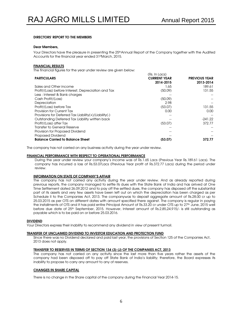#### DIRECTORS' REPORT TO THE MEMBERS

#### Dear Members,

Your Directors have the pleasure in presenting the 25<sup>th</sup>Annual Report of the Company together with the Audited Accounts for the financial year ended 31stMarch, 2015.

#### FINANCIAL RESULTS

The financial figures for the year under review are given below:

|                                                              | (Rs. In Lacs)       |                      |  |  |  |  |  |  |
|--------------------------------------------------------------|---------------------|----------------------|--|--|--|--|--|--|
| <b>PARTICULARS</b>                                           | <b>CURRENT YEAR</b> | <b>PREVIOUS YEAR</b> |  |  |  |  |  |  |
|                                                              | 2014-2015           | 2013-2014            |  |  |  |  |  |  |
| Sales and Other income                                       | 1.65                | 189.61               |  |  |  |  |  |  |
| Profit/(Loss) before Interest, Depreciation and Tax          | (50.09)             | 131.55               |  |  |  |  |  |  |
| Less : Interest & Bank charges                               |                     |                      |  |  |  |  |  |  |
| Cash Profit/(Loss)                                           | (50.09)             |                      |  |  |  |  |  |  |
| Depreciation                                                 | 2.98                |                      |  |  |  |  |  |  |
| Profit/(Loss) before Tax                                     | (53.07)             | 131.55               |  |  |  |  |  |  |
| Provision for Current Tax                                    | 0.00                | 0.00                 |  |  |  |  |  |  |
| Provisions for Deferred Tax Liability $(+)$ /Liability $(-)$ |                     |                      |  |  |  |  |  |  |
| Outstanding Deferred Tax Liability written back              |                     | $-241.22$            |  |  |  |  |  |  |
| Profit/(Loss) after Tax                                      | (53.07)             | 372.77               |  |  |  |  |  |  |
| Transfer to General Reserve                                  |                     |                      |  |  |  |  |  |  |
| Provision for Proposed Dividend                              |                     |                      |  |  |  |  |  |  |
| <b>Proposed Dividend</b>                                     |                     |                      |  |  |  |  |  |  |
| <b>Balance Carried to Balance Sheet</b>                      | (53.07)             | 372.77               |  |  |  |  |  |  |

The company has not carried on any business activity during the year under review.

#### FINANCIAL PERFORMANCE WITH RESPECT TO OPERATIONAL PERFORMANCE

During the year under review your company's income was of Rs.1.65 Lacs (Previous Year Rs.189.61 Lacs). The company has incurred a loss of Rs.53.07Lacs (Previous Year profit of Rs.372.77 Lacs) during the period under review.

#### INFORMATION ON STATE OF COMPANY'S AFFAIR

The company has not carried any activity during the year under review. And as already reported during previous reports, the company managed to settle its dues with the State Bank of India and has arrived at One Time Settlement dated 26.09.2012 and to pay off the settled dues, the company has disposed off the substantial part of its assets and very few assets have been left out on which the depreciation has been charged as per Schedule II to the Companies Act, 2013. The companywas to deposit aggregate amount of Rs.28.00 cr up to 25.03.2015 as per OTS on different dates with amount specified there against. The company is regular in paying the installments of OTS and it has paid entire Principal Amount of Rs.33.20 cr under OTS up to 27th June, 2015 well before due date of 25<sup>th</sup> September, 2015. However, Interest amount of Rs.2,85,24,915/- is still outstanding as payable which is to be paid on or before 25.03.2016.

#### DIVIDEND

Your Directors express their inability to recommend any dividend in view of present turmoil.

#### TRANSFER OF UNCLAIMED DIVIDEND TO INVESTOR EDUCATION AND PROTECTION FUND

Since there was no Dividend declared and paid last year, the provisions of Section 125 of the Companies Act, 2013 does not apply.

#### TRANSFER TO RESERVES IN TERMS OF SECTION 134 (3) (J) OF THE COMPANIES ACT, 2013

The company has not carried on any activity since the last more than five years rather the assets of the company had been disposed off to pay off State Bank of India's liability; therefore, the Board expresses its inability to propose to carry any amount to any of reserves.

#### CHANGES IN SHARE CAPITAL

There is no change in the Share capital of the company during the Financial Year 2014-15.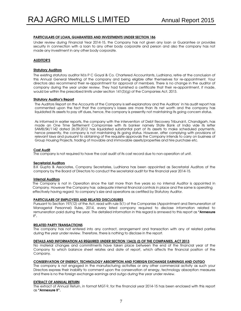#### PARTICULARS OF LOAN, GUARANTEES AND INVESTMENTS UNDER SECTION 186

Under review during Financial Year 2014-15, the Company has not given any loan or Guarantee or provides security in connection with a loan to any other body corporate and person and also the company has not made any investment in any other body corporate.

#### AUDITOR'S

#### Statutory Auditors

The existing statutory auditor M/s P C Goyal & Co. Chartered Accountants, Ludhiana, retire at the conclusion of this Annual General Meeting of the company and being eligible offer themselves for re-appointment. Your directors also recommend their re-appointment for approval of members. There is no change in the auditor of company during the year under review. They had furnished a certificate that their re-appointment, if made, would be within the prescribed limits under section 141(3)(g) of the Companies Act, 2013.

#### **Statutory Auditor's Report**

The Auditors Report on the Accounts of the Company is self-explanatory and the Auditors' in his audit report has commented upon the fact that the company's losses are more than its net worth and the company has liquidated its assets to pay off dues, hence, the company is presently not maintaining its going concern status.

As informed in earlier reports, the company with the intervention of Debt Recovery Tribunal-II, Chandigarh, has made an One Time Settlement Compromise with its banker namely State Bank of India vide its letter SAMB/SK/1142 dated 26.09.2012 has liquidated substantial part of its assets to make scheduled payments, hence presently, the company is not maintaining its going status. However, after complying with provisions of relevant laws and pursuant to obtaining of the requisite approvals the Company intends to carry on business of Group Housing Projects, trading of movable and immovable assets/properties and hire purchase etc.

#### Cost Audit

The company is not required to have the cost audit of its cost record due to non-operation of unit.

#### Secretarial Auditors

B.K Gupta & Associates, Company Secretaries, Ludhiana has been appointed as Secretarial Auditors of the company by the Board of Directors to conduct the secretarial audit for the financial year 2014-15.

#### Internal Auditors

The Company is not in Operation since the last more than five years so no internal Auditor is appointed in Company. However the Company has adequate internal financial controls in place and the same is operating effectively having regard to company's size and operations as certified by Statutory Auditor.

#### PARTICULARS OF EMPLOYEES AND RELATED DISCLOSURES

Pursuant to Section 197(12) of the Act, read with rule 5(1) of the Companies (Appointment and Remuneration of Managerial Personnel) Rules, 2014, every listed company required to disclose information related to remuneration paid during the year. The detailed information in this regard is annexed to this report as "Annexure I".

#### RELATED PARTY TRANSACTIONS

The company has not entered into any contract, arrangement and transaction with any of related parties during the year under review. Therefore, there is nothing to disclose in the report.

#### DETAILS AND INFORMATION AS REQUIRED UNDER SECTION 134(3) (l) OF THE COMPANIES, ACT 2013

No material changes and commitments have taken place between the end of the financial year of the Company to which balance sheet relates and date of report, which affects the financial position of the Company.

#### CONSERVATION OF ENERGY, TECHNOLOGY ABSORPTION AND FOREIGN EXCHANGE EARNINGS AND OUTGO

The company is not engaged in the manufacturing activities or any other commercial activity as such your Directors express their inability to comment upon the conservation of energy, technology absorption measures and there is no the foreign exchange earnings and outgo during the year under review.

#### EXTRACT OF ANNUAL RETURN

The extract of Annual Return, in format MGT-9, for the financial year 2014-15 has been enclosed with this report as "Annexure II".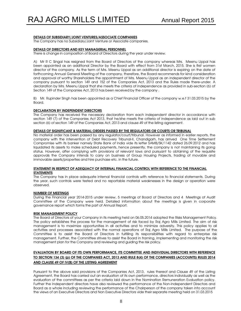#### DETAILS OF SUBSIDIARY/JOINT VENTURES/ASSOCIATE COMPANIES

The Company has no Subsidiary/Joint Venture or Associate companies.

#### DETAILS OF DIRECTORS AND KEY MANAGERIAL PERSONNEL

There is change in composition of Board of Directors during the year under review.

A) Mr R C Singal has resigned from the Board of Directors of the company whereas Mrs. Meenu Uppal has been appointed as an additional Director by the Board with effect from 31st March, 2015. She is first women director of the company. As the term of Mrs. Meenu Uppal as an additional director is expiring on the date of forthcoming Annual General Meeting of the company, therefore, the Board recommends for kind consideration and approval of worthy Shareholders the appointment of Mrs. Meenu Uppal as an independent director of the company pursuant to section 149 and 152 of the Companies Act, 2013 and the Rules made there-under. A declaration by Mrs. Meenu Uppal that she meets the criteria of independence as provided in sub-section (6) of Section 149 of the Companies Act, 2013 has been received by the company .

B) Mr. Rupinder Singh has been appointed as a Chief Financial Officer of the company w.e.f 31.03.2015 by the Board.

#### DECLARATION BY INDEPENDENT DIRECTORS

The Company has received the necessary declaration from each independent director in accordance with section 149 (7) of the Companies Act 2013, that he/she meets the criteria of independence as laid out in sub section (6) of section 149 of the Companies Act, 2013 and clause 49 of the listing agreement.

#### DETAILS OF SIGNIFICANT & MATERIAL ORDERS PASSED BY THE REGULATORS OR COURTS OR TRIBUNAL

No material order has been passed by any regulator/court/tribunal. However as informed in earlier reports, the company with the intervention of Debt Recovery Tribunal-II, Chandigarh, has arrived One Time Settlement Compromise with its banker namely State Bank of India vide its letter SAMB/SK/1142 dated 26.09.2012 and has liquidated its assets to make scheduled payments, hence presently, the company is not maintaining its going status. However, after complying with provisions of relevant laws and pursuant to obtaining of the requisite approvals the Company intends to carry on business of Group Housing Projects, trading of movable and immovable assets/properties and hire purchase etc. in the future.

#### STATEMENT IN RESPECT OF ADEQUACY OF INTERNAL FINANCIAL CONTROL WITH REFERENCE TO THE FINANCIAL STATEMENTS

The Company has in place adequate internal financial controls with reference to financial statements. During the year, such controls were tested and no reportable material weaknesses in the design or operation were observed.

#### NUMBER OF MEETINGS

During the Financial year 2014-2015 under review, 5 meetings of Board of Directors and 4 Meetings of Audit Committee of the Company were held. Detailed information about the meetings is given in corporate governance report which forms the part of Annual Report.

#### RISK MANAGEMENT POLICY

The Board of Directors of your Company in its meeting held on 06.05.2014 adopted the Risks Management Policy. The policy establishes the process for the management of risk faced by Raj Agro Mills Limited. The aim of risk management is to maximize opportunities in all activities and to minimize adversity. This policy applies to all activities and processes associated with the normal operations of Raj Agro Mills Limited. The purpose of the Committee is to assist the Board of Directors in fulfilling its responsibilities with regard to enterprise risk management. Further, the Committee strives to assist the Board in framing, implementing and monitoring the risk management plan for the Company and reviewing and guiding the risk policy.

#### EVALUATION BY BOARD OF ITS OWN PERFORMANCE, ITS COMMITTEE AND INDIVIDUAL DIRECTORS WITH REFERENCE TO SECTION 134 (3) (p) OF THE COMPANIES ACT, 2013 AND RULE 8(4) OF THE COMPANIES (ACCOUNTS) RULES 2014 AND CLAUSE 49 OF IV(B) OF THE LISTING AGREEMENT

Pursuant to the above said provisions of the Companies Act, 2013, rules thereof and Clause 49 of the Listing Agreement, the Board has carried out an evaluation of its own performance, directors individually as well as the evaluation of the committees as per the criteria laid down in the Nomination Remuneration Evaluation policy. Further the Independent directors have also reviewed the performance of the Non-Independent Directors and Board as a whole including reviewing the performance of the Chairperson of the company taken into account the views of an Executive Directors and Non Executive Directors vide their separate meeting held on 31.03.2015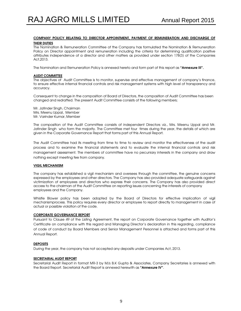#### COMPANY POLICY RELATING TO DIRECTOR APPOINTMENT, PAYMENT OF REMUNERATION AND DISCHARGE OF THEIR DUTIES

#### The Nomination & Remuneration Committee of the Company has formulated the Nomination & Remuneration Policy on Director appointment and remuneration including the criteria for determining qualification positive attributes independence of a director and other matters as provided under section 178(3) of the Companies Act,2013.

The Nomination and Remuneration Policy is annexed hereto and form part of this report as "Annexure III".

#### AUDIT COMMITTEE

The objectives of Audit Committee is to monitor, supervise and effective management of company's finance, to ensure effective internal financial controls and risk management systems with high level of transparency and accuracy.

Consequent to change in the composition of Board of Directors, the composition of Audit Committee has been changed and redrafted. The present Audit Committee consists of the following members;

Mr. Jatinder Singh, Chairman Mrs. Meenu Uppal, Member Mr. Varinder Kumar, Member

The composition of the Audit Committee consists of independent Directors viz., Mrs. Meenu Uppal and Mr. Jatinder Singh who form the majority. The Committee met four times during the year, the details of which are given in the Corporate Governance Report that forms part of this Annual Report.

The Audit Committee had its meeting from time to time to review and monitor the effectiveness of the audit process and to examine the financial statements and to evaluate the internal financial controls and risk management assessment. The members of committee have no pecuniary interests in the company and draw nothing except meeting fee from company.

#### VIGIL MECHANISM

The company has established a vigil mechanism and oversees through the committee, the genuine concerns expressed by the employees and other directors. The Company has also provided adequate safeguards against victimization of employees and directors who express their concerns. The Company has also provided direct access to the chairman of the Audit Committee on reporting issues concerning the interests of company employees and the Company.

Whistle Blower policy has been adopted by the Board of Directors for effective implication of vigil mechanismprocess. This policy requires every director or employee to report directly to management in case of actual or possible violation of the code.

#### CORPORATE GOVERNANCE REPORT

Pursuant to Clause 49 of the Listing Agreement, the report on Corporate Governance together with Auditor's Certificate on compliance with this regard and Managing Director's declaration in this regarding, compliance of code of conduct by Board Members and Senior Management Personnel is attached and forms part of this Annual Report.

#### **DEPOSITS**

During the year, the company has not accepted any deposits under Companies Act, 2013.

#### SECRETARIAL AUDIT REPORT

Secretarial Audit Report in format MR-3 by M/s B.K Gupta & Associates, Company Secretaries is annexed with the Board Report. Secretarial Audit Report is annexed herewith as "Annexure IV".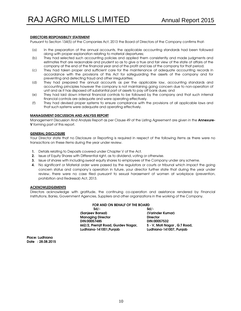#### DIRECTORS RESPONSIBILTY STATEMENT

Pursuant to Section 134(5) of the Companies Act, 2013 the Board of Directors of the Company confirms that-

- (a) In the preparation of the annual accounts, the applicable accounting standards had been followed along with proper explanation relating to material departures;
- (b) They had selected such accounting policies and applied them consistently and made judgments and estimates that are reasonable and prudent so as to give a true and fair view of the state of affairs of the company at the end of the financial year and of the profit and loss of the company for that period;
- (c) They had taken proper and sufficient care for the maintenance of adequate accounting records in accordance with the provisions of this Act for safeguarding the assets of the company and for preventing and detecting fraud and other irregularities;
- (d) They had prepared the annual accounts as per the applicable law, accounting standards and accounting principles however the company is not maintaining going concern due to non-operation of unit and as it has disposed off substantial part of assets to pay off bank dues; and
- (e) They had laid down internal financial controls to be followed by the company and that such internal financial controls are adequate and were operating effectively.
- (f) They had devised proper systems to ensure compliance with the provisions of all applicable laws and that such systems were adequate and operating effectively.

#### MANAGEMENT DISCUSSION AND ANLYSIS REPORT

Management Discussion And Analysis Report as per Clause 49 of the Listing Agreement are given in the **Annexure-**V forming part of this report.

#### **GENERAL DISCLOSURE**

Your Director state that no Disclosure or Reporting is required in respect of the following items as there were no transactions on these items during the year under review.

- 1. Details relating to Deposits covered under Chapter V of the Act.
- 2. Issue of Equity Shares with Differential right, as to dividend, voting or otherwise.
- 3. Issue of shares with including sweat equity shares to employees of the Company under any scheme.
- 4. No significant or Material order were passed by the regulators or courts or tribunal which impact the going concern status and company's operation in future, your director further state that during the year under review, there were no case filed pursuant to sexual harassment of women at workplace (prevention, prohibition and Redressal) Act, 2013.

#### ACKNOWLEDGEMENTS

Directors acknowledge with gratitude, the continuing co-operation and assistance rendered by Financial Institutions, Banks, Government Agencies, Suppliers and other organizations in the working of the Company.

#### FOR AND ON BEHALF OF THE BOARD

 $Sd/ Sd/-$  (Sanjeev Bansal) (Varinder Kumar) **Managing Director**  DIN:00057485 DIN:00057532 662/2, Premjit Road, Gurdev Nagar, S - V, Moti Nagar, G.T Road, Ludhiana-141001,Punjab Ludhiana-141007, Punjab

Place: Ludhiana Date : 28.08.2015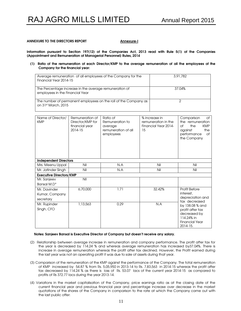#### ANNEXURE TO THE DIRECTORS REPORT ANNEXURE TO THE DIRECTORS REPORT

Information pursuant to Section 197(12) of the Companies Act, 2013 read with Rule 5(1) of the Companies (Appointment and Remuneration of Managerial Personnel) Rules, 2014

(1) Ratio of the remuneration of each Director/KMP to the average remuneration of all the employees of the Company for the financial year:

| Average remuneration of all employees of the Company for the<br>Financial Year 2014-15    | 3,91,782 |
|-------------------------------------------------------------------------------------------|----------|
| The Percentage increase in the average remuneration of<br>employees in the Financial Year | 37.04%   |
| The number of permanent employees on the roll of the Company as<br>on 31st March, 2015    |          |

| Name of Director/<br><b>KMP</b> | Remuneration of<br>Director/KMP for<br>financial year<br>2014-15 | Ratio of<br>Remuneration to<br>average<br>remuneration of all<br>employees | % increase in<br>remuneration in the<br><b>Financial Year 2014-</b><br>15 | <b>of</b><br>Comparison<br>the remuneration<br>the<br><b>KMP</b><br>Οf<br>against<br>the<br><b>of</b><br>performance<br>the Company |
|---------------------------------|------------------------------------------------------------------|----------------------------------------------------------------------------|---------------------------------------------------------------------------|-------------------------------------------------------------------------------------------------------------------------------------|
| <b>Independent Directors</b>    |                                                                  |                                                                            |                                                                           |                                                                                                                                     |
| Mrs. Meenu Uppal                | Nil                                                              | N.A                                                                        | Nil                                                                       | Nil                                                                                                                                 |
| Mr. Jatinder Singh              | Nil                                                              | N.A                                                                        | Nil                                                                       | Nil                                                                                                                                 |
| <b>Executive Directors/KMP</b>  |                                                                  |                                                                            |                                                                           |                                                                                                                                     |
| Mr. Sanjeev                     | <b>NII</b>                                                       |                                                                            |                                                                           |                                                                                                                                     |
| Bansal M.D*                     |                                                                  |                                                                            |                                                                           |                                                                                                                                     |
| Mr. Davinder                    | 6,70,000                                                         | 1.71                                                                       | 32.42%                                                                    | Profit Before                                                                                                                       |
| Kumar, Company                  |                                                                  |                                                                            |                                                                           | interest,                                                                                                                           |
| secretary                       |                                                                  |                                                                            |                                                                           | depreciation and<br>tax decreased                                                                                                   |
| Mr. Rupinder                    | 1,13,563                                                         | 0.29                                                                       | N.A                                                                       | by 138.08 % and                                                                                                                     |
| Singh, CFO                      |                                                                  |                                                                            |                                                                           | profit after tax                                                                                                                    |
|                                 |                                                                  |                                                                            |                                                                           | decreased by                                                                                                                        |
|                                 |                                                                  |                                                                            |                                                                           | 114.24% in                                                                                                                          |
|                                 |                                                                  |                                                                            |                                                                           | <b>Financial Year</b>                                                                                                               |
|                                 |                                                                  |                                                                            |                                                                           | 2014-15.                                                                                                                            |

#### Notes: Sanjeev Bansal is Executive Director of Company but doesn't receive any salary.

- (2) Relationship between average increase in remuneration and company performance. The profit after tax for the year is decreased by 114.24 % and whereas average remuneration has increased by37.04%. There is increase in average remuneration whereas the profit after tax declined. However, the Profit earned during the last year was not an operating profit it was due to sale of assets during that year.
- (3) Comparison of the remuneration of the KMP against the performance of the Company. The total remuneration of KMP increased by 54.87 % from Rs. 5,05,950 in 2013-14 to Rs. 7,83,563 in 2014-15 whereas the profit after tax decreased by 114.24 % as there is loss of Rs. 53.07 lacs of the current year 2014-15 as compared to profits of Rs 372.77 lacs during the year 2013-14.
- (4) Variations in the market capitalisation of the Company, price earnings ratio as at the closing date of the current financial year and previous financial year and percentage increase over decrease in the market quotations of the shares of the Company in comparison to the rate at which the Company came out with the last public offer: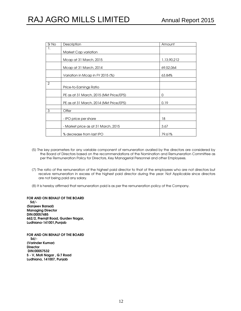| Sr No          | Description                             | Amount      |
|----------------|-----------------------------------------|-------------|
| 1.             | Market Cap variation                    |             |
|                | Mcap at 31 March, 2015                  | 1,13,90,212 |
|                | Mcap at 31 March, 2014                  | 69,52,064   |
|                | Variation in Mcap in FY 2015 (%)        | 63.84%      |
| $\overline{2}$ | Price-to-Earnings Ratio                 |             |
|                | PE as at 31 March, 2015 (Mkt Price/EPS) | 0           |
|                | PE as at 31 March, 2014 (Mkt Price/EPS) | 0.19        |
| 3              | Offer                                   |             |
|                | - IPO price per share                   | 18          |
|                | - Market price as at 31 March, 2015     | 3.67        |
|                | % decrease from last IPO                | 79.61%      |

- (5) The key parameters for any variable component of remuneration availed by the directors are considered by the Board of Directors based on the recommendations of the Nomination and Remuneration Committee as per the Remuneration Policy for Directors, Key Managerial Personnel and other Employees.
- (7) The ratio of the remuneration of the highest paid director to that of the employees who are not directors but receive remuneration in excess of the highest paid director during the year: Not Applicable since directors are not being paid any salary.
- (8) It is hereby affirmed that remuneration paid is as per the remuneration policy of the Company.

FOR AND ON BEHALF OF THE BOARD Sd/- (Sanjeev Bansal) Managing Director DIN:00057485 662/2, Premjit Road, Gurdev Nagar, Ludhiana-141001,Punjab

FOR AND ON BEHALF OF THE BOARD Sd/- (Varinder Kumar) **Director**  DIN:00057532 S - V, Moti Nagar , G.T Road Ludhiana, 141007, Punjab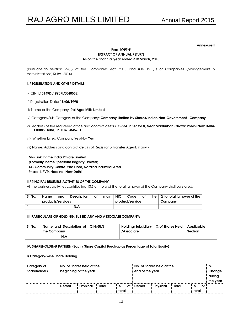#### **Annexure II**

#### Form MGT-9 EXTRACT OF ANNUAL RETURN As on the financial year ended 31st March, 2015

(Pursuant to Section 92(3) of the Companies Act, 2013 and rule 12 (1) of Companies (Management & Administrations) Rules, 2014)

#### I. REGISTRATION AND OTHER DETAILS:

- i) CIN: L15149DL1990PLC040532
- ii) Registration Date: 18/06/1990
- iii) Name of the Company: Raj Agro Mills Limited
- iv) Category/Sub-Category of the Company: Company Limited by Shares/Indian Non-Government Company
- v) Address of the registered office and contact details: C-8/419 Sector 8, Near Madhuban Chowk Rohini New Delhi-110085 Delhi, Ph: 0161-846751
- vi) Whether Listed Company Yes/No- Yes
- vii) Name, Address and contact details of Registrar & Transfer Agent, if any –

 M/s Link Intime India Private Limited (Formerly Intime Spectrum Registry Limited) 44- Community Centre, 2nd Floor, Naraina Industrial Area Phase-I, PVR, Naraina, New Delhi

#### II.PRINCIPAL BUSINESS ACTIVITIES OF THE COMPANY

All the business activities contributing 10% or more of the total turnover of the Company shall be stated:-

| Sr.No. | Name              | and | Description | Οf | main | <b>NIC</b>      | Code | Οf | the | % to total turnover of the |  |  |
|--------|-------------------|-----|-------------|----|------|-----------------|------|----|-----|----------------------------|--|--|
|        | products/services |     |             |    |      | product/service |      |    |     | Company                    |  |  |
|        | N.A               |     |             |    |      |                 |      |    |     |                            |  |  |

#### III. PARTICULARS OF HOLDING, SUBSIDIARY AND ASSOCIATE COMPANY:

| Sr.No. | Name and Description of CIN/GLN<br>the Company | Holding/Subsidiary   % of Shares Held   Applicable<br>/Associate | Section |
|--------|------------------------------------------------|------------------------------------------------------------------|---------|
|        | N.A                                            |                                                                  |         |

#### IV. SHAREHOLDING PATTERN (Equity Share Capital Breakup as Percentage of Total Equity)

#### I) Category-wise Share Holding

| Category of         | No. of Shares held at the |                 |         |       | No. of Shares held at the |       |          |       |        | %        |  |
|---------------------|---------------------------|-----------------|---------|-------|---------------------------|-------|----------|-------|--------|----------|--|
| <b>Shareholders</b> | beginning of the year     |                 |         |       | end of the year           |       |          |       | Change |          |  |
|                     |                           |                 |         |       |                           |       |          |       | during |          |  |
|                     |                           |                 |         |       |                           |       |          |       |        | the year |  |
|                     | <b>Demat</b>              | <b>Physical</b> | : Total | %     | Οf                        | Demat | Physical | Total | %      | оf       |  |
|                     |                           |                 |         | total |                           |       |          |       | total  |          |  |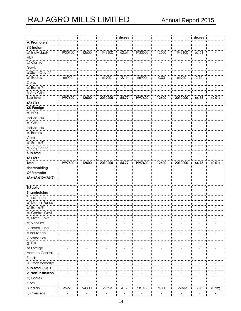|                           |         |       |         | shares |         |       |         | shares |        |
|---------------------------|---------|-------|---------|--------|---------|-------|---------|--------|--------|
| A. Promoters              |         |       |         |        |         |       |         |        |        |
| (1) Indian                |         |       |         |        |         |       |         |        |        |
| a) Individual/            | 1930700 | 12600 | 1943300 | 62.61  | 1930500 | 12600 | 1943100 | 62.61  |        |
| <b>HUF</b>                |         |       |         |        |         |       |         |        |        |
| b) Central                |         |       |         |        |         |       |         |        |        |
| Govt.                     |         |       |         |        |         |       |         |        |        |
| c)State Govt(s)           |         |       |         |        |         |       |         |        |        |
| d) Bodies.                | 66900   |       | 66900   | 2.16   | 66900   | 0.00  | 66900   | 2.16   |        |
|                           |         |       |         |        |         |       |         |        |        |
| Corp.<br>e) Banks/Fl      |         |       |         |        |         |       |         |        |        |
|                           |         |       |         |        |         |       |         |        |        |
| f) Any Other<br>Sub-total |         | 12600 | 2010200 |        | 1997400 | 12600 | 2010000 |        |        |
| $(A)$ (1) :-              | 1997600 |       |         | 64.77  |         |       |         | 64.76  | (0.01) |
|                           |         |       |         |        |         |       |         |        |        |
| (2) Foreign               |         |       |         |        |         |       |         |        |        |
| a) NRIs-                  |         |       |         |        |         |       |         |        |        |
| Individuals               |         |       |         |        |         |       |         |        |        |
| b) Other-                 |         |       |         |        |         |       |         |        |        |
| Individuals               |         |       |         |        |         |       |         |        |        |
| c) Bodies-                |         |       |         |        |         |       |         |        |        |
| Corp                      |         |       |         |        |         |       |         |        |        |
| d) Banks/Fl               |         |       |         |        |         |       |         |        |        |
| e) Any Other              |         |       |         |        |         |       |         |        |        |
| Sub-total                 |         |       |         |        |         |       |         |        |        |
| $(A)$ (2) :-              |         |       |         |        |         |       |         |        |        |
| Total                     | 1997600 | 12600 | 2010200 | 64.77  | 1997400 | 12600 | 2010000 | 64.76  | (0.01) |
|                           |         |       |         |        |         |       |         |        |        |
| shareholding              |         |       |         |        |         |       |         |        |        |
| Of Promoter               |         |       |         |        |         |       |         |        |        |
| $(A)=(A)(1)+(A)(2)$       |         |       |         |        |         |       |         |        |        |
|                           |         |       |         |        |         |       |         |        |        |
| <b>B.Public</b>           |         |       |         |        |         |       |         |        |        |
| Shareholding              |         |       |         |        |         |       |         |        |        |
| 1. Institution            |         |       |         |        |         |       |         |        |        |
| a) Mutual Funds           |         |       |         |        |         |       |         |        |        |
| b) Banks/Fl               |         |       |         |        |         |       |         |        |        |
| c) Central Govt           |         |       |         |        |         |       |         |        |        |
| d) State Govt             |         |       |         |        |         |       |         |        |        |
| e) Venture                |         |       |         |        |         |       |         |        |        |
| Capital Fund              |         |       |         |        |         |       |         |        |        |
| f) Insurance              |         |       |         |        |         |       |         |        |        |
| Companies                 |         |       |         |        |         |       |         |        |        |
| g) Flls                   |         |       |         |        |         |       |         |        |        |
| h) Foreign                |         |       |         |        |         |       |         |        |        |
| Venture Capital           |         |       |         |        |         |       |         |        |        |
| Funds                     |         |       |         |        |         |       |         |        |        |
| i) Other (Specify)        |         |       |         |        |         |       |         |        |        |
| Sub-total (B)(1)          |         |       |         |        |         |       |         |        |        |
| 2. Non-Institution        |         |       |         |        |         |       |         |        |        |
| a) Bodies                 |         |       |         |        |         |       |         |        |        |
| Corp.                     |         |       |         |        |         |       |         |        |        |
| i) Indian                 | 35223   | 94300 | 129523  | 4.17   | 28143   | 94300 | 122443  | 3.95   | (0.22) |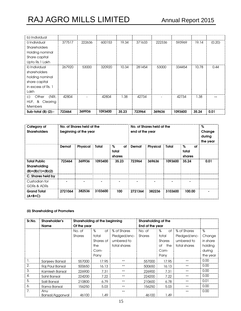| b) Individual                     |        |        |         |       |        |        |         |       |        |
|-----------------------------------|--------|--------|---------|-------|--------|--------|---------|-------|--------|
| i) Individual                     | 377517 | 222636 | 600153  | 19.34 | 371633 | 222336 | 593969  | 19.14 | (0.20) |
| <b>Shareholders</b>               |        |        |         |       |        |        |         |       |        |
| Holding nominal                   |        |        |         |       |        |        |         |       |        |
| Share capital                     |        |        |         |       |        |        |         |       |        |
| Upto Rs.1 Lakh                    |        |        |         |       |        |        |         |       |        |
| ii) Individual                    | 267920 | 53000  | 320920  | 10.34 | 281454 | 53000  | 334454  | 10.78 | 0.44   |
| shareholders                      |        |        |         |       |        |        |         |       |        |
| holding nominal                   |        |        |         |       |        |        |         |       |        |
| share capital                     |        |        |         |       |        |        |         |       |        |
| in excess of Rs. 1                |        |        |         |       |        |        |         |       |        |
| Lakh                              |        |        |         |       |        |        |         |       |        |
| (NRI,<br>Other<br>$\mathcal{C}$ ) | 42804  |        | 42804   | 1.38  | 42734  |        | 42734   | 1.38  |        |
| HUF, &<br>Clearing                |        |        |         |       |        |        |         |       |        |
| <b>Members</b>                    |        |        |         |       |        |        |         |       |        |
| Sub-total $(B)$ $(2)$ :-          | 723464 | 369936 | 1093400 | 35.23 | 723964 | 369636 | 1093600 | 35.24 | 0.01   |

| Category of<br><b>Shareholders</b> | No. of Shares held at the<br>beginning of the year |          |             |                 | No. of Shares held at the<br>end of the year |                 |         |                 | %<br>Change<br>during<br>the year |
|------------------------------------|----------------------------------------------------|----------|-------------|-----------------|----------------------------------------------|-----------------|---------|-----------------|-----------------------------------|
|                                    | <b>Demat</b>                                       | Physical | Total<br>÷. | %<br>Οf         | <b>Demat</b>                                 | <b>Physical</b> | Total   | $\%$<br>of i    |                                   |
|                                    |                                                    |          |             | total<br>shares |                                              |                 |         | total<br>shares |                                   |
| <b>Total Public</b>                | 723464                                             | 369936   | 1093400     | 35.23           | 723964                                       | 369636          | 1093600 | 35.24           | 0.01                              |
| Shareholding                       |                                                    |          |             |                 |                                              |                 |         |                 |                                   |
| $(B)=(B)(1)+(B)(2)$                |                                                    |          |             |                 |                                              |                 |         |                 |                                   |
| C. Shares held by                  |                                                    |          |             |                 |                                              |                 |         |                 |                                   |
| Custodian for                      |                                                    |          |             |                 |                                              |                 |         |                 |                                   |
| <b>GDRs &amp; ADRs</b>             |                                                    |          |             |                 |                                              |                 |         |                 |                                   |
| <b>Grand Total</b>                 | 2721064                                            | 382536   | 3103600     | 100             | 2721364                                      | 382236          | 3103600 | 100.00          |                                   |
| $(A+B+C)$                          |                                                    |          |             |                 |                                              |                 |         |                 |                                   |

#### (ii) Shareholding of Promoters

| Sr.No.     | Shareholder's   |               | Shareholding at the beginning |                | Shareholding at the |               |                |          |
|------------|-----------------|---------------|-------------------------------|----------------|---------------------|---------------|----------------|----------|
|            | <b>Name</b>     | Of the year   |                               |                | End of the year     |               |                |          |
|            |                 | No. of        | %                             | of % of Shares | No. of              | : %           | of % of Shares | %        |
|            |                 | <b>Shares</b> | total                         | Pledged/enc-   | Shares              | total         | Pledged/enc-   | Change   |
|            |                 |               | Shares of :                   | umbered to     |                     | <b>Shares</b> | umbered to     | in share |
|            |                 |               | the                           | total shares   |                     | the<br>Оf     | total shares   | holding  |
|            |                 |               | Com-                          |                |                     | Com-          |                | during   |
|            |                 |               | Pany                          |                |                     | Pany          |                | the year |
|            | Sanjeev Bansal  | 557000        | 17.95                         |                | 557000              | 17.95         |                | : 0.00   |
| $\cdot$ 2. | Raj Paul Bansal | 500650        | 16.13.                        |                | 500650              | 16.13.        |                | 0.00     |
| - 3.       | Kamlesh Bansal  | 226900        | 7.31                          |                | 226900              | 7.31          |                | : 0.00   |
| 4.         | Sahil Bansal    | 224200        | 7.22                          |                | 224200              | 7.22:         |                | 0.00     |
| -5.        | Salil Bansal    | 210800        | 6.79                          |                | 210600              | 6.78          |                | : 0.01   |
| 6.         | Rama Bansal     | 156250        | 5.03                          |                | 156250              | 5.03          |                | : 0.00   |
| : 7.       | Anu             |               |                               |                |                     |               |                | .0.00    |
|            | Bansal/Aggarwal | 46100         | 1.49                          |                | 46100               | 1.49          |                |          |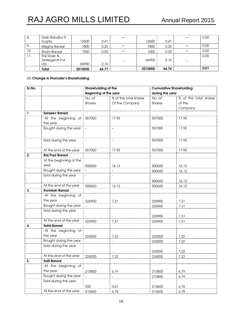| i 8.  | Desh Bandhu R   |         |       | $- -$         |         |       | $\sim$ $\sim$ | 0.00 |
|-------|-----------------|---------|-------|---------------|---------|-------|---------------|------|
|       | Gupta           | 12600   | 0.41  |               | 12600   | 0.41  |               |      |
|       | Megha Bansal    | 7800    | 0.25  | $\sim$ $\sim$ | 7800    | 0.25  | $\sim$ $\sim$ | 0.00 |
| : 10. | Sham Bansal     | 1000    | 0.03  | $\sim$ $\sim$ | 1000    | 0.03  | $\sim$ $\sim$ | 0.00 |
| -11.  | Rai Soap &      |         |       |               |         |       |               | 0.00 |
|       | Detergents Pvt. |         |       |               | 66900   | 2.16  |               |      |
|       | Ltd.            | 66900   | 2.16  |               |         |       |               |      |
|       | Total           | 2010200 | 64.77 |               | 2010000 | 64.76 |               | 0.01 |

#### (iii) Change in Promoter's Shareholding

| Sr.No. |                            | Shareholding at the          |                       | <b>Cumulative Shareholding</b> |                       |
|--------|----------------------------|------------------------------|-----------------------|--------------------------------|-----------------------|
|        |                            | <b>Beginning of the year</b> |                       | during the year                |                       |
|        |                            | No. of                       | % of the total shares | No. of                         | % of the total shares |
|        |                            | Shares                       | Of the Company        | Shares                         | of the                |
|        |                            |                              |                       |                                | Company               |
| 1.     | <b>Sanjeev Bansal</b>      |                              |                       |                                |                       |
|        | At the beginning of 557000 |                              | 17.95                 | 557000                         | 17.95                 |
|        | the year                   |                              |                       |                                |                       |
|        | Bought during the year     |                              |                       | 557000                         | 17.95                 |
|        |                            |                              |                       |                                |                       |
|        | Sold during the year       |                              |                       | 557000                         | 17.95                 |
|        |                            |                              |                       |                                |                       |
|        | At the end of the year     | 557000                       | 17.95                 | 557000                         | 17.95                 |
| 2.     | <b>Raj Paul Bansal</b>     |                              |                       |                                |                       |
|        | At the beginning of the    |                              |                       |                                |                       |
|        | year                       | 500650                       | 16.13                 | 500650                         | 16.13                 |
|        | Bought during the year     |                              |                       | 500650                         | 16.13                 |
|        | Sold during the year       |                              |                       |                                |                       |
|        |                            |                              |                       | 500650                         | 16.13                 |
|        | At the end of the year     | 500650                       | 16.13                 | 500650                         | 16.13                 |
| 3.     | <b>Kamlesh Bansal</b>      |                              |                       |                                |                       |
|        | At the beginning of        |                              |                       |                                |                       |
|        | the year                   | 226900                       | 7.31                  | 226900                         | 7.31                  |
|        | Bought during the year     |                              |                       | 226900                         | 7.31                  |
|        | Sold during the year       |                              |                       |                                |                       |
|        |                            |                              |                       | 226900                         | 7.31                  |
|        | At the end of the year     | 226900                       | 7.31                  | 226900                         | 7.31                  |
| 4.     | <b>Sahil Bansal</b>        |                              |                       |                                |                       |
|        | At the beginning of        |                              |                       |                                |                       |
|        | the year                   | 224200                       | 7.22                  | 224200                         | 7.22                  |
|        | Bought during the year     |                              |                       | 224200                         | 7.22                  |
|        | Sold during the year       |                              |                       |                                |                       |
|        |                            |                              |                       | 224200                         | 7.22                  |
|        | At the end of the year     | 224200                       | 7.22                  | 224200                         | 7.22                  |
|        | Salil Bansal               |                              |                       |                                |                       |
|        | At the beginning of        |                              |                       |                                |                       |
|        | the year                   | 210800                       | 6.79                  | 210800                         | 6.79                  |
|        | Bought during the year     |                              |                       | 210800                         | 6.79                  |
|        | Sold during the year       |                              |                       |                                |                       |
|        |                            | 200                          | 0.01                  | 210600                         | 6.78                  |
|        | At the end of the year     | 210600                       | 6.78                  | 210600                         | 6.78                  |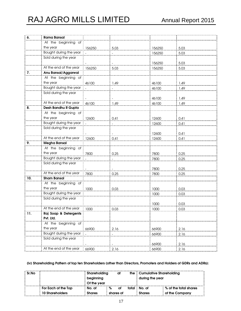| 6.  | <b>Rama Bansal</b>     |        |      |        |      |
|-----|------------------------|--------|------|--------|------|
|     | At the beginning of    |        |      |        |      |
|     | the year               | 156250 | 5.03 | 156250 | 5.03 |
|     | Bought during the year |        |      | 156250 | 5.03 |
|     | Sold during the year   |        |      |        |      |
|     |                        |        |      | 156250 | 5.03 |
|     | At the end of the year | 156250 | 5.03 | 156250 | 5.03 |
| 7.  | Anu Bansal/Aggarwal    |        |      |        |      |
|     | At the beginning of    |        |      |        |      |
|     | the year               | 46100  | 1.49 | 46100  | 1.49 |
|     | Bought during the year |        |      | 46100  | 1.49 |
|     | Sold during the year   |        |      |        |      |
|     |                        |        |      | 46100  | 1.49 |
|     | At the end of the year | 46100  | 1.49 | 46100  | 1.49 |
| 8.  | Desh Bandhu R Gupta    |        |      |        |      |
|     | At the beginning of    |        |      |        |      |
|     | the year               | 12600  | 0.41 | 12600  | 0.41 |
|     | Bought during the year |        |      | 12600  | 0.41 |
|     | Sold during the year   |        |      |        |      |
|     |                        |        |      | 12600  | 0.41 |
|     | At the end of the year | 12600  | 0.41 | 12600  | 0.41 |
| 9.  | <b>Megha Bansal</b>    |        |      |        |      |
|     | At the beginning of    |        |      |        |      |
|     | the year               | 7800   | 0.25 | 7800   | 0.25 |
|     | Bought during the year |        |      | 7800   | 0.25 |
|     | Sold during the year   |        |      |        |      |
|     |                        |        |      | 7800   | 0.25 |
|     | At the end of the year | 7800   | 0.25 | 7800   | 0.25 |
| 10. | <b>Sham Bansal</b>     |        |      |        |      |
|     | At the beginning of    |        |      |        |      |
|     | the year               | 1000   | 0.03 | 1000   | 0.03 |
|     | Bought during the year |        |      | 1000   | 0.03 |
|     | Sold during the year   |        |      |        |      |
|     |                        |        |      | 1000   | 0.03 |
|     | At the end of the year | 1000   | 0.03 | 1000   | 0.03 |
| 11. | Raj Soap & Detergents  |        |      |        |      |
|     | Pvt. Ltd.              |        |      |        |      |
|     | At the beginning of    |        |      |        |      |
|     | the year               | 66900  | 2.16 | 66900  | 2.16 |
|     | Bought during the year |        |      | 66900  | 2.16 |
|     | Sold during the year   |        |      |        |      |
|     |                        |        |      | 66900  | 2.16 |
|     | At the end of the year | 66900  | 2.16 | 66900  | 2.16 |

#### (iv) Shareholding Pattern of top ten Shareholders (other than Directors, Promoters and Holders of GDRs and ADRs):

| Sr.No |                     | Shareholding<br>at |           |                 |  | the Cumulative Shareholding |                       |  |
|-------|---------------------|--------------------|-----------|-----------------|--|-----------------------------|-----------------------|--|
|       |                     | beginning          |           | during the year |  |                             |                       |  |
|       |                     | : Of the year      |           |                 |  |                             |                       |  |
|       | For Each of the Top | No. of             | %         | Οf              |  | total No. of                | % of the total shares |  |
|       | 10 Shareholders     | <b>Shares</b>      | shares of |                 |  | <b>Shares</b>               | of the Company        |  |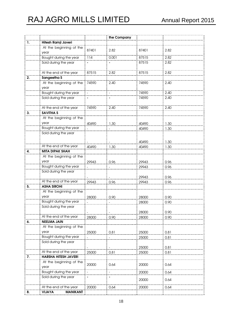|    |                                  |       | the Company |                |      |
|----|----------------------------------|-------|-------------|----------------|------|
| 1. | Hitesh Ramji Javeri              |       |             |                |      |
|    | At the beginning of the          |       |             |                |      |
|    | year                             | 87401 | 2.82        | 87401          | 2.82 |
|    | Bought during the year           | 114   | 0.001       | 87515          | 2.82 |
|    | Sold during the year             |       |             | 87515          | 2.82 |
|    |                                  |       |             |                |      |
|    | At the end of the year           | 87515 | 2.82        | 87515          | 2.82 |
| 2. | Sangeetha S                      |       |             |                |      |
|    | At the beginning of the          | 74590 | 2.40        | 74590          | 2.40 |
|    | year                             |       |             |                |      |
|    | Bought during the year           |       |             | 74590          | 2.40 |
|    | Sold during the year             |       |             | 74590          | 2.40 |
|    |                                  |       |             |                |      |
|    | At the end of the year           | 74590 | 2.40        | 74590          | 2.40 |
| 3. | <b>SAVITHA S</b>                 |       |             |                |      |
|    | At the beginning of the          |       |             |                |      |
|    | year                             | 40490 | 1.30        | 40490          | 1.30 |
|    | Bought during the year           |       |             | 40490          | 1.30 |
|    | Sold during the year             |       |             |                |      |
|    |                                  |       |             | 40490          | 1.30 |
|    | At the end of the year           | 40490 | 1.30        | 40490          | 1.30 |
| 4. | <b>MITA DIPAK SHAH</b>           |       |             |                |      |
|    | At the beginning of the          |       |             |                |      |
|    | year                             | 29943 | 0.96        | 29943          | 0.96 |
|    | Bought during the year           |       |             | 29943          | 0.96 |
|    | Sold during the year             |       |             |                |      |
|    |                                  |       |             | 29943          | 0.96 |
|    | At the end of the year           | 29943 | 0.96        | 29943          | 0.96 |
| 5. | <b>ASHA SIROHI</b>               |       |             |                |      |
|    | At the beginning of the          |       |             |                |      |
|    | year                             | 28000 | 0.90        | 28000          | 0.90 |
|    | Bought during the year           |       |             | 28000          | 0.90 |
|    | Sold during the year             |       |             |                |      |
|    | At the end of the year           |       |             | 28000          | 0.90 |
| 6. | <b>NEELMA JAIN</b>               | 28000 | 0.90        | 28000          | 0.90 |
|    | At the beginning of the          |       |             |                |      |
|    | year                             |       |             |                |      |
|    | Bought during the year           | 25000 | 0.81        | 25000<br>25000 | 0.81 |
|    | Sold during the year             |       |             |                | 0.81 |
|    |                                  |       |             | 25000          | 0.81 |
|    | At the end of the year           | 25000 | 0.81        | 25000          | 0.81 |
| 7. | <b>HARSHA HITESH JAVERI</b>      |       |             |                |      |
|    | At the beginning of the          |       |             |                |      |
|    | year                             | 20000 | 0.64        | 20000          | 0.64 |
|    | Bought during the year           |       |             | 20000          | 0.64 |
|    | Sold during the year             |       |             |                |      |
|    |                                  |       |             | 20000          | 0.64 |
|    | At the end of the year           | 20000 | 0.64        | 20000          | 0.64 |
| 8. | <b>VIJAYA</b><br><b>MANIKANT</b> |       |             |                |      |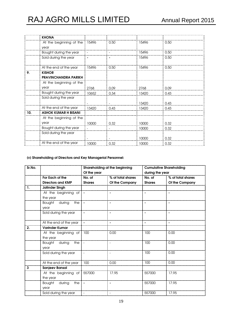|     | <b>KHONA</b>                  |       |      |       |      |
|-----|-------------------------------|-------|------|-------|------|
|     | At the beginning of the 15496 |       | 0.50 | 15496 | 0.50 |
|     | year                          |       |      |       |      |
|     | Bought during the year        |       |      | 15496 | 0.50 |
|     | Sold during the year          |       |      | 15496 | 0.50 |
|     |                               |       |      |       |      |
|     | At the end of the year        | 15496 | 0.50 | 15496 | 0.50 |
| 9.  | <b>KISHOR</b>                 |       |      |       |      |
|     | <b>PRAVINCHANDRA PARIKH</b>   |       |      |       |      |
|     | At the beginning of the       |       |      |       |      |
|     | year                          | 2768  | 0.09 | 2768  | 0.09 |
|     | Bought during the year        | 10652 | 0.34 | 13420 | 0.43 |
|     | Sold during the year          |       |      |       |      |
|     |                               |       |      | 13420 | 0.43 |
|     | At the end of the year        | 13420 | 0.43 | 13420 | 0.43 |
| 10. | <b>ASHOK KUMAR H BISANI</b>   |       |      |       |      |
|     | At the beginning of the       |       |      |       |      |
|     | year                          | 10000 | 0.32 | 10000 | 0.32 |
|     | Bought during the year        |       |      | 10000 | 0.32 |
|     | Sold during the year          |       |      |       |      |
|     |                               |       |      | 10000 | 0.32 |
|     | At the end of the year        | 10000 | 0.32 | 10000 | 0.32 |
|     |                               |       |      |       |      |

#### (v) Shareholding of Directors and Key Managerial Personnel:

| Sr.No. |                                | Shareholding at the beginning |                   | <b>Cumulative Shareholding</b> |                   |
|--------|--------------------------------|-------------------------------|-------------------|--------------------------------|-------------------|
|        |                                | Of the year                   |                   | during the year                |                   |
|        | For Each of the                | No. of                        | % of total shares | No. of                         | % of total shares |
|        | <b>Directors and KMP</b>       | <b>Shares</b>                 | Of the Company    | <b>Shares</b>                  | Of the Company    |
| 1.     | <b>Jatinder Singh</b>          |                               |                   |                                |                   |
|        | At the beginning of   -        |                               |                   |                                |                   |
|        | the year                       |                               |                   |                                |                   |
|        | Bought during<br>the           |                               |                   | $\blacksquare$                 |                   |
|        | year                           |                               |                   |                                |                   |
|        | Sold during the year           |                               |                   |                                |                   |
|        |                                |                               |                   |                                |                   |
|        | At the end of the year         |                               |                   |                                |                   |
| 2.     | <b>Varinder Kumar</b>          |                               |                   |                                |                   |
|        | At the beginning of 100        |                               | 0.00              | 100                            | 0.00              |
|        | the year                       |                               |                   |                                |                   |
|        | Bought during<br>the           |                               |                   | 100                            | 0.00              |
|        | year                           |                               |                   |                                |                   |
|        | Sold during the year           | $\sim$                        |                   | 100                            | 0.00              |
|        |                                |                               |                   |                                |                   |
|        | At the end of the year         | 100                           | 0.00              | 100                            | 0.00              |
| 3      | <b>Sanjeev Bansal</b>          |                               |                   |                                |                   |
|        | At the beginning of 557000     |                               | 17.95             | 557000                         | 17.95             |
|        | the year                       |                               |                   |                                |                   |
|        | Bought during<br>the $\vert$ - |                               |                   | 557000                         | 17.95             |
|        | year                           |                               |                   |                                |                   |
|        | Sold during the year           | $\overline{\phantom{a}}$      |                   | 557000                         | 17.95             |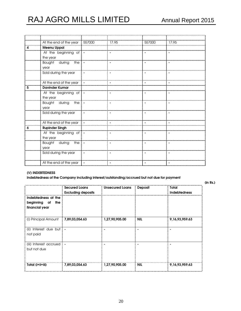|   | At the end of the year   557000 |                | 17.95          | 557000         | 17.95          |
|---|---------------------------------|----------------|----------------|----------------|----------------|
|   | <b>Meenu Uppal</b>              |                |                |                |                |
|   | At the beginning of             |                |                |                |                |
|   | the year                        |                |                |                |                |
|   | Bought during the -             |                |                |                |                |
|   | year                            |                |                |                |                |
|   | Sold during the year            | $\blacksquare$ |                | $\blacksquare$ |                |
|   |                                 |                |                |                |                |
|   | At the end of the year          |                |                |                |                |
| 5 | <b>Davinder Kumar</b>           |                |                |                |                |
|   | At the beginning of             |                |                |                |                |
|   | the year                        |                |                |                |                |
|   | Bought during the               |                |                |                | ٠              |
|   | year                            |                |                |                |                |
|   | Sold during the year            | $\blacksquare$ | $\blacksquare$ | $\blacksquare$ | $\blacksquare$ |
|   |                                 |                |                |                |                |
|   | At the end of the year          |                |                |                |                |
|   | <b>Rupinder Singh</b>           |                |                |                |                |
|   | At the beginning of   -         |                |                | ۰              |                |
|   | the year                        |                |                |                |                |
|   | Bought during<br>the            |                |                |                |                |
|   | year                            |                |                |                |                |
|   | Sold during the year            | $\blacksquare$ |                | ÷              |                |
|   |                                 |                |                |                |                |
|   | At the end of the year          | ÷,             |                |                |                |

#### (V) INDEBTEDNESS

Indebtedness of the Company including interest/outstanding/accrued but not due for payment

(in Rs.)

|                                                                 | <b>Secured Loans</b><br><b>Excluding deposits</b> | <b>Unsecured Loans</b> | Deposit    | Total<br><b>Indebtedness</b> |
|-----------------------------------------------------------------|---------------------------------------------------|------------------------|------------|------------------------------|
| Indebtedness at the<br>beginning<br>the<br>Оf<br>financial year |                                                   |                        |            |                              |
| (i) Principal Amount                                            | 7,89,03,054.63                                    | 1,27,90,905.00         | <b>NIL</b> | 9, 16, 93, 959.63            |
| (ii) Interest due but -<br>not paid                             |                                                   |                        |            |                              |
| (iii) Interest accrued<br>but not due                           |                                                   |                        |            |                              |
| Total (i+ii+iii)                                                | 7,89,03,054.63                                    | 1,27,90,905.00         | <b>NIL</b> | 9,16,93,959.63               |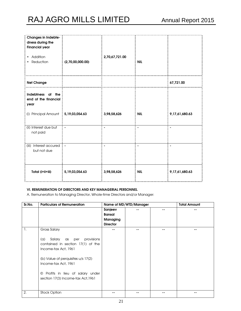| Changes in Indebte-<br>dness during the<br><b>Financial year</b><br>Addition<br>Reduction | (2,70,00,000.00)  | 2,70,67,721.00 | <b>NIL</b>     |                |
|-------------------------------------------------------------------------------------------|-------------------|----------------|----------------|----------------|
| <b>Net Change</b>                                                                         |                   |                |                | 67,721.00      |
| <b>Indebtness</b><br>at the<br>end of the financial<br>year                               |                   |                |                |                |
| (i) Principal Amount                                                                      | 5, 19, 03, 054.63 | 3,98,58,626    | <b>NIL</b>     | 9,17,61,680.63 |
| (ii) Interest due but<br>not paid                                                         |                   | $\blacksquare$ | $\blacksquare$ |                |
| (iii) Interest accured<br>but not due                                                     |                   | $\blacksquare$ | $\blacksquare$ |                |
| Total (i+ii+iii)                                                                          | 5, 19, 03, 054.63 | 3,98,58,626    | <b>NIL</b>     | 9,17,61,680.63 |

#### VI. REMUNERATION OF DIRECTORS AND KEY MANAGERIAL PERSONNEL

A. Remuneration to Managing Director, Whole-time Directors and/or Manager:

| Sr.No. | <b>Particulars of Remuneration</b>                                                                                                                                                                                                                          |                                                         | Name of MD/WTD/Manager | <b>Total Amount</b> |
|--------|-------------------------------------------------------------------------------------------------------------------------------------------------------------------------------------------------------------------------------------------------------------|---------------------------------------------------------|------------------------|---------------------|
|        |                                                                                                                                                                                                                                                             | Sanjeev<br><b>Bansal</b><br>Managing<br><b>Director</b> |                        |                     |
| 1.     | Gross Salary<br>Salary<br>provisions<br>as per<br>(a)<br>contained in section 17(1) of the<br>Income-tax Act, 1961<br>(b) Value of perquisites u/s 17(2)<br>Income-tax Act, 1961<br>© Profits in lieu of salary under<br>section 17(3) Income-tax Act, 1961 |                                                         |                        |                     |
| 2.     | <b>Stock Option</b>                                                                                                                                                                                                                                         |                                                         |                        |                     |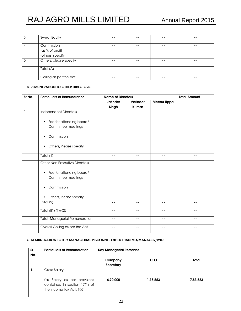| 3. | <b>Sweat Equity</b>    | $\sim$        | --            | --     | $\sim$ |
|----|------------------------|---------------|---------------|--------|--------|
| 4. | Commission             | $\sim$        | $\sim$ $\sim$ | $- -$  | --     |
|    | -as % of profit        |               |               |        |        |
|    | -others, specify       |               |               |        |        |
| 5. | Others, please specify | $-1$          | $\sim$        | $\sim$ | $\sim$ |
|    | Total (A)              | $\sim$ $\sim$ | $\sim$ $\sim$ | $- -$  | $\sim$ |
|    | Ceiling as per the Act | $-1$          | $\sim$        | --     | $\sim$ |

#### B. REMUNERATION TO OTHER DIRECTORS.

| Sr.No.         | <b>Particulars of Remuneration</b>                          | <b>Name of Directors</b> |               | <b>Total Amount</b> |                          |
|----------------|-------------------------------------------------------------|--------------------------|---------------|---------------------|--------------------------|
|                |                                                             | <b>Jatinder</b>          | Varinder      | <b>Meenu Uppal</b>  |                          |
|                |                                                             | Singh                    | Kumar         |                     |                          |
| $\mathbf{1}$ . | Independent Directors                                       | --                       | ۰.            | --                  | --                       |
|                | Fee for attending board/<br>$\bullet$<br>Committee meetings |                          |               |                     |                          |
|                | Commission<br>$\bullet$                                     |                          |               |                     |                          |
|                | Others, Please specify<br>$\bullet$                         |                          |               |                     |                          |
|                | Total (1)                                                   | --                       | $\sim$ $\sim$ | ۰.                  | --                       |
|                | Other Non Executive Directors                               | --                       | ۰.            | ۰.                  | $\overline{\phantom{a}}$ |
|                | Fee for attending board/<br>$\bullet$<br>Committee meetings |                          |               |                     |                          |
|                | Commission<br>$\bullet$                                     |                          |               |                     |                          |
|                | • Others, Please specify                                    |                          |               |                     |                          |
|                | Total (2)                                                   | --                       | --            | ۰.                  | --                       |
|                | Total $(B)+(1)+(2)$                                         |                          | --            | ۰.                  | --                       |
|                | <b>Total Managerial Remuneration</b>                        | --                       | ۰.            | --                  | --                       |
|                | Overall Ceiling as per the Act                              |                          |               | --                  | ۰.                       |

#### C. REMUNERATION TO KEY MANAGERIAL PERSONNEL OTHER THAN MD/MANAGER/WTD

| Sr.<br>No. | <b>Particulars of Remuneration</b>                                                                           | <b>Key Managerial Personnel</b> |            |              |
|------------|--------------------------------------------------------------------------------------------------------------|---------------------------------|------------|--------------|
|            |                                                                                                              | Company<br><b>Secretary</b>     | <b>CFO</b> | <b>Total</b> |
|            | Gross Salary<br>Salary as per provisions<br>(a)<br>contained in section 17(1) of<br>the Income-tax Act, 1961 | 6,70,000                        | 1,13,563   | 7,83,563     |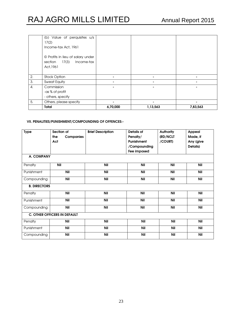|                 | (b) Value of perquisites u/s                                               |          |          |          |
|-----------------|----------------------------------------------------------------------------|----------|----------|----------|
|                 | 17(2)                                                                      |          |          |          |
|                 | Income-tax Act, 1961                                                       |          |          |          |
|                 | © Profits in lieu of salary under<br>section 17(3) Income-tax<br>Act, 1961 |          |          |          |
| 2.              | Stock Option                                                               |          | ۰        | ۰        |
| 3.              | <b>Sweat Equity</b>                                                        | ٠        | ۰        | ۰        |
| $\mathcal{A}$ . | Commission                                                                 |          |          |          |
|                 | -as % of profit                                                            |          |          |          |
|                 | - others, specify                                                          |          |          |          |
| 5.              | Others, please specify                                                     | ٠        | ۰        | ٠        |
|                 | <b>Total</b>                                                               | 6,70,000 | 1,13,563 | 7,83,563 |

#### VII. PENALITIES/PUNISHMENT/COMPOUNDING OF OFFENCES:-

| <b>Type</b>                         | Section of              | <b>Brief Description</b> | Details of   | <b>Authority</b> | Appeal     |  |  |
|-------------------------------------|-------------------------|--------------------------|--------------|------------------|------------|--|--|
|                                     | the<br><b>Companies</b> |                          | Penalty/     | (RD/NCLT         | Made, if   |  |  |
|                                     | Act                     |                          | Punishment   | /COURT)          | Any (give  |  |  |
|                                     |                         |                          | /Compounding |                  | Details)   |  |  |
|                                     |                         |                          | Fee imposed  |                  |            |  |  |
| A. COMPANY                          |                         |                          |              |                  |            |  |  |
| Penalty                             | <b>Nil</b>              | <b>Nil</b>               | <b>Nil</b>   | <b>Nil</b>       | <b>Nil</b> |  |  |
| Punishment                          | <b>Nil</b>              | <b>Nil</b>               | <b>Nil</b>   | <b>Nil</b>       | <b>Nil</b> |  |  |
| Compounding                         | <b>Nil</b>              | Nil                      | Nil          | <b>Nil</b>       | <b>Nil</b> |  |  |
| <b>B. DIRECTORS</b>                 |                         |                          |              |                  |            |  |  |
| Penalty                             | <b>Nil</b>              | <b>Nil</b>               | <b>Nil</b>   | <b>Nil</b>       | Nil        |  |  |
| Punishment                          | <b>Nil</b>              | <b>Nil</b>               | <b>Nil</b>   | <b>Nil</b>       | <b>Nil</b> |  |  |
| Compounding                         | <b>Nil</b>              | <b>Nil</b>               | <b>Nil</b>   | <b>Nil</b>       | <b>Nil</b> |  |  |
| <b>C. OTHER OFFICERS IN DEFAULT</b> |                         |                          |              |                  |            |  |  |
| Penalty                             | <b>Nil</b>              | <b>Nil</b>               | <b>Nil</b>   | <b>Nil</b>       | <b>Nil</b> |  |  |
| Punishment                          | <b>Nil</b>              | Nil                      | Nil          | <b>Nil</b>       | <b>Nil</b> |  |  |
| Compounding                         | <b>Nil</b>              | Nil                      | <b>Nil</b>   | <b>Nil</b>       | <b>Nil</b> |  |  |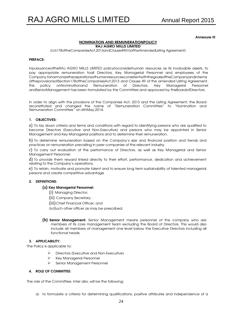#### Annexure-III

#### NOMINATION AND REMUNERATIONPOLICY

RAJ AGRO MILLS LIMITED

(U/s178oftheCompaniesAct,2013andClause49(IV)oftheAmendedListing Agreement)

#### PREFACE:

InpursuanceoftheRAJ AGRO MILLS LIMITED policytoconsiderhuman resources as its invaluable assets, to pay appropriate remuneration toall Directors, Key Managerial Personnel and employees of the Company,toharmonizetheaspirationsofhumanresourcesconsistentwiththegoalsoftheCompanyandinterms oftheprovisionsofSection178oftheCompaniesAct,2013 and Clause 49 of the amended Listing Agreement, this policy onNominationand Remuneration of Directors, Key Managerial Personnel andSeniorManagement has been formulated by the Committee and approved by theBoardofDirectors.

In order to align with the provisions of the Companies Act, 2013 and the Listing Agreement, the Board reconstituted and changed the name of "Remuneration Committee" to "Nomination and Remuneration Committee" on 6thMay,2014.

#### 1. OBJECTIVES:

a) To lay down criteria and terms and conditions with regard to identifying persons who are qualified to become Directors (Executive and Non-Executive) and persons who may be appointed in Senior Management and Key Managerial positions and to determine their remuneration.

b) To determine remuneration based on the Company's size and financial position and trends and practices on remuneration prevailing in peer companies of the relevant industry.

c) To carry out evaluation of the performance of Directors, as well as Key Managerial and Senior Management Personnel.

d) To provide them reward linked directly to their effort, performance, dedication and achievement relating to the Company's operations.

e) To retain, motivate and promote talent and to ensure long term sustainability of talented managerial persons and create competitive advantage

#### 2. DEFINITIONS:

#### **(a)** Key Managerial Personnel:

- (i) Managing Director;
- (ii) Company Secretary;
- (iii)Chief Financial Officer; and

(iv)Such other officer as may be prescribed.

**(b)** Senior Management: Senior Management means personnel of the company who are members of its core management team excluding the Board of Directors. This would also include all members of management one level below the Executive Directors including all functional heads.

#### 3. APPLICABILITY:

The Policy is applicable to:

- Directors (Executive and Non-Executive)
- Key Managerial Personnel
- Senior Management Personnel

#### 4. ROLE OF COMMITTEE:

The role of the Committee, inter alia, will be the following:

a) to formulate a criteria for determining qualifications, positive attributes and independence of a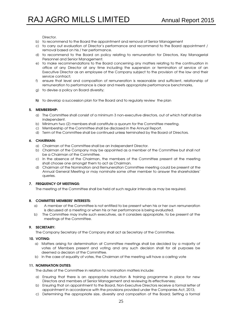Director.

- b) to recommend to the Board the appointment and removal of Senior Management
- c) to carry out evaluation of Director's performance and recommend to the Board appointment / removal based on his / her performance.
- d) to recommend to the Board on policy relating to remuneration for Directors, Key Managerial Personnel and Senior Management.
- e) to make recommendations to the Board concerning any matters relating to the continuation in office of any Director at any time including the suspension or termination of service of an Executive Director as an employee of the Company subject to the provision of the law and their service contract;
- f) ensure that level and composition of remuneration is reasonable and sufficient, relationship of remuneration to performance is clear and meets appropriate performance benchmarks,
- g) to devise a policy on Board diversity;
- h) to develop a succession plan for the Board and to regularly review the plan

#### 5. MEMBERSHIP:

- a) The Committee shall consist of a minimum 3 non-executive directors, out of which half shall be independent.
- b) Minimum two (2) members shall constitute a quorum for the Committee meeting.
- c) Membership of the Committee shall be disclosed in the Annual Report.
- d) Term of the Committee shall be continued unless terminated by the Board of Directors.

#### 6. CHAIRMAN:

- a) Chairman of the Committee shall be an Independent Director.
- b) Chairman of the Company may be appointed as a member of the Committee but shall not be a Chairman of the Committee.
- c) In the absence of the Chairman, the members of the Committee present at the meeting shall choose one amongst them to act as Chairman.
- d) Chairman of the Nomination and Remuneration Committee meeting could be present at the Annual General Meeting or may nominate some other member to answer the shareholders' queries.

#### 7. FREQUENCY OF MEETINGS:

The meeting of the Committee shall be held at such regular intervals as may be required.

#### 8. COMMITTEE MEMBERS' INTERESTS:

- a) A member of the Committee is not entitled to be present when his or her own remuneration is discussed at a meeting or when his or her performance is being evaluated.
- b) The Committee may invite such executives, as it considers appropriate, to be present at the meetings of the Committee.

#### 9. SECRETARY:

The Company Secretary of the Company shall act as Secretary of the Committee.

#### 10. VOTING:

- a) Matters arising for determination at Committee meetings shall be decided by a majority of votes of Members present and voting and any such decision shall for all purposes be deemed a decision of the Committee.
- b) In the case of equality of votes, the Chairman of the meeting will have a casting vote

#### 11. NOMINATION DUTIES:

The duties of the Committee in relation to nomination matters include:

- a) Ensuring that there is an appropriate induction & training programme in place for new Directors and members of Senior Management and reviewing its effectiveness;
- b) Ensuring that on appointment to the Board, Non-Executive Directors receive a formal letter of appointment in accordance with the provisions provided under the Companies Act, 2013;
- c) Determining the appropriate size, diversity and composition of the Board; Setting a formal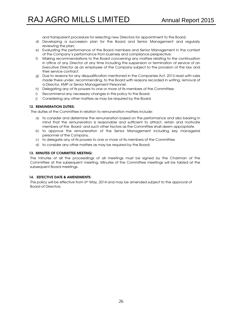and transparent procedure for selecting new Directors for appointment to the Board;

- d) Developing a succession plan for the Board and Senior Management and regularly reviewing the plan;
- e) Evaluating the performance of the Board members and Senior Management in the context of the Company's performance from business and compliance perspective;
- f) Making recommendations to the Board concerning any matters relating to the continuation in office of any Director at any time including the suspension or termination of service of an Executive Director as an employee of the Company subject to the provision of the law and their service contract.
- g) Due to reasons for any disqualification mentioned in the Companies Act, 2013 read with rules made there under, recommending, to the Board with reasons recorded in writing, removal of a Director, KMP or Senior Management Personnel.
- h) Delegating any of its powers to one or more of its members of the Committee;
- i) Recommend any necessary changes in this policy to the Board.
- j) Considering any other matters as may be required by the Board.

#### 12. REMUNERATION DUTIES:

The duties of the Committee in relation to remuneration matters include:

- a) to consider and determine the remuneration based on the performance and also bearing in mind that the remuneration is reasonable and sufficient to attract, retain and motivate members of the Board and such other factors as the Committee shall deem appropriate.
- b) to approve the remuneration of the Senior Management including key managerial personnel of the Company.
- c) to delegate any of its powers to one or more of its members of the Committee.
- d) to consider any other matters as may be required by the Board;

#### 13. MINUTES OF COMMITTEE MEETING:

The minutes of all the proceedings of all meetings must be signed by the Chairman of the Committee at the subsequent meeting. Minutes of the Committee meetings will be tabled at the subsequent Board meetings.

#### 14. EEFECTIVE DATE & AMENDMENTS:

This policy will be effective from 6<sup>th</sup> May, 2014 and may be amended subject to the approval of Board of Directors.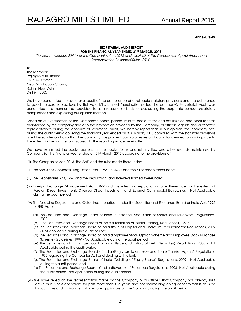#### Annexure-IV

#### SECRETARIAL AUDIT REPORT FOR THE FINANCIAL YEAR ENDED 31ST MARCH, 2015

[Pursuant to section 204(1) of the Companies Act, 2013 and ruleNo.9 of the Companies (Appointment and Remuneration Personnel)Rules, 2014]

 $T<sub>O</sub>$ The Members, Raj Agro Mills Limited C-8/149, Sector 8, Near Madhuban Chowk, Rohini, New Delhi, Delhi-110085

We have conducted the secretarial audit of the compliance of applicable statutory provisions and the adherence to good corporate practices by Raj Agro Mills Limited (hereinafter called the company). Secretarial Audit was conducted in a manner that provided to us a reasonable basis for evaluating the corporate conducts/statutory compliances and expressing our opinion thereon.

Based on our verification of the Company's books, papers, minute books, forms and returns filed and other records maintained by the company and also the information provided by the Company, its officers, agents and authorized representatives during the conduct of secretarial audit, We hereby report that in our opinion, the company has, during the audit period covering the financial year ended on 31<sup>st</sup> March, 2015 complied with the statutory provisions listed hereunder and also that the company has proper Board-processes and compliance-mechanism in place to the extent, in the manner and subject to the reporting made hereinafter.

We have examined the books, papers, minute books, forms and returns filed and other records maintained by Company for the financial year ended on 31<sup>st</sup> March, 2015 according to the provisions of:-

- (i) The Companies Act, 2013 (the Act) and the rules made thereunder;
- (ii) The Securities Contracts (Regulation) Act, 1956 ('SCRA') and the rules made thereunder;
- (iii) The Depositories Act, 1996 and the Regulations and Bye-laws framed thereunder;
- (iv) Foreign Exchange Management Act, 1999 and the rules and regulations made thereunder to the extent of Foreign Direct Investment, Oversea Direct Investment and External Commercial Borrowings - Not Applicable during the audit period;
- (v) The following Regulations and Guidelines prescribed under the Securities and Exchange Board of India Act, 1992 ('SEBI Act'):-
	- (a) The Securities and Exchange Board of India (Substantial Acquisition of Shares and Takeovers) Regulations, 2011;
	- (b) The Securities and Exchange Board of India (Prohibition of Insider Trading) Regulations, 1992;
	- (c) The Securities and Exchange Board of India (Issue of Capital and Disclosure Requirements) Regulations, 2009 - Not Applicable during the audit period;
	- (d) The Securities and Exchange Board of India (Employee Stock Option Scheme and Employee Stock Purchase Scheme) Guidelines, 1999 - Not Applicable during the audit period;
	- (e) The Securities and Exchange Board of India (Issue and Listing of Debt Securities) Regulations, 2008 Not Applicable during the audit period-;
	- (f) The Securities and Exchange Board of India (Registrars to an Issue and Share Transfer Agents) Regulations, 1993 regarding the Companies Act and dealing with client;
	- (g) The Securities and Exchange Board of India (Delisting of Equity Shares) Regulations, 2009 Not Applicable during the audit period; and
	- (h) The Securities and Exchange Board of India (Buyback of Securities) Regulations, 1998- Not Applicable during the audit period- Not Applicable during the audit period;
- (vi) We have relied on the representation made by the Company & its Officers that Company has already shut down its business operations for past more than five years and not maintaining going concern status, thus no Labour Laws and Environmental Laws are applicable on the Company during the audit period.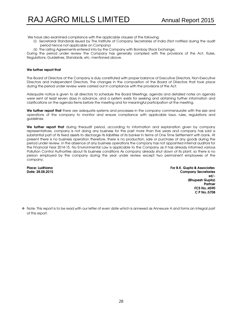We have also examined compliance with the applicable clauses of the following:

- (i) Secretarial Standards issued by The Institute of Company Secretaries of India (Not notified during the audit period hence not applicable on Company)
- (ii) The Listing Agreements entered into by the Company with Bombay Stock Exchange;

During the period under review the Company has generally complied with the provisions of the Act, Rules, Regulations, Guidelines, Standards, etc. mentioned above.

#### We further report that

The Board of Directors of the Company is duly constituted with proper balance of Executive Directors, Non-Executive Directors and Independent Directors. The changes in the composition of the Board of Directors that took place during the period under review were carried out in compliance with the provisions of the Act.

Adequate notice is given to all directors to schedule the Board Meetings, agenda and detailed notes on agenda were sent at least seven days in advance, and a system exists for seeking and obtaining further information and clarifications on the agenda items before the meeting and for meaningful participation at the meeting.

We further report that there are adequate systems and processes in the company commensurate with the size and operations of the company to monitor and ensure compliance with applicable laws, rules, regulations and guidelines.

We further report that during theaudit period, according to information and explanation given by company representatives, company is not doing any business for the past more than five years and company has sold a substantial part of its fixed assets to discharge its liabilities of its banker in terms of One Time Settlement with bank. At present there is no business operation therefore, there is no production, sale or purchase of any goods during the period under review. In the absence of any business operations the company has not appointed internal auditors for the Financial Year 2014-15. No Environmental Law is applicable to the Company as it has already informed various Pollution Control Authorities about its business conditions As company already shut down of its plant, so there is no person employed by the company during the year under review except two permanent employees of the company.

Place: Ludhiana For B.K. Gupta & Associates For B.K. Gupta & Associates Date: 28.08.2015 Company Secretaries sd/- (Bhupesh Gupta) Partner FCS No.:4590 C P No.:5708

- Note: This report is to be read with our letter of even date which is annexed as Annexure A and forms an integral part of this report.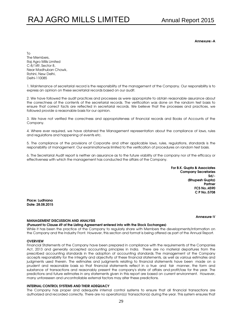Annexure:-A

 $T_{\Omega}$ The Members, Raj Agro Mills Limited C-8/149, Sector 8, Near Madhuban Chowk, Rohini, New Delhi, Delhi-110085

1. Maintenance of secretarial record is the responsibility of the management of the Company. Our responsibility is to express an opinion on these secretarial records based on our audit.

2. We have followed the audit practices and processes as were appropriate to obtain reasonable assurance about the correctness of the contents of the secretarial records. The verification was done on the random test basis to ensure that correct facts are reflected in secretarial records. We believe that the processes and practices, we followed provide a reasonable basis for our opinion.

3. We have not verified the correctness and appropriateness of financial records and Books of Accounts of the Company.

4. Where ever required, we have obtained the Management representation about the compliance of laws, rules and regulations and happening of events etc.

5. The compliance of the provisions of Corporate and other applicable laws, rules, regulations, standards is the responsibility of management. Our examinationwas limited to the verification of procedures on random test basis.

6. The Secretarial Audit report is neither an assurance as to the future viability of the company nor of the efficacy or effectiveness with which the management has conducted the affairs of the Company.

> For B.K. Gupta & Associates Company Secretaries Sd/- (Bhupesh Gupta) Partner FCS No.:4590 C P No.:5708

Place: Ludhiana Date: 28.08.2015

#### Annexure-V

#### MANAGEMENT DISCUSSION AND ANALYSIS

(Pursuant to Clause 49 of the Listing Agreement entered into with the Stock Exchanges)

While it has been the practice of the Company to regularly share with Members the developments/information on the Company and the Industry Front. However, this section and format is being offered as part of the Annual Report.

#### **OVERVIEW**

Financial Statements of the Company have been prepared in compliance with the requirements of the Companies Act, 2013 and generally accepted accounting principles in India. There are no material departures from the prescribed accounting standards in the adoption of accounting standards. The management of the Company accepts responsibility for the integrity and objectivity of these financial statements, as well as various estimates and judgments used therein. The estimates and judgments relating to financial statements have been made on a prudent and reasonable basis so that financial statements reflect in a true and fair manner, the form and substance of transactions and reasonably present the company's state of affairs and profit/loss for the year. The predictions and future estimates in any statements given in this report are based on current environment. However, many unforeseen and uncontrollable external factors may alter these predictions.

#### INTERNAL CONTROL SYSTEMS AND THEIR ADEQUACY

The Company has proper and adequate internal control systems to ensure that all financial transactions are authorized and recorded correctly. There are no operation(s)/ transaction(s) during the year. This system ensures that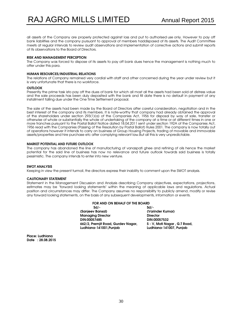all assets of the Company are properly protected against loss and put to authorised use only. However to pay off bank liabilities and the company pursuant to approval of members haddisposed of its assets. The Audit Committee meets at regular intervals to review audit observations and implementation of corrective actions and submit reports of its observations to the Board of Directors.

#### RISK AND MANAGEMENT PERCEPTION

The Company was forced to dispose of its assets to pay off bank dues hence the management is nothing much to offer under this para.

#### HUMAN RESOURCES/INDUSTRIAL RELATIONS

The relations of Company remained very cordial with staff and other concerned during the year under review but it is very unfortunate that there is no workforce.

#### **OUTLOOK**

Presently the prime task isto pay off the dues of bank for which all most all the assets had been sold at distress value and the sale proceeds has been duly deposited with the bank and till date there is no default in payment of any installment falling due under the One Time Settlement proposal.

The sale of the assets had been made by the Board of Directors after careful consideration, negotiation and in the best interest of the company and its members. It is note-worthy that company had already obtained the approval of the shareholders under section 293(1)(a) of the Companies Act, 1956 for disposal by way of sale, transfer or otherwise of whole or substantially the whole of undertaking of the company at a time or at different times in one or more tranches pursuant to the Postal Ballot Notice dated 18.04.2011 sent under section 192A of the Companies Act, 1956 read with the Companies (Passing of the Resolution by Postal Ballot) Rules 2001. The company is now totally out of operations however it intends to carry on business of Group Housing Projects, trading of movable and immovable assets/properties and hire purchase etc after complying relevant law.But all this is very unpredictable.

#### MARKET POTENTIAL AND FUTURE OUTLOOK

The company has abandoned the line of manufacturing of vanaspati ghee and refining of oils hence the market potential for the said line of business has now no relevance and future outlook towards said business is totally pessimistic. The company intends to enter into new venture.

#### SWOT ANALYSIS

Keeping in view the present turmoil, the directors express their inability to comment upon the SWOT analysis.

#### CAUTIONARY STATEMENT

Statement in the Management Discussion and Analysis describing Company objectives, expectations, projections, estimates may be "forward looking statements" within the meaning of applicable laws and regulations. Actual position and circumstances may differ. The Company assumes no responsibility to publicly amend, modify or revise any forward looking statements, on the basis of any subsequent developments, information or events.

### FOR AND ON BEHALF OF THE BOARD<br>Sd/-<br>Sd/-

 $Sd/ Sd/-$  (Sanjeev Bansal) (Varinder Kumar) Managing Director **Director** Director DIN:00057485 DIN:00057532 662/2, Premjit Road, Gurdev Nagar, S - V, Moti Nagar, G.T Road, Ludhiana-141001,Punjab Ludhiana-141007, Punjab

Place: Ludhiana Date : 28.08.2015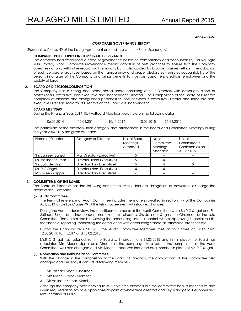#### Annexure-VI

#### CORPORATE GOVERNANCE REPORT

(Pursuant to Clause 49 of the Listing Agreement entered into with the Stock Exchanges)

#### 1. COMPANY'S PHILOSOPHY ON CORPORATE GOVERANCE

The company had established a code of governance based on transparency and accountability. For Raj Agro Mills Limited, Good Corporate Governance means adoption of best practices to ensure that the Company operates not only within the regulatory framework, but is also guided by broader business ethics. The adoption of such corporate practices- based on the transparency and proper disclosures – ensures accountability of the persons in charge of the Company and brings benefits to investors, customers, creditors, employees and the society at large.

#### 2. BOARD OF DIRECTORSCOMPOSITION

The Company has a strong and broad-based Board consisting of four Directors with adequate blend of professionals, executive, non-executive and independent Directors. The Composition of the Board of Directors comprises of eminent and distinguished personalities, one of which is executive Director and three are nonexecutive Directors. Majority of Directors on the Board are independent.

#### BOARD MEETINGS

During the Financial Year 2014-15, FiveBoard Meetings were held on the following dates.

06.05.2014 12.08.2014 10.11.2014 10.02.2015 31.03.2015

The particulars of the directors, their category and attendance in the Board and Committee Meetings during the year 2014-2015 are given as under:

| Name of Director   | Category of Director     | No. of Board | No. of    | No. of         |
|--------------------|--------------------------|--------------|-----------|----------------|
|                    |                          | Meetings     | Committee | Committee's    |
|                    |                          | Attended     | Meetings  | Chairman as on |
|                    |                          |              | Attended  | 31.03.2015     |
| Sh. Sanjeev Bansal | Mg. Director (Executive) |              |           |                |
| Sh. Varinder Kumar | Director (Non-Executive) |              |           |                |
| Sh. Jatinder Singh | Director(Non-Executive)  |              |           |                |
| Sh. R C Singal     | Director (Non-Executive) |              |           |                |
| Mrs. Meenu Uppal   | Director(Non-Executive)  |              |           |                |

#### 3. COMMITTEE(S) OF THE BOARD

The Board of Directors has the following committees with adequate delegation of powers to discharge the affairs of the Company.

#### (i) Audit Committee

The terms of reference of Audit Committee includes the matters specified in section 177 of the Companies Act, 2013 as well as Clause 49 of the listing agreement with stock exchanges.

During the year under review, the constituent members of the Audit Committee were Sh.R.C.Singal and Sh. Jatinder Singh, both independent non-executive directors. Sh. Jatinder Singhis the Chairman of the said Committee. The committee is reviewing the accounting, internal control system, approving financial results, the financial reporting, monitoring the compliance with accounting standards, principles, practices etc.

During the Financial Year 2014-15, the Audit Committee Members met on four times on 06.05.2014, 12.08.2014, 10.11.2014 and 10.02.2015.

Mr.R C Singal has resigned from the Board with effect from 31.03.2015 and in his place the Board has appointed Mrs. Meenu Uppal as a Director of the company. As a sequel the composition of the Audit Committee was also changed and Mrs.Meenu Uppal was inducted as a member in place of Mr. R C Singal.

#### (ii) Nomination and Remuneration Committee

With the change in the composition of the Board of Directors, the composition of this Committee also changed and presently it consists of following members:

- 1. Mr.Jatinder Singh, Chairman
- 2. Mrs.Meenu Uppal, Member
- 3. Mr.Varinder Kumar, Member

Although the company pays nothing to its whole time directors but the committee had its meeting as and when required as to propose appoint/re-appoint of whole time directors and Key Managerial Personnel and remuneration of KMPs.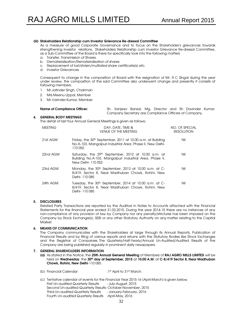#### (iii) Stakeholders Relationship cum Investor Grievance Re-dressal Committee

As a measure of good Corporate Governance and to focus on the Shareholder's grievances towards strengthening investor relations, Stakeholders Relationship cum Investor Grievance Re-dressal Committee, as a Sub-Committee of the Board is there for specifically look into the following matters

- a. Transfer, Transmission of Shares.
- b. Dematerialisation/Rematerialisation of shares
- c. Replacement of lost/stolen/mutilated share certificate(s) etc.
- d. Investor Grievances.

Consequent to change in the composition of Board with the resignation of Mr. R C Singal during the year under review, the composition of the said Committee also underwent change and presently it consists of following members;

- 1. Mr.Jatinder Singh, Chairman
- 2. Mrs.Meenu Uppal, Member
- 3. Mr.Varinder Kumar, Member

#### Name of Compliance Officer: Sh. Sanjeev Bansal, Ma. Director and Sh. Davinder Kumar. Company Secretary are Compliance Officers of Company.

#### 4. GENERAL BODY MEETINGS

The detail of last four Annual General Meetings is given as follows;

| <b>MEETING</b> | DAY, DATE, TIME &<br><b>VENUE OF THE MEETING</b>                                                                                                 | NO. OF SPECIAL<br><b>RESOLUTION</b> |
|----------------|--------------------------------------------------------------------------------------------------------------------------------------------------|-------------------------------------|
| 21st AGM       | Friday, the 30 <sup>th</sup> September, 2011 at 10.00 a.m. at Building<br>No.A-103, Mangolpuri Industrial Area, Phase II, New Delhi-<br>110052   | Nil                                 |
| 22nd AGM       | Saturday, the 29 <sup>th</sup> September, 2012 at 10.00 a.m. at<br>Building No.A-103, Mangolpuri Industrial Area, Phase II,<br>New Delhi- 110052 | Nil                                 |
| 23rd AGM       | Monday, the 30 <sup>th</sup> September, 2013 at 10.00 a.m. at C-<br>8/419, Sector 8, Near Madhuban Chowk, Rohini, New<br>Delhi- 110085           | Nil                                 |
| 24th AGM       | Tuesday, the 30 <sup>th</sup> September, 2014 at 10.00 a.m. at C-<br>8/419, Sector 8, Near Madhuban Chowk, Rohini, New<br>Delhi- 110085          | Nil                                 |

#### 5. DISCLOSURES

Related Party Transactions are reported by the Auditors in Notes to Accounts attached with the Financial Statements for the financial year ended 31.03.2015. During the year 2014-15 there are no instances of any non-compliance of any provision of law by Company nor any penalty/strictures has been imposed on the Company by Stock Exchange(s), SEBI or any other Statutory Authority on any matter relating to the Capital Market.

#### 6. MEANS OF COMMUNICATION

The Company communicates with the Shareholders at large through its Annual Reports, Publication of Financial Results and by filing of various reports and returns with the Statutory Bodies like Stock Exchanges and the Registrar of Companies. The Quarterly/Half-Yearly/Annual Un-Audited/Audited Results of the Company are being published regularly in prominent daily newspapers.

#### 7. GENERAL SHAREHOLDERS INFORMATION

- (a) As stated in the Notice, the 25th Annual General Meeting of Members of RAJ AGRO MILLS LIMITED will be held on Wednesday, the 30<sup>th</sup> day of September, 2015 at 10.00 A.M. at C-8/419 Sector 8, Near Madhuban Chowk, Rohini, New Delhi-110 085.
- (b) Financial Calendar :1st April to 31st March.
- (c) Tentative calendar of events for the Financial Year 2015-16 (April-March) is given below. First Un-audited Quarterly Results : July-August, 2015 Second Un-audited Quarterly Results: October-November, 2015 Third Un-audited Quarterly Results : January-February, 2016 Fourth Un-audited Quarterly Results :April-May, 2016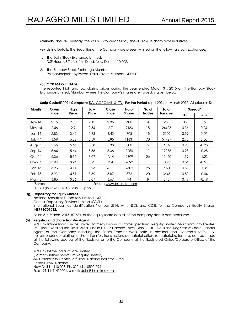(d)Book-Closure: Thursday, the 24.09.15 to Wednesday, the 30.09.2015 (both days inclusive).

- (e) Listing Details: The Securities of the Company are presently listed on the following Stock Exchanges.
- 1. The Delhi Stock Exchange Limited, DSE House, 3/1, Asaf Ali Road, New Delhi - 110 002.
- 2. The Bombay Stock Exchange,Mumbai PhirozeJeejeebhoyTowers, Dalal Street, Mumbai - 400 001

#### (f)STOCK MARKET DATA

The reported high and low closing prices during the year ended March 31, 2015 on The Bombay Stock Exchange Limited, Mumbai, where the Company's shares are traded, is given below:

| <b>Month</b> | Open  | High  | Low   | Close | No of         | No of         | <b>Total</b> | Spread* |         |
|--------------|-------|-------|-------|-------|---------------|---------------|--------------|---------|---------|
|              | Price | Price | Price | Price | <b>Shares</b> | <b>Trades</b> | Turnover     | $H-L$   | $C-O$   |
| Apr- $14$    | 2.15  | 2.35  | 2.15  | 2.35  | 400           | 4             | 900          | 0.2     | 0.2     |
| $May-14$     | 2.46  | 2.7   | 2.34  | 2.7   | 9163          | 15            | 24428        | 0.36    | 0.24    |
| $Jun-14$     | 2.83  | 3.42  | 2.83  | 3.42  | 793           | 15            | 2509         | 0.59    | 0.59    |
| July-14      | 3.59  | 6.32  | 3.59  | 5.95  | 11831         | 70            | 54727        | 2.73    | 2.36    |
| Aug-14       | 5.66  | 5.66  | 5.38  | 5.38  | 500           | 6             | 2802         | 0.28    | $-0.28$ |
| $Sep-14$     | 5.64  | 5.64  | 5.36  | 5.36  | 2250          | 11            | 12256        | 0.28    | $-0.28$ |
| $Oct-14$     | 5.36  | 5.36  | 3.97  | 4.14  | 2899          | 26            | 12460        | 1.39    | $-1.22$ |
| $Nov-14$     | 3.94  | 3.94  | 3.4   | 3.4   | 2692          | 11            | 10063        | 0.54    | $-0.54$ |
| $Jan-15$     | 3.23  | 4.11  | 3.23  | 4.11  | 2509          | 25            | 9071         | 0.88    | 0.88    |
| $Feb-15$     | 3.91  | 4.51  | 3.69  | 3.87  | 872           | 20            | 3646         | 0.82    | $-0.04$ |
| Mar-15       | 3.86  | 3.86  | 3.67  | 3.67  | 94            | 8             | 348          | 0.19    | $-0.19$ |

| <b>Scrip Code:</b> 530291 <b>Company:</b> RAJ AGRO MILLS LTD. <b>For the Period</b> : April 2014 to March 2015. All prices in Rs. |  |  |
|-----------------------------------------------------------------------------------------------------------------------------------|--|--|
|                                                                                                                                   |  |  |

\*Spread Source www.bseindia.com

H-L->High-LowC - 0 -> Close – Open

#### (g) Depository for Equity Shares

National Securities Depository Limited (NSDL)

Central Depository Services Limited (CDSL)

International Securities Identification Number (ISIN) with NSDL and CDSL for the Company's Equity Shares: INE791C01012.

As on 31<sup>st</sup> March, 2015, 87.68% of the equity share capital of the company stands dematerialized.

#### (h) Registrar and Share Transfer Agent

M/s Link Intime India Private Limited formerly known as Intime Spectrum Registry Limited 44- Community Centre, 2 nd Floor, Naraina Industrial Area, Phase-I, PVR Naraina, New Delhi - 110 028 is the Registrar & Share Transfer Agent of the Company handling the Share Transfer Work both in physical and electronic form. All correspondence relating to share transfer, transmission, dematerialisation, re-materialization etc. can be made at the following address of the Registrar or to the Company at the Registered Office/Corporate Office of the Company.

M/s Link Intime India Private Limited (Formerly Intime Spectrum Registry Limited) 44- Community Centre, 2<sup>nd</sup> Floor, Naraina Industrial Area Phase-I, PVR, Naraina, New Delhi – 110 028, Ph. 011-41410592-594 Fax: 91-11-41410591, e-mail: delhi@linkintime.co.in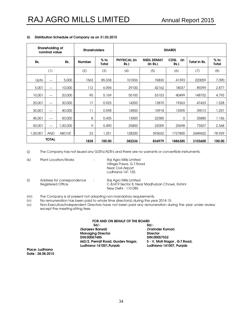|          | Shareholding of<br>nominal value |              | <b>Shareholders</b> |                 | <b>SHARES</b>        |                               |                               |                     |                        |
|----------|----------------------------------|--------------|---------------------|-----------------|----------------------|-------------------------------|-------------------------------|---------------------|------------------------|
| Rs.      |                                  | Rs.          | <b>Number</b>       | $%$ to<br>Total | PHYSICAL (in<br>Rs.) | <b>NSDL DEMAT</b><br>(in Rs.) | <b>CDSL</b><br>(in<br>$Rs.$ ) | <b>Total In Rs.</b> | $%$ to<br><b>Total</b> |
|          | (1)                              |              | (2)                 | (3)             | (4)                  | (5)                           | (6)                           | (7)                 | (8)                    |
| Upto     | $---$                            | 5,000        | 1563                | 85.038          | 101836               | 76830                         | 41393                         | 220059              | 7.090                  |
| 5,001    | ---                              | 10,000       | 112                 | 6.094           | 29100                | 42162                         | 18037                         | 89299               | 2.877                  |
| 10,001   | ---                              | 20,000       | 95                  | 5.169           | 55100                | 53153                         | 40499                         | 148752              | 4.793                  |
| 20,001   | $---$                            | 30,000       | 17                  | 0.925           | 14200                | 13870                         | 19363                         | 47433               | 1.528                  |
| 30,001   | $---$                            | 40,000       | 11                  | 0.598           | 14500                | 10918                         | 13595                         | 39013               | 1.257                  |
| 40,001   | ---                              | 50,000       | 8                   | 0.435           | 13500                | 22385                         | 0                             | 35885               | 1.156                  |
| 50,001   | ---                              | 000,000      | 9                   | 0.490           | 25800                | 22009                         | 25698                         | 73507               | 2.368                  |
| 1,00,001 | <b>AND</b>                       | <b>ABOVE</b> | 23                  | 1.251           | 128200               | 593652                        | 1727800                       | 2449652             | 78.929                 |
|          | <b>TOTAL</b>                     |              | 1838                | 100.00          | 382236               | 834979                        | 1886385                       | 3103600             | 100.00                 |

#### (i) Distribution Schedule of Company as on 31.03.2015

(j) The Company has not issued any GDR's/ADR's and there are no warrants or convertible instruments.

| (k) | Plant Location/Works                                   | $\cdot$       | Raj Agro Mills Limited<br>Village Pawa, G.T. Road<br>Near Civil Airport<br>Ludhiana-141 120.   |
|-----|--------------------------------------------------------|---------------|------------------------------------------------------------------------------------------------|
| (I) | Address for correspondence<br><b>Registered Office</b> | $\mathcal{L}$ | Raj Agro Mills Limited<br>C-8/419 Sector 8, Near Madhuban Chowk, Rohini<br>New Delhi - 110 085 |

- (m) The Company is at present not adopting non-mandatory requirements.
- (n) No remuneration has been paid to whole time director(s) during the year 2014-15.
- (o) Non-Executive/Independent Directors have not been paid any remuneration during the year under review except the meeting sitting fees.

#### FOR AND ON BEHALF OF THE BOARD

| $Sd/-$                             | $Sd$ -                       |
|------------------------------------|------------------------------|
| (Sanjeev Bansal)                   | (Varinder Kumar)             |
| <b>Manaaina Director</b>           | <b>Director</b>              |
| DIN:00057485                       | DIN:00057532                 |
| 662/2, Premjit Road, Gurdev Nagar, | S - V, Moti Nagar, G.T Road, |
| Ludhiana-141001, Punjab            | Ludhiana-141007, Punjab      |

Place: Ludhiana Date : 28.08.2015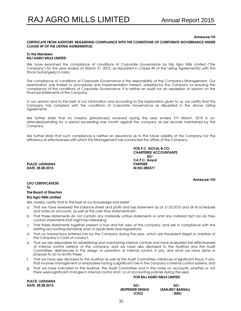#### Annexure-VII

Annexure-VIII

#### CERTIFICATE FROM AUDITORS' REGARDING COMPLIANCE WITH THE CONDITIONS OF CORPORATE GOVERNANCE UNDER CLAUSE 49 OF THE LISTING AGREEMENT(S)

#### To the Members RAJ AGRO MILLS LIMITED

We have examined the compliance of conditions of Corporate Governance by Raj Agro Mills Limited ("the Company") for the year ended on March 31, 2015, as stipulated in Clause 49 of the Listing Agreement(s) with the Stock Exchange(s) in India.

The compliance of conditions of Corporate Governance is the responsibility of the Company's Management. Our examination was limited to procedures and implementation thereof, adopted by the Company for ensuring the compliance of the conditions of Corporate Governance. It is neither an audit nor an expression of opinion on the financial statements of the Company.

In our opinion and to the best of our information and according to the explanation given to us, we certify that the Company has complied with the conditions of Corporate Governance as stipulated in the above Listing Agreements.

We further state that no investor grievance(s) received during the year ended 31<sup>st</sup> March, 2015 is unattended/pending for a period exceeding one month against the company as per records maintained by the Company.

We further state that such compliance is neither an assurance as to the future viability of the Company nor the efficiency or effectiveness with which the Management has conducted the affairs of the Company.

> FOR P.C. GOYAL & CO. CHARTERED ACCOUNTANTS Sd/- CA P.C. Goyal

PLACE: LUDHIANA PARTNER DATE: 28.08.2015

#### CFO CERTIFICATION To

#### The Board of Directors

### Raj Agro Mills Limited

We, hereby certify that to the best of our knowledge and belief

- a. That we have reviewed the balance sheet and profit and loss statement as at 31.03.2015 and all its schedules and notes on accounts, as well as the cash flow statements etc.
- b. That these statements do not contain any materially untrue statements or omit any material fact nor do they contain statements that might be misleading;
- c. That these statements together present a true and fair view of the company, and are in compliance with the existing accounting standards and/ or applicable laws/regulations;
- d. That no transactions entered into by the Company during the year, which are fraudulent illegal or violative of the Company's Code of conduct.
- e. That we are responsible for establishing and maintaining internal controls and have evaluated the effectiveness of internal control systems of the company; and we have also disclosed to the Auditors and the Audit Committee, deficiencies in the design or operation of internal control, if any, and what we have done or propose to do to rectify these;
- f. That we have also disclosed to the Auditors as well as the Audit Committee, instances of significant fraud, if any, that involves management or employees having a significant role in the company's internal control systems; and
- g. That we have indicated to the Auditors, the Audit Committee and in the notes on accounts, whether or not there were significant changes in internal control and / or of accounting policies during the year.

PLACE: LUDHIANA DATE: 28.08.2015

| Sd/-             | $Sd$ .           |
|------------------|------------------|
| (RUPINDER SINGH) | (SANJEEV BANSAL) |
| (CFO)            | (MD)             |
|                  |                  |

FOR RAJ AGRO MILLS LIMITED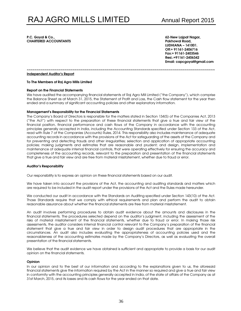#### P.C. Goyal & Co., **62-New Lajpat Nagar,** 62-New Lajpat Nagar, **CHARTERED ACCOUNTANTS CHARTERED ACCOUNTANTS**

LUDHIANA – 141001. Off:+ 91161-2406716 Fax:+ 91161-2403546 Resi.:+91161-2406342 Email: capcgoyal@gmail.com

~~~~~~~~~~~~~~~~~~~~~~~~~~~~~~~~~~~~~~~~~~~~~~~~~~~~~~~~~~~~~~~~~~~~~~~~~~~~~~~~~~~~~~~~~~~~~~ Independent Auditor's Report

#### To The Members of Raj Agro Mills Limited

#### Report on the Financial Statements

We have audited the accompanying financial statements of Raj Agro Mill Limited ("the Company"), which comprise the Balance Sheet as at March 31, 2015, the Statement of Profit and Loss, the Cash flow statement for the year then ended and a summary of significant accounting policies and other explanatory information.

#### Management's Responsibility for the Financial Statements

The Company's Board of Directors is responsible for the matters stated in Section 134(5) of the Companies Act, 2013 ("the Act") with respect to the preparation of these financial statements that give a true and fair view of the financial position, financial performance and cash flows of the Company in accordance with the accounting principles generally accepted in India, including the Accounting Standards specified under Section 133 of the Act, read with Rule 7 of the Companies (Accounts) Rules, 2014. This responsibility also includes maintenance of adequate accounting records in accordance with the provisions of the Act for safeguarding of the assets of the Company and for preventing and detecting frauds and other irregularities; selection and application of appropriate accounting policies; making judgments and estimates that are reasonable and prudent; and design, implementation and maintenance of adequate internal financial controls, that were operating effectively for ensuring the accuracy and completeness of the accounting records, relevant to the preparation and presentation of the financial statements that give a true and fair view and are free from material misstatement, whether due to fraud or error.

#### Auditor's Responsibility

Our responsibility is to express an opinion on these financial statements based on our audit.

We have taken into account the provisions of the Act, the accounting and auditing standards and matters which are required to be included in the audit report under the provisions of the Act and the Rules made hereunder.

We conducted our audit in accordance with the Standards on Auditing specified under Section 143(10) of the Act. Those Standards require that we comply with ethical requirements and plan and perform the audit to obtain reasonable assurance about whether the financial statements are free from material misstatement.

An audit involves performing procedures to obtain audit evidence about the amounts and disclosures in the financial statements. The procedures selected depend on the auditor's judgment, including the assessment of the risks of material misstatement of the financial statements, whether due to fraud or error. In making those risk assessments, the auditor considers internal financial control relevant to the Company's preparation of the financial statement that give a true and fair view in order to design audit procedures that are appropriate in the circumstances. An audit also includes evaluating the appropriateness of accounting policies used and the reasonableness of the accounting estimates made by the Company's Directors, as well as evaluating the overall presentation of the financial statements.

We believe that the audit evidence we have obtained is sufficient and appropriate to provide a basis for our audit opinion on the financial statements.

#### Opinion

In our opinion and to the best of our information and according to the explanations given to us, the aforesaid financial statements give the information required by the Act in the manner so required and give a true and fair view in conformity with the accounting principles generally accepted in India, of the state of affairs of the Company as at 31st March, 2015, and its losses and its cash flows for the year ended on that date.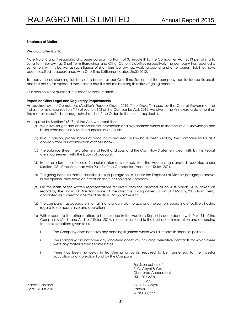#### Emphasis of Matter

We draw attention to

Note No.3, 6 and 7 regarding disclosure pursuant to Part I of Schedule III to the Companies Act, 2013 pertaining to Long-Term Borrowings, Short-Term Borrowings and Other Current Liabilities respectively the company has reached a settlement with its banker as such figures of short term borrowings, working capital and other current liabilities have been classified in accordance with One Time Settlement dated 26.09.2012.

To repay the outstanding liabilities of its banker as per One Time Settlement the company has liquidated its assets and has not so far replaced those assets thus it is not maintaining its status of going concern.

Our opinion is not qualified in respect of these matters.

#### Report on Other Legal and Regulatory Requirements

As required by the Companies (Auditor's Report) Order, 2015 ("the Order"), issued by the Central Government of India in terms of sub-section (11) of section 143 of the Companies Act, 2015, we give in the Annexure a statement on the matters specified in paragraphs 3 and 4 of the Order, to the extent applicable.

As required by Section 143 (3) of the Act, we report that:

- (a) We have sought and obtained all the information and explanations which to the best of our knowledge and belief were necessary for the purposes of our audit.
- (b) In our opinion, proper books of account as required by law have been kept by the Company so far as it appears from our examination of those books.
- (c) The Balance Sheet, the Statement of Profit and Loss, and the Cash Flow Statement dealt with by this Report are in agreement with the books of account.
- (d) In our opinion, the aforesaid financial statements comply with the Accounting standards specified under Section 133 of the Act, read with Rule 7 of the Companies (Accounts) Rules, 2014.
- (e) The going concern matter described in sub-paragraph (b) under the Emphasis of Matters paragraph above, in our opinion, may have an effect on the functioning of Company.
- (f) On the basis of the written representations received from the directors as on 31st March, 2015, taken on record by the Board of Directors, none of the directors is disqualified as on 31st March, 2015 from being appointed as a director in terms of Section 164 (2) of the Act.
- (g) The company has adequate internal financial controls in place and the same is operating effectively having regard to company' size and operations.
- (h) With respect to the other matters to be included in the Auditor's Report in accordance with Rule 11 of the Companies (Audit and Auditors) Rules, 2014, in our opinion and to the best of our information and according to the explanations given to us:
	- i The Company does not have any pending litigations which would impact its financial position.
	- ii The Company did not have any long-term contracts including derivative contracts for which there were any material foreseeable losses.
	- iii There has been no delay in transferring amounts, required to be transferred, to the Investor Education and Protection Fund by the Company.

For & on behalf of P. C. Goyal & Co., Chartered Accountants FRN: 002368N Sd/- M.NO.080377

Place: Ludhiana CA. P.C. Goyal Date: 28.08.2015 Partner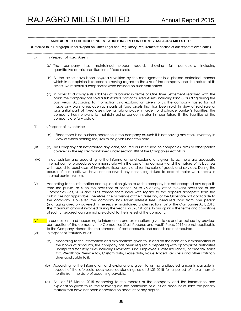#### ------------------------------------------------------------------------------------------------------------------------------------------------------------------------- **ANNEXURE TO THE INDEPENDENT AUDITORS' REPORT OF M/S RAJ AGRO MILLS LTD.**

(Referred to in Paragraph under 'Report on Other Legal and Regulatory Requirements' section of our report of even date.)

--------------------------------------------------------------------------------------------------------------------------------------------------------------------------

- (i) In Respect of Fixed Assets:
	- (a) The company has maintained proper records showing full particulars, including quantitative details and situation of fixed assets.
	- (b) All the assets have been physically verified by the management in a phased periodical manner which in our opinion is reasonable having regard to the size of the company and the nature of its assets. No material discrepancies were noticed on such verification.
	- (c) In order to discharge its liabilities of its banker in terms of One Time Settlement reached with the bank, the company has sold a substantial part of its Fixed Assets including land & building during the past years. According to information and explanation given to us, the company has so far not made any plan to replace such parts of fixed assets that has been sold. In view of said sale of substantial part of fixed assets being taking place in order to discharge banker's liabilities, the company has no plans to maintain going concern status in near future till the liabilities of the company are fully paid off.
- (ii) In Respect of Inventories:
	- (a) Since there is no business operation in the company as such it is not having any stock inventory in view of which nothing requires to be given under this para.
- (iii) (a) The Company has not granted any loans, secured or unsecured, to companies, firms or other parties covered in the register maintained under section 189 of the Companies Act, 2013.
- (iv) In our opinion and according to the information and explanations given to us, there are adequate internal control procedures commensurate with the size of the company and the nature of its business with regard to purchases of inventory, fixed assets and for the sale of goods and services. During the course of our audit, we have not observed any continuing failure to correct major weaknesses in internal control system.
- (v) According to the information and explanation given to us the company has not accepted any deposits from the public, as such the provisions of section 73 to 76 or any other relevant provisions of the Companies Act, 2013 and rules framed thereunder with regard to the deposits accepted from the public are not applicable. Therefore, the provisions of the clause 3(v) of the Order are not applicable to the company. However, the company has taken interest free unsecured loan from one person (managing director) covered in the register maintained under section 189 of the Companies Act, 2013. The maximum amount involved during the year is Rs.398.59 Lacs. In our opinion the terms and conditions of such unsecured loan are not prejudicial to the interest of the company.
- $(vi)$  In our opinion, and according to information and explanations given to us and as opined by previous cost auditor of the company, the Companies (Cost Records and Audit) Rules, 2014 are not applicable to the Company. Hence, the maintenance of cost accounts and records are not required.
- (vii) In respect of Statutory dues:
	- (a) According to the information and explanations given to us and on the basis of our examination of the books of accounts, the company has been regular in depositing with appropriate authorities undisputed statutory dues including Provident Fund, Employee's State Insurance, Income tax, Sales tax, Wealth tax, Service tax, Custom duty, Excise duty, Value Added Tax, Cess and other statutory dues applicable to it.
	- (b) According to the information and explanations given to us, no undisputed amounts payable in respect of the aforesaid dues were outstanding, as at 31.03.2015 for a period of more than six months from the date of becoming payable.
	- (c) As at 31st March 2015 according to the records of the company and the information and explanation given to us, the following are the particulars of dues on account of sales tax penalty matters that have not been deposited on account of any dispute: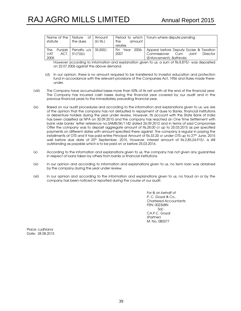| Name of the I<br>statute          | Nature of l<br>the dues            | Amount<br>(in Rs.) | the<br>amount<br>relates  | Period to which   Forum where dispute pending                                                              |
|-----------------------------------|------------------------------------|--------------------|---------------------------|------------------------------------------------------------------------------------------------------------|
| The<br><b>VAT</b><br>ACT.<br>2005 | Puniab   Penalty u/s  <br>51(7)(b) | $35.500/-$         | 2006-<br>Fin Year<br>2007 | Appeal before Deputy Excise & Taxation<br>Commissioner Cum<br>Joint<br>Director<br>(Enforcement), Bathinda |

However according to information and explanation given to us, a sum of Rs.8,875/- was deposited on 22.07.2006 against the above demand.

- (d) In our opinion, there is no amount required to be transferred to Investor education and protection fund in accordance with the relevant provisions of the Companies Act, 1956 and Rules made thereunder.
- (viii) The Company have accumulated losses more than 50% of its net worth at the end of the financial year. The Company has incurred cash losses during the financial year covered by our audit and in the previous financial years to the immediately preceding financial year.
- (ix) Based on our audit procedures and according to the information and explanations given to us, we are of the opinion that the company has not defaulted in repayment of dues to Banks, financial institutions or debenture holders during the year under review. However, its account with the State Bank of India has been classified as NPA on 30.09.2010 and the company has reached an One Time Settlement with bank vide banks' letter reference no.SAMB/SK/1142 dated 26.09.2012 and in terms of said Compromise Offer the company was to deposit aggregate amount of Rs.28.00 cr up to 25.03.2015 as per specified payments on different dates with amount specified there against. The company is regular in paying the installments of OTS and it has paid entire Principal Amount of Rs.33.20 cr under OTS up to 27<sup>th</sup> June, 2015 well before due date of 25<sup>th</sup> September, 2015. However, Interest amount of Rs.2,85,24,915/- is still outstanding as payable which is to be paid on or before 25.03.2016.
- (x) According to the information and explanations given to us, the company has not given any guarantee in respect of loans taken by others from banks or financial institutions.
- (xi) In our opinion and according to information and explanations given to us, no term loan was obtained by the company during the year under review.
- (xii) In our opinion and according to the information and explanations given to us, no fraud on or by the company has been noticed or reported during the course of our audit.

For & on behalf of P. C. Goyal & Co., Chartered Accountants FRN: 002368N  $Sd$  /- CA.P.C. Goyal (Partner) M. No. 080377

Place: Ludhiana Date: 28.08.2015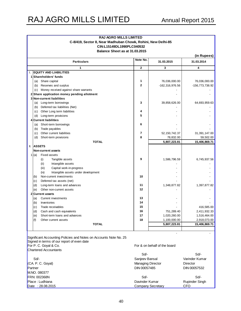| RAJ AGRO MILLS LIMITED                                                                                          |                          |                              |                 |  |  |  |
|-----------------------------------------------------------------------------------------------------------------|--------------------------|------------------------------|-----------------|--|--|--|
| C-8/419, Sector 8, Near Madhuban Chowk, Rohini, New Delhi-85                                                    |                          |                              |                 |  |  |  |
| CIN:L15149DL1990PLC040532<br>Balance Sheet as at 31.03.2015                                                     |                          |                              |                 |  |  |  |
|                                                                                                                 |                          |                              | (in Rupees)     |  |  |  |
| <b>Particulars</b>                                                                                              | Note No.                 | 31.03.2015                   | 31.03.2014      |  |  |  |
| 1                                                                                                               | $\overline{2}$           | 3                            | 4               |  |  |  |
| <b>EQUITY AND LIABILITIES</b>                                                                                   |                          |                              |                 |  |  |  |
| Shareholders' funds<br>1                                                                                        |                          |                              |                 |  |  |  |
| (a) Share capital                                                                                               | 1                        | 76,036,000.00                | 76,036,000.00   |  |  |  |
| (b) Reserves and surplus                                                                                        | $\overline{2}$           | -162,316,976.56              | -156,773,738.92 |  |  |  |
| (c) Money received against share warrants                                                                       |                          |                              |                 |  |  |  |
| Share application money pending allotment                                                                       |                          |                              |                 |  |  |  |
| 3 Non-current liabilities                                                                                       | 3                        |                              |                 |  |  |  |
| (a) Long-term borrowings<br>(b) Deferred tax liabilities (Net)                                                  |                          | 39,858,626.00                | 64,693,959.63   |  |  |  |
| (c) Other Long term liabilities                                                                                 | 4                        |                              |                 |  |  |  |
| (d) Long-term provisions                                                                                        | 5                        |                              |                 |  |  |  |
| <b>Current liabilities</b>                                                                                      |                          |                              |                 |  |  |  |
| (a) Short-term borrowings                                                                                       | 6                        |                              |                 |  |  |  |
| (b) Trade payables                                                                                              |                          |                              |                 |  |  |  |
| (c) Other current liabilities                                                                                   | 7                        | 52, 150, 742. 37             | 31,391,147.00   |  |  |  |
| Short-term provisions<br>(d)                                                                                    | 8                        | 78,832.00                    | 59,502.00       |  |  |  |
| <b>TOTAL</b>                                                                                                    |                          | 5,807,223.81                 | 15,406,869.71   |  |  |  |
| Ш.<br><b>ASSETS</b>                                                                                             |                          |                              |                 |  |  |  |
| Non-current assets                                                                                              |                          |                              |                 |  |  |  |
| <b>Fixed assets</b><br>1 (a)                                                                                    |                          |                              |                 |  |  |  |
| (i)<br>Tangible assets                                                                                          | 9                        | 1,586,796.59                 | 6,745,937.56    |  |  |  |
| (ii)<br>Intangible assets                                                                                       |                          |                              |                 |  |  |  |
| (iii)<br>Capital work-in-progress                                                                               |                          |                              |                 |  |  |  |
| Intangible assets under development<br>(iv)                                                                     |                          |                              |                 |  |  |  |
| Non-current investments<br>(b)                                                                                  | 10                       |                              |                 |  |  |  |
| Deferred tax assets (net)<br>(c)                                                                                |                          |                              |                 |  |  |  |
| Long-term loans and advances<br>(d)                                                                             | 11                       | 1,348,877.82                 | 1,397,877.82    |  |  |  |
| Other non-current assets<br>(e)                                                                                 | 12                       |                              |                 |  |  |  |
| <b>Current assets</b><br>2                                                                                      |                          |                              |                 |  |  |  |
| <b>Current investments</b><br>(a)                                                                               | 13                       |                              |                 |  |  |  |
| Inventories<br>(b)                                                                                              | 14                       |                              |                 |  |  |  |
| Trade receivables<br>(c)                                                                                        | 15                       |                              | 416,585.00      |  |  |  |
| Cash and cash equivalents<br>(d)                                                                                | 16                       | 751,289.40                   | 2,411,932.33    |  |  |  |
| Short-term loans and advances<br>(e)                                                                            | 17                       | 1,020,260.00                 | 1,516,464.00    |  |  |  |
| Other current assets<br>(f)                                                                                     | 18                       | 1,100,000.00                 | 2,918,073.00    |  |  |  |
| <b>TOTAL</b>                                                                                                    |                          | 5,807,223.81                 | 15,406,869.71   |  |  |  |
|                                                                                                                 |                          |                              |                 |  |  |  |
|                                                                                                                 |                          |                              |                 |  |  |  |
| Significant Accounting Policies and Notes on Accounts Note No. 25<br>Signed in terms of our report of even date |                          |                              |                 |  |  |  |
| For P. C. Goyal & Co.                                                                                           |                          | For & on behalf of the board |                 |  |  |  |
| <b>Chartered Accountants</b>                                                                                    |                          |                              |                 |  |  |  |
|                                                                                                                 | Sd/-                     |                              | Sd/-            |  |  |  |
| Sd/-                                                                                                            | Sanjeev Bansal           |                              | Varinder Kumar  |  |  |  |
| (CA. P. C. Goyal)                                                                                               | <b>Managing Director</b> |                              | Director        |  |  |  |
| Partner                                                                                                         | DIN 00057485             |                              | DIN 00057532    |  |  |  |
| M.NO. 080377                                                                                                    |                          |                              |                 |  |  |  |
|                                                                                                                 |                          |                              |                 |  |  |  |

FRN: 002368N Sd/- Sd/- Place : Ludhiana **Davider Kumar Ruping Singh American**<br>Date : 28.08.2015 **Davider Singh American Company Secret** Company Secretary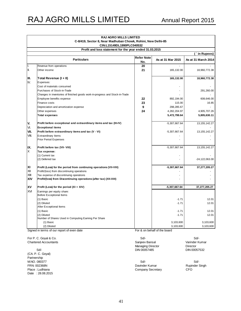|            | <b>RAJ AGRO MILLS LIMITED</b>                                                |            |                              |                     |  |  |  |  |
|------------|------------------------------------------------------------------------------|------------|------------------------------|---------------------|--|--|--|--|
|            | C-8/419, Sector 8, Near Madhuban Chowk, Rohini, New Delhi-85                 |            |                              |                     |  |  |  |  |
|            | CIN:L15149DL1990PLC040532                                                    |            |                              |                     |  |  |  |  |
|            | Profit and loss statement for the year ended 31.03.2015                      |            |                              |                     |  |  |  |  |
|            |                                                                              | Refer Note |                              | in Rupees)          |  |  |  |  |
|            | <b>Particulars</b>                                                           | No.        | As at 31 Mar 2015            | As at 31 March 2014 |  |  |  |  |
| II.        | Revenue from operations                                                      | 20         |                              |                     |  |  |  |  |
| III.       | Other income                                                                 | 21         | 165, 132.00                  | 18,960,772.38       |  |  |  |  |
|            |                                                                              |            |                              |                     |  |  |  |  |
| IIII.      | Total Revenue (I + II)                                                       |            | 165,132.00                   | 18,960,772.38       |  |  |  |  |
| IV.        | Expenses:                                                                    |            |                              |                     |  |  |  |  |
|            | Cost of materials consumed                                                   |            |                              |                     |  |  |  |  |
|            | Purchases of Stock-in-Trade                                                  |            |                              | 291,260.00          |  |  |  |  |
|            | Changes in inventories of finished goods work-in-progress and Stock-in-Trade |            |                              |                     |  |  |  |  |
|            | Employee benefits expense                                                    | 22         | 892, 194.00                  | 608,646.00          |  |  |  |  |
|            | Finance costs                                                                | 23         | 115.00                       | 16.85               |  |  |  |  |
|            | Depreciation and amortization expense                                        | 9          | 298,285.67                   |                     |  |  |  |  |
|            | Other expenses                                                               | 24         | 4,282,204.97                 | 4,905,707.26        |  |  |  |  |
|            | <b>Total expenses</b>                                                        |            | 5,472,799.64                 | 5,805,630.11        |  |  |  |  |
|            |                                                                              |            |                              |                     |  |  |  |  |
| IV.<br>VI. | Profit before exceptional and extraordinary items and tax (III-IV)           |            | $-5,307,667.64$              | 13, 155, 142. 27    |  |  |  |  |
| VII.       | <b>Exceptional items</b>                                                     |            |                              |                     |  |  |  |  |
| VIII.      | Profit before extraordinary items and tax (V - VI)                           |            | $-5,307,667.64$              | 13, 155, 142. 27    |  |  |  |  |
|            | Extraordinary Items<br><b>Prior Period Expenses</b>                          |            |                              |                     |  |  |  |  |
|            |                                                                              |            |                              |                     |  |  |  |  |
| IX.        | Profit before tax (VII- VIII)                                                |            | $-5,307,667.64$              | 13, 155, 142. 27    |  |  |  |  |
| X          | Tax expense:                                                                 |            |                              |                     |  |  |  |  |
|            | (1) Current tax                                                              |            |                              |                     |  |  |  |  |
|            | (2) Deferred tax                                                             |            |                              | $-24, 122, 063.00$  |  |  |  |  |
| XI         | Profit (Loss) for the period from continuing operations (VII-VIII)           |            | $-5,307,667.64$              | 37,277,205.27       |  |  |  |  |
| XII        | Profit/(loss) from discontinuing operations                                  |            |                              |                     |  |  |  |  |
| XIII       | Tax expense of discontinuing operations                                      |            |                              |                     |  |  |  |  |
| XIV        | Profit/(loss) from Discontinuing operations (after tax) (XII-XIII)           |            |                              |                     |  |  |  |  |
| XV         | Profit (Loss) for the period (XI + XIV)                                      |            | $-5,307,667.64$              | 37,277,205.27       |  |  |  |  |
| <b>XVI</b> | Earnings per equity share:                                                   |            |                              |                     |  |  |  |  |
|            | <b>Before Exceptional Items</b>                                              |            |                              |                     |  |  |  |  |
|            | (1) Basic                                                                    |            | $-1.71$                      | 12.01               |  |  |  |  |
|            | (2) Diluted                                                                  |            | $-1.71$                      | 12.01               |  |  |  |  |
|            | After Exceptional Items                                                      |            |                              |                     |  |  |  |  |
|            | (1) Basic                                                                    |            | $-1.71$                      | 12.01               |  |  |  |  |
|            | (2) Diluted                                                                  |            | $-1.71$                      | 12.01               |  |  |  |  |
|            | Number of Shares Used in Computing Earning Per Share                         |            |                              | 3,103,600           |  |  |  |  |
|            | (1) Basic<br>(2) Diluted                                                     |            | 3,103,600<br>3,103,600       | 3,103,600           |  |  |  |  |
|            | Signed in terms of our report of even date                                   |            | For & on behalf of the board |                     |  |  |  |  |
|            |                                                                              |            |                              |                     |  |  |  |  |

For P. C. Goyal & Co. Solution of the Solution of the Solution of Solution Solution Solution Solution Solution Solution Solution Solution Solution Solution Solution Solution Solution Solution Solution Solution Solution Sol

(CA. P. C. Goyal) Partnership M.NO. 080377 Sd/- Sd/- Date : 28.08.2015

Chartered Accountants and Chartered Accountants and Chartered Accountants Chartered Accountants Chartered Chartered Chartered Accountants and Chartered Chartered Accountants Chartered Accountants Chartered Accountants Char Managing Director<br>DIN 00057485 Sd/- DIN 00057485 DIN 00057532

Davinder Kumar Place : Ludhiana Company Secretary CFO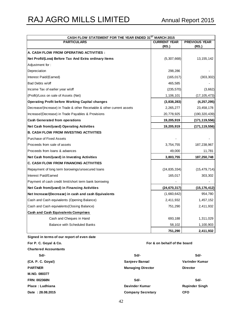| CASH FLOW STATEMENT FOR THE YEAR ENDED 31ST MARCH 2015                 |                     |                      |  |  |  |
|------------------------------------------------------------------------|---------------------|----------------------|--|--|--|
| <b>PARTICULARS</b>                                                     | <b>CURRENT YEAR</b> | <b>PREVIOUS YEAR</b> |  |  |  |
|                                                                        | (RS.)               | (RS.)                |  |  |  |
| A. CASH FLOW FROM OPERATING ACTIVITIES :                               |                     |                      |  |  |  |
| Net Profit/(Loss) Before Tax And Extra ordinary Items                  | (5,307,668)         | 13, 155, 142         |  |  |  |
| Adjustment for:                                                        |                     |                      |  |  |  |
| Depreciation                                                           | 298,286             |                      |  |  |  |
| Interest Paid/(Earned)                                                 | (165, 017)          | (303, 302)           |  |  |  |
| Bad Debts w/off                                                        | 465,585             |                      |  |  |  |
| Income Tax of earlier year w/off                                       | (235, 570)          | (3,662)              |  |  |  |
| (Profit)/Loss on sale of Assets (Net)                                  | 1,106,101           | (17,105,473)         |  |  |  |
| <b>Operating Profit before Working Capital changes</b>                 | (3,838,283)         | (4, 257, 295)        |  |  |  |
| Decrease/(Increase) in Trade & other Receivable & other current assets | 2,265,277           | 23,458,178           |  |  |  |
| Increase/(Decrease) in Trade Payables & Provisions                     | 20,778,925          | (190, 320, 439)      |  |  |  |
| <b>Cash Generated from operations</b>                                  | 19,205,919          | (171,119,556)        |  |  |  |
| Net Cash from/(used) Operating Activities                              | 19,205,919          | (171,119,556)        |  |  |  |
| <b>B. CASH FLOW FROM INVESTING ACTIVITIES</b>                          |                     |                      |  |  |  |
| <b>Purchase of Fixed Assets</b>                                        |                     |                      |  |  |  |
| Proceeds from sale of assets                                           | 3,754,755           | 187,238,967          |  |  |  |
| Proceeds from loans & advances                                         | 49,000              | 11,781               |  |  |  |
| Net Cash from/(used) in Investing Activities                           | 3,803,755           | 187,250,748          |  |  |  |
| <b>C. CASH FLOW FROM FINANCING ACTIVITIES</b>                          |                     |                      |  |  |  |
| Repayment of long term borowings/unsecured loans                       | (24, 835, 334)      | (15, 479, 714)       |  |  |  |
| Interest Paid/Earned                                                   | 165,017             | 303,302              |  |  |  |
| Payment of cash credit limit/short term bank borrowing                 |                     |                      |  |  |  |
| Net Cash from/(used) in Financing Activities                           | (24, 670, 317)      | (15, 176, 412)       |  |  |  |
| Net Increase/(Decrease) in cash and cash Equivalents                   | (1,660,642)         | 954,780              |  |  |  |
| Cash and Cash equivalents (Opening Balance)                            | 2,411,932           | 1,457,152            |  |  |  |
| Cash and Cash equivalents (Closing Balance)                            | 751,290             | 2,411,932            |  |  |  |
| <b>Cash and Cash Equivalents Comprises</b>                             |                     |                      |  |  |  |
| Cash and Cheques in Hand                                               | 693,188             | 1,311,029            |  |  |  |
| <b>Balance with Scheduled Banks</b>                                    | 58,102              | 1,100,903            |  |  |  |
|                                                                        | 751,290             | 2,411,932            |  |  |  |

#### **Signed in terms of our report of even date**

**For P. C. Goyal & Co.** 

### **Chartered Accountants Sd/- Sd/- Sd/- (CA. P. C. Goyal) Sanjeev Bansal Varinder Kumar PARTNER Director Director Managing Director Director M.NO. 080377 FRN: 002368N Sd/- Sd/- Place : Ludhiana Davinder Kumar Rupinder Singh Date : 28.08.2015 Company Secretary CFO**

**For & on behalf of the board**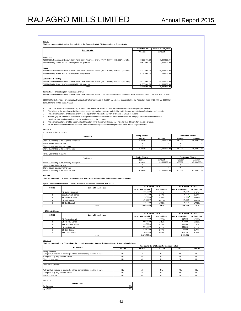**Disclosure pursuant to Part I of Schedule III to the Companies Act, 2013 pertaining to Share Capital**

|                                                                                                             | As at 31 Mar. 2015 | As at 31 March, 2014 |
|-------------------------------------------------------------------------------------------------------------|--------------------|----------------------|
| <b>Share Capital</b>                                                                                        | Amount             | Amount               |
|                                                                                                             |                    |                      |
| Authorised                                                                                                  |                    |                      |
| 450000 10% Redeemable Non-cumulative Participative Preference Shares (Prv Yr 450000) of Rs.100/- par value) | 45.000.000.00      | 45.000.000.00        |
| 3250000 Equity Shares (Prv Yr 3250000) of Rs. 10/- par value                                                | 32,500,000,00      | 32.500.000.00        |
|                                                                                                             |                    |                      |
| Issued                                                                                                      |                    |                      |
| 450000 10% Redeemable Non-cumulative Participative Preference Shares (Prv Yr 450000) of Rs.100/- par value) | 45,000,000.00      | 45,000,000,00        |
| 3103600 Equity Shares (Prv Yr 3103600) of Rs.10/- par value                                                 | 31.036.000.00      | 31.036.000.00        |
|                                                                                                             |                    |                      |
| Subscribed & Paid up                                                                                        |                    |                      |
| 450000 10% Redeemable Non-cumulative Participative Preference Shares (Prv Yr 450000) of Rs.100/- par value) | 45.000.000.00      | 45,000,000,00        |
| 3103600 Equity Shares (Prv Yr 3103600) of Rs. 10/- par value                                                | 31,036,000.00      | 31,036,000.00        |
| Total                                                                                                       | 76.036.000.00      | 76.036.000.00        |

Terms of issue and redemption of preference shares:

150000 10% Redeemable Non-cumulative Participative Preference Shares of Rs.100/- each issued pursuant to Special Resolution dated 21.09.2001 on 30.10.2001.

300000 10% Redeemable Non-cumulative Participative Preference Shares of Rs.100/- each issued pursuant to Special Resolution dated 30.09.2008 i.e. 200000 on 13.03.2009 and 100000 on 20.03.2009.

- 1. The said Preference Shares shall carry a right to fixed preferential dividend of 10% per annum in relation to the capital paid thereon.<br>2. The holders of the said shares shall have a right to attend their class meetings
- 
- 3. The preference shares shall rank in priority to the equity share holders for payment of dividend or arrears of dividend.
- 4. In winding up the preference shares shall rank in priority to the equity shareholders for repayment of capital and payment of arrears of dividend and
- shall also have a right to participate in the surplus assets of the Company.<br>5. The preference shares shall be redeemable at the option of the Company but in any case not later than 20 years from the date of issue.
- 6. All the preference shares may be redeemed simultaneously or in parts issued to the preference share holders on prorate basis.
- 

#### **NOTE 1 A**

| $N = 1A$                                        |                      |               |                          |               |  |
|-------------------------------------------------|----------------------|---------------|--------------------------|---------------|--|
| For the year ending 31.03.2015                  |                      |               |                          |               |  |
| <b>Particulars</b>                              | <b>Equity Shares</b> |               | <b>Preference Shares</b> |               |  |
|                                                 | Number               | Amount        | <b>Number</b>            | Amount        |  |
| Shares outstanding at the beginning of the year | 3103600              | 31.036.000.00 | 450000                   | 45,000,000,00 |  |
| Shares Issued during the vear                   |                      |               |                          |               |  |
| Shares bought back during the year              |                      |               |                          |               |  |
| Shares outstanding at the end of the year       | 3103600              | 31.036.000.00 | 450000                   | 45.000.000.00 |  |
|                                                 |                      |               |                          |               |  |

For the year ending 31.03.2014

| <b>Particulars</b>                              | <b>Equity Shares</b> |               | <b>Preference Shares</b> |               |
|-------------------------------------------------|----------------------|---------------|--------------------------|---------------|
|                                                 | Number               | Amount        | Number                   | Amount        |
| Shares outstanding at the beginning of the year | 3103600              | 31.036.000.00 | 450000                   | 45.000.000.00 |
| Shares Issued during the vear                   |                      |               |                          |               |
| Shares bought back during the year              |                      |               |                          |               |
| Shares outstanding at the end of the year       | 3103600              | 31.036.000.00 | 450000                   | 45.000.000.00 |

#### **NOTE I C**

**Disclosure pertaining to shares in the company held by each shareholder holding more than 5 per cent** 

#### **a) 10% Redeemable Non-cumulative Participative Preference Shares of `100/- each**

| SR <sub>NO</sub> | Name of Shareholder |                    | As at 31 Mar. 2015 | As at 31 March, 2014 |              |
|------------------|---------------------|--------------------|--------------------|----------------------|--------------|
|                  |                     | No. of Shares held | % of Holdina       | No. of Shares held   | % of Holding |
|                  | Sh. Rai Paul Bansal | 30,000.00          | 6.67%              | 30,000               | 6.67%        |
|                  | Smt. Kamlesh Bansal | 30,000.00          | 6.67%              | 30,000               | 6.67%        |
|                  | Sh Sanieev Bansal   | 175,000,00         | 38.88%             | 175,000              | 38.88%       |
|                  | Sh Salil Bansal     | 135,000,00         | 30.00%             | 135,000              | 30.00%       |
|                  | Sh Sahil Bansal     | 80,000,00          | 17.78%             | 80,000               | 17.78%       |
|                  | Total               | 450.000.00         | 100%               | 450,000              | 100%         |
|                  |                     |                    |                    |                      |              |

#### **b) Equity Shares**

| SR <sub>NO</sub> | Name of Shareholder |                    | As at 31 Mar. 2015 | As at 31 March, 2014 |              |
|------------------|---------------------|--------------------|--------------------|----------------------|--------------|
|                  |                     | No. of Shares held | % of Holdina       | No. of Shares held   | % of Holding |
|                  | Sh Sanjeev Bansal   | 557,000.00         | 17.95%             | 557.000              | 17.95%       |
|                  | Sh Rai Paul Bansal  | 500.650.00         | 16.13%             | 500,650              | 16.13%       |
|                  | Smt. Kamlesh Bansal | 226,900.00         | 7.31%              | 226,900              | 7.31%        |
|                  | Sh Sahil Bansal     | 224.200.00         | 7.22%              | 224.200              | 7.22%        |
|                  | Sh Salil Bansal     | 210.800.00         | 6.79%              | 210,800              | 6.79%        |
|                  | Smt Rama Bansal     | 156,250,00         | 5.03%              | 156,250              | 5.03%        |
|                  | Total               | 1,875,800.00       |                    | 1,875,800            |              |

#### **NOTE 1 D**

| Disclosure pertaining to Shares issue for consideration other than cash, Bonus Shares & Shares bought back |            |            |                                              |            |            |
|------------------------------------------------------------------------------------------------------------|------------|------------|----------------------------------------------|------------|------------|
| <b>Particulars</b>                                                                                         |            |            | (Aggregate No. of Shares) for the year ended |            |            |
|                                                                                                            | 2013-14    | 2012-13    | 2011-12                                      | 2010-11    | 2009-10    |
| <b>Equity Shares:</b>                                                                                      |            |            |                                              |            |            |
| Fully paid up pursuant to contract(s) without payment being received in cash                               | <b>NIL</b> | <b>NIL</b> | <b>NIL</b>                                   | <b>NIL</b> | <b>NIL</b> |
| Fully paid up by way of bonus shares                                                                       | <b>NIL</b> | <b>NIL</b> | <b>NIL</b>                                   | <b>NIL</b> | <b>NIL</b> |
| Shares bought back                                                                                         | <b>NIL</b> | <b>NIL</b> | NII                                          | <b>NIL</b> | <b>NIL</b> |
| <b>Preference Shares:</b>                                                                                  |            |            |                                              |            |            |
| Fully paid up pursuant to contract(s) without payment being received in cash                               | <b>NIL</b> | <b>NIL</b> | <b>NIL</b>                                   | <b>NIL</b> | <b>NIL</b> |
| Fully paid up by way of bonus shares                                                                       | <b>NII</b> | <b>NIL</b> | <b>NIL</b>                                   | <b>NIL</b> | <b>NIL</b> |
| Shares bought back                                                                                         | <b>NIL</b> | <b>NIL</b> | <b>NIL</b>                                   | <b>NIL</b> | <b>NIL</b> |
| NOTE 1 E                                                                                                   |            |            |                                              |            |            |
| <b>Unpaid Calls</b>                                                                                        | $\cdot$    |            |                                              |            |            |
| <b>By Directors</b>                                                                                        | <b>NIL</b> |            |                                              |            |            |
| By Officers                                                                                                | <b>NIL</b> |            |                                              |            |            |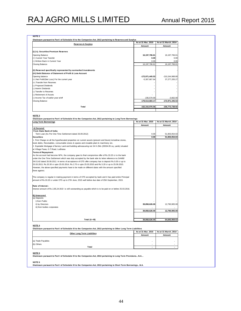| <b>Reserves &amp; Surplus</b>                                   | As at 31 Mar, 2015 | As at 31 March, 2014 |
|-----------------------------------------------------------------|--------------------|----------------------|
|                                                                 | Amount             | Amount               |
| (i) ('c). Securities Premium Reserves                           |                    |                      |
| Opening Balance                                                 | 16, 197, 706.61    | 16, 197, 706.61      |
| (+) Current Year Transfer                                       | 0.00               | 0.00                 |
| (-) Written Back in Current Year                                | 0.00               | 0.00                 |
| <b>Closing Balance</b>                                          | 16, 197, 706.61    | 16,197,706.61        |
|                                                                 |                    |                      |
| (ii) Reserved specifically represented by earmarked investments |                    |                      |
| (iii) Debit Balance of Statement of Profit & Loss Account       |                    |                      |
| Opening balance                                                 | -172.971.445.53    | -210.244.988.80      |
| (+) Net Profit/(Net Loss) For the current year                  | $-5,307,667.64$    | 37,277,205.27        |
| (+) Transfer from Reserves                                      |                    |                      |
| (-) Proposed Dividends                                          |                    |                      |
| (-) Interim Dividends                                           |                    |                      |
| (-) Transfer to Reserves                                        |                    |                      |
| (-) Retirement of Assets                                        |                    |                      |
| (-) Income Tax of earlier year w/off                            | $-235,570.00$      | $-3.662.00$          |
| <b>Closing Balance</b>                                          | $-178,514,683.17$  | -172,971,445.53      |
|                                                                 |                    |                      |
| Total                                                           | $-162,316,976.56$  | -156,773,738.92      |

#### **NOTE 3**

**Disclosure pursuant to Part I of Schedule III to the Companies Act, 2013 pertaining to Long-Term Borrowings**

| <b>Long Term Borrowings</b>                                                                                                                      | As at 31 Mar, 2015 | As at 31 March, 2014 |
|--------------------------------------------------------------------------------------------------------------------------------------------------|--------------------|----------------------|
|                                                                                                                                                  | Amount             | Amount               |
| A) Secured                                                                                                                                       |                    |                      |
| From State Bank of India                                                                                                                         |                    |                      |
| Term Loan (As Per One Time Settlement dated 26.09.2012)                                                                                          | 0.00               | 51,903,054.63        |
| <b>Securities:</b>                                                                                                                               | 0.00               | 51,903,054.63        |
| 1. First Charge on all the hypothecated properties viz current assets (present and future) includinve stores,                                    |                    |                      |
| book debts, Receivables, consumable stores & spares and movable plant & machinery etc.                                                           |                    |                      |
| 2. Equitable Mortgage of factory Land and building admeasuring net 34 K-2Ms (20034.05 sq. yards) situated<br>at Village Pawa, G.T.Road, Ludhiana |                    |                      |
| <b>Terms of Repayment:</b>                                                                                                                       |                    |                      |
| As the account had become NPA, the company gave its final compromise offer of Rs.33.20 cr to the bank                                            |                    |                      |
| under the One Time Settlement which was duly accepted by the bank vide its letter reference no.SAMB/                                             |                    |                      |
| SK/1142 dated 26.09.2012. In terms of acceptance of OTS offer company has to deposit Rs.5.00 cr up to                                            |                    |                      |
| 25.03.2013, Rs.20.30 cr upto 25.03.2014, Rs.2.70 cr upto 25.03.2015 and Rs.5.20 cr up to 25.09.2015.                                             |                    |                      |
| However, the above specified payments have to be made on different dates with the amount specified                                               |                    |                      |
| there against.                                                                                                                                   |                    |                      |
| The company is regular in making payment in terms of OTS accepted by bank and it has paid entire Principal                                       |                    |                      |
| amount of Rs.33.20 cr under OTS up to 27th June, 2015 well before due date of 25th September, 2015.                                              |                    |                      |
| Rate of Interest:                                                                                                                                |                    |                      |
| Interest amount of Rs.2,85,24,915/- is still outstanding as payable which is to be paid on or before 25.03.2016.                                 |                    |                      |
| <b>B) Unsecured</b>                                                                                                                              |                    |                      |
| (a) Deposits                                                                                                                                     |                    |                      |
| i) from Public                                                                                                                                   |                    |                      |
| ii) by Directors                                                                                                                                 | 39,858,626.00      | 12,790,905.00        |
| iii) from bodies corporates                                                                                                                      |                    |                      |
|                                                                                                                                                  | 39,858,626.00      | 12,790,905.00        |
|                                                                                                                                                  |                    |                      |
| Total $(A + B)$                                                                                                                                  | 39,858,626.00      | 64,693,959.63        |
|                                                                                                                                                  |                    |                      |

### **NOTE 4**

**Disclosure pursuant to Part I of Schedule III to the Companies Act, 2013 pertaining to Other Long Term Liabilities**

| <b>Other Long Term Liabilities</b> | As at 31 Mar, 2015 | As at 31 March, 2014 |
|------------------------------------|--------------------|----------------------|
|                                    | Amount             | Amount               |
|                                    |                    |                      |
| (a) Trade Payables                 |                    |                      |
| (b) Others                         |                    |                      |
| Total                              |                    |                      |

#### **NOTE 5**

**Disclosure pursuant to Part I of Schedule III to the Companies Act, 2013 pertaining to Long Term Provisions…N.A…**

**NOTE 6**

**Disclosure pursuant to Part I of Schedule III to the Companies Act, 2013 pertaining to Short Term Borrowings…N.A.**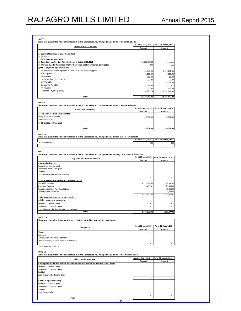| Other Current Liabilities*                                                  | As at 31 Mar, 2015 | As at 31 March, 2014 |
|-----------------------------------------------------------------------------|--------------------|----------------------|
|                                                                             | Amount             | Amount               |
| (a) Current Maturities of Long Term Debt:                                   |                    |                      |
| A) Secured                                                                  |                    |                      |
| From State Bank of India                                                    |                    |                      |
| (a) Term Ioan (As Per One Time Settlement dated 26.09.2012)                 | 51,903,054.63      | 27,000,000.00        |
| (b) Working Capital Term Ioan (As Per One Time Settlement dated 26.09.2012) | 0.00               | 0.00                 |
| (i) Other payables (specify nature)                                         |                    |                      |
| Advances from parties against C-Form/Sale of fixed assets/supplies          | 149,349.00         | 2,370,232.00         |
| <b>TDS Payable</b>                                                          | 4,100.00           | 5,389.00             |
| <b>ESI Payable</b>                                                          | 735.00             | 58.00                |
| Labour Welfare Fund Payable                                                 | 296.00             | 72.00                |
| VAT Payable                                                                 |                    | 873,214.00           |
| Service Tax Payable                                                         | 2,472.00           |                      |
| PF Payable                                                                  | 2,660.00           | 168.00               |
| Expenses Payable (Others)                                                   | 88,075.74          | 1,142,014.00         |
| Total                                                                       | 52, 150, 742.37    | 31,391,147.00        |

**Disclosure pursuant to Part I of Schedule III to the Companies Act, 2013 pertaining to Short Term Provisions**

| <b>Short Term Provisions</b>        | As at 31 Mar, 2015 | As at 31 March, 2014 |
|-------------------------------------|--------------------|----------------------|
|                                     | Amount             | Amount               |
| (a) Provision for employee benefits |                    |                      |
| Salary & Reimbursements             | 78.832.00          | 59,502.00            |
| Contribution to PF                  | -                  |                      |
| (b) Others (Specify nature)         |                    |                      |
|                                     |                    |                      |
| Total                               | 78.832.00          | 59.502.00            |

#### **NOTE 10**

| Disclosure pursuant to Part I of Schedule III to the Companies Act. 2013 pertaining to Non Current Investments |      |                                           |
|----------------------------------------------------------------------------------------------------------------|------|-------------------------------------------|
|                                                                                                                |      | As at 31 Mar. 2015   As at 31 March. 2014 |
| Other Investments                                                                                              | 0.00 | 0.00                                      |
|                                                                                                                |      |                                           |

#### **NOTE 11**

**Disclosure pursuant to Part I of Schedule III to the Companies Act, 2013 pertaining to Long Term Loans & Advances**

| <b>Long Term Loans and Advances</b>             | As at 31 Mar, 2015 | As at 31 March, 2014 |
|-------------------------------------------------|--------------------|----------------------|
|                                                 | Amount             | Amount               |
| a. Capital Advances                             |                    |                      |
| Secured, considered good                        |                    |                      |
| Unsecured, considered good                      |                    |                      |
| Doubtful                                        |                    |                      |
| Less: Allowance for doubtful advances           |                    |                      |
|                                                 | ۰                  |                      |
| b. Security Deposits( unsecure considered good) |                    |                      |
| <b>Electricity Security</b>                     | 1,319,391.00       | 1,319,391.00         |
| <b>Telephone Security</b>                       | 29,486.82          | 29,486.82            |
| Security with Sales Tax, Gandhidham             |                    | 40,000.00            |
| Security with Sohavi Gax                        |                    | 9,000.00             |
|                                                 | 1,348,877.82       | 1,397,877.82         |
| c. Loans and advances to related parties        |                    |                      |
| d. Other Loans and advances                     |                    |                      |
| Secured, considered good                        | ۰                  |                      |
| Unsecured, considered good                      | ۰                  |                      |
| Less: Allowance for doubtful loans and advances |                    |                      |
| Total                                           | 1,348,877.82       | 1,397,877.82         |

#### **NOTE 11 A**

| Disclosure pertaining to Loan & Advances by Directors/officers/other interested parties |                    |                      |
|-----------------------------------------------------------------------------------------|--------------------|----------------------|
| <b>Particulars</b>                                                                      | As at 31 Mar, 2015 | As at 31 March, 2014 |
|                                                                                         | Amount             | Amount               |
| Directors *                                                                             |                    |                      |
| Company *                                                                               |                    |                      |
| Firm in which director is a partner *                                                   |                    |                      |
| Private Company in which director is a member                                           |                    |                      |
|                                                                                         |                    |                      |

#### \*Either severally or jointly

**NOTE 12**

**Disclosure pursuant to Part I of Schedule III to the Companies Act, 2013 pertaining to Other Non Current Assets**

| <b>Other Non Current Asset</b>                                                        | As at 31 Mar, 2015       | As at 31 March, 2014 |
|---------------------------------------------------------------------------------------|--------------------------|----------------------|
|                                                                                       | Amount                   | Amount               |
| a. Long term trade receivables (including trade receivables on deferred credit terms) |                          |                      |
| Secured, considered good                                                              | ۰                        |                      |
| Unsecured, considered good                                                            | ۰                        |                      |
| Doubtful                                                                              | ۰                        |                      |
| Less: Provision for doubtful debts                                                    | $\overline{\phantom{a}}$ |                      |
|                                                                                       | ۰                        |                      |
| b. Others (specify nature)                                                            |                          |                      |
| Secured, considered good                                                              | ۰                        |                      |
| Unsecured, considered good                                                            | ۰                        |                      |
| Doubtful                                                                              |                          |                      |
| Less: Provision for                                                                   |                          |                      |
|                                                                                       |                          |                      |
| Total                                                                                 |                          |                      |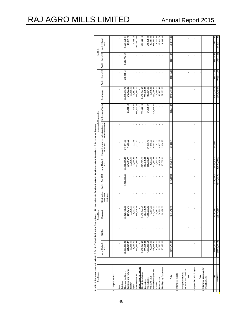| <b>Fixed Assets</b>                      |                        |           | Gross Block         |                                           |                   |                        |                                     |                                         | Accumulated Depreciation |                 |                   | Net Block         |                        |
|------------------------------------------|------------------------|-----------|---------------------|-------------------------------------------|-------------------|------------------------|-------------------------------------|-----------------------------------------|--------------------------|-----------------|-------------------|-------------------|------------------------|
|                                          | As at 31 March<br>2014 | Additions | (Disposals)         | Adjustment on<br>Account of<br>Forfeiture | As at 31 Mar 2015 | As at 31 March<br>2014 | Depreciation charge<br>for the year | Adjustment due to<br>revaluations/w/off | Retirement of Assets     | On disposals    | As at 31 Mar 2015 | As at 31 Mar 2015 | As at 31 March<br>2014 |
| <b>Tangible Assets</b><br>$\overline{a}$ |                        |           |                     |                                           |                   |                        |                                     |                                         |                          |                 |                   |                   |                        |
| Land                                     |                        |           |                     |                                           |                   |                        |                                     |                                         |                          |                 |                   |                   |                        |
| <b>Buildings</b>                         |                        |           |                     |                                           |                   |                        |                                     |                                         |                          |                 |                   |                   |                        |
| Plant and Machinery                      | 38,620,430.20          |           | 36,520,430.00       |                                           | 2,100,000.20      | 33,968,861.39          | 215,891.00                          |                                         |                          | 33, 671, 548.78 | 513,203.61        | 1,586,796.59      | 4,651,568.81           |
| Furniture and Fixtures                   | 861,134.47             |           | 861, 134.47         |                                           |                   | 771,714.77             | 9,355.05                            |                                         | 67,388.54                | 848,458.36      |                   |                   | 89,419.70              |
| Scooter                                  | 22,525.00              |           | 22,525.00           |                                           |                   | 22,525.00              |                                     |                                         |                          | 22,525.00       |                   |                   |                        |
| Cycle                                    | 5,032.70               |           | 5,032.70            |                                           |                   | 3,244.56               | 322.71                              |                                         | 313.07                   | 3,880.34        |                   |                   | 1,788.14               |
| Office equipment                         | 894,534.48             |           | 894, 534.48         |                                           |                   | 751,765.74             | 3,331.40                            |                                         | 127,077.86               | 882, 175.00     |                   |                   | 142,768.7400           |
| Others (specify nature)                  |                        |           | ï                   |                                           |                   |                        |                                     |                                         |                          |                 |                   |                   |                        |
| Electric Installation                    | 2,432,044.40           |           | 2,432,044.40        |                                           |                   | 1,825,395.22           |                                     |                                         | 606,649.18               | 2,432,044.40    |                   |                   | 606,649.18             |
| Computers                                | 606, 147.80            |           | 606, 147.80         |                                           |                   | 606, 147.80            |                                     |                                         |                          | 606,147.80      |                   |                   |                        |
| Weigh Bridge                             | 1,358,233.62           |           | 1,358,233.62        |                                           |                   | 665,370.29             | 29,670.48                           |                                         | 24,353.29                | 719,394.06      |                   |                   | 692, 863.33            |
| Weighing Scale                           | 42,594.00              |           | 42,594.00           |                                           |                   | 6,573.00               | 1,598.88                            |                                         |                          | 8,171.88        |                   |                   | 36,021.00              |
| Laboratory Equipments                    | 921,714.30             |           | 921,714.30          |                                           |                   | 427,817.38             | 30, 404.49                          |                                         | 204,859.95               | 663,081.82      |                   |                   | 493,896.92             |
| Camera                                   | 10,463.00              |           | 10,463.00           |                                           |                   | 1,752.00               | 787.00                              |                                         |                          | 2,539.00        |                   |                   | 8,711.00               |
| Referigerator                            | 36,720.00              |           | 36,720.00           |                                           |                   | 19,108.24              | 4,827.68                            |                                         |                          | 23,935.92       |                   |                   | 17,611.76              |
| Fire Fighting Equipments                 | 90,178.00              |           | 90, 178.00          |                                           |                   | 85,539.02              | 2,096.98                            |                                         |                          | 87,636.00       |                   |                   | 4,638.98               |
|                                          |                        |           |                     |                                           |                   |                        |                                     |                                         |                          |                 |                   |                   |                        |
| Total                                    | 45, 901, 751.97        |           | 751.77<br>43,801,   |                                           | 2,100,000.20      | 39,155,814.41          | 298,285.67                          |                                         | 1,030,641.89             | 39,971,538.36   | 513,203.61        | 1,586,796.59      | 6,745,937.56           |
|                                          |                        |           |                     |                                           |                   |                        |                                     |                                         |                          |                 |                   |                   |                        |
| Intangible Assets<br>م                   |                        |           |                     |                                           |                   |                        |                                     |                                         |                          |                 |                   |                   |                        |
| Computer software                        |                        |           |                     |                                           |                   |                        |                                     |                                         |                          |                 |                   |                   |                        |
| Licenses and franchise                   |                        |           |                     |                                           |                   |                        |                                     |                                         |                          |                 |                   |                   |                        |
| Total                                    |                        |           |                     |                                           |                   |                        |                                     |                                         |                          |                 |                   |                   |                        |
| Capital Work In Progress                 |                        |           |                     |                                           |                   |                        |                                     |                                         |                          |                 |                   |                   |                        |
| U                                        |                        |           |                     |                                           |                   |                        |                                     |                                         |                          |                 |                   |                   |                        |
| Total                                    |                        |           |                     |                                           |                   |                        |                                     |                                         |                          |                 |                   |                   |                        |
| d Intangible assets under<br>Development |                        |           |                     |                                           |                   |                        |                                     |                                         |                          |                 |                   |                   |                        |
|                                          |                        |           |                     |                                           |                   |                        |                                     |                                         |                          |                 |                   |                   |                        |
| Total                                    | 45, 901, 751.97        |           | 751.77<br>43,801,7  |                                           | 2,100,000.20      | 39,155,814.41          | 298,285.67                          |                                         |                          | 39,971,538.36   | 513,203.61        | 1,586,796.59      | 6,745,937.56           |
| Previous Yr                              | 281,070,975.41         |           | 223.44<br>235, 169, |                                           | 45, 901, 751.97   | 104, 191, 544.23       |                                     |                                         |                          | 65,035,729.84   | 39,155,814.39     | 6,745,937.82      | 176,879,431.18         |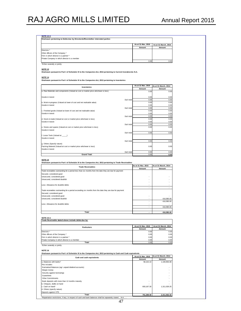**NOTE 12 A**

| Disclosure pertaining to Debts due by Directors/officers/other interested parties |                    |                      |  |
|-----------------------------------------------------------------------------------|--------------------|----------------------|--|
|                                                                                   | As at 31 Mar, 2015 | As at 31 March, 2014 |  |
|                                                                                   | Amount             | Amount               |  |
| Directors *                                                                       |                    |                      |  |
| Other officers of the Company *                                                   |                    |                      |  |
| Firm in which director is a partner *                                             |                    |                      |  |
| Private Company in which director is a member                                     |                    |                      |  |
|                                                                                   | 0.00               | 0.00                 |  |
| *Either severally or jointly                                                      |                    |                      |  |

#### **NOTE 13**

**Disclosure pursuant to Part I of Schedule III to the Companies Act, 2013 pertaining to Current Investments: N.A.**

#### **NOTE 14**

**Disclosure pursuant to Part I of Schedule III to the Companies Act, 2013 pertaining to Inventories**

| Inventories                                                                        |           | As at 31 Mar, 2015 | As at 31 March, 2014 |
|------------------------------------------------------------------------------------|-----------|--------------------|----------------------|
|                                                                                    |           | Amount             | Amount               |
| a. Raw Materials and components (Valued at cost or market price whichever is less) |           | 0.00               | 0.00                 |
| Goods-in transit                                                                   |           | 0.00               | 0.00                 |
|                                                                                    | Sub total | 0.00               | 0.00                 |
| b. Work-in-progress (Valued at lower of cost and net realisable value)             |           | 0.00               | 0.00                 |
| Goods-in transit                                                                   |           | 0.00               | 0.00                 |
|                                                                                    | Sub total | 0.00               | 0.00                 |
| c. Finished goods (Valued at lower of cost and net realisable value)               |           | 0.00               | 0.00                 |
| Goods-in transit                                                                   |           | 0.00               | 0.00                 |
|                                                                                    | Sub total | 0.00               | 0.00                 |
| d. Stock-in-trade (Valued at cost or market price whichever is less)               |           | 0.00               | 0.00                 |
| Goods-in transit                                                                   |           | 0.00               | 0.00                 |
|                                                                                    | Sub total | 0.00               | 0.00                 |
| e. Stores and spares (Valued at cost or market price whichever is less)            |           | 0.00               | 0.00                 |
| Goods-in transit                                                                   |           |                    |                      |
|                                                                                    | Sub total | 0.00               | 0.00                 |
| f. Loose Tools (Valued at )                                                        |           |                    |                      |
| Goods-in transit                                                                   |           |                    |                      |
|                                                                                    | Sub total | 0.00               | 0.00                 |
| g. Others (Specify nature)                                                         |           |                    |                      |
| Packing Material (Valued at cost or market price whichever is less)                |           | 0.00               | 0.00                 |
| Goods-in transit                                                                   |           |                    |                      |
|                                                                                    | Sub total | 0.00               | 0.00                 |
| <b>Grand Total</b>                                                                 |           | 0.00               | 0.00                 |

**NOTE 15 Disclosure pursuant to Part I of Schedule III to the Companies Act, 2013 pertaining to Trade Receivables**

| <b>Trade Receivables</b>                                                                               | As at 31 Mar, 2015       | As at 31 March, 2014 |  |
|--------------------------------------------------------------------------------------------------------|--------------------------|----------------------|--|
|                                                                                                        | Amount                   | Amount               |  |
| Trade receivables outstanding for a period less than six months from the date they are due for payment |                          |                      |  |
| Secured, considered good                                                                               |                          |                      |  |
| Unsecured, considered good                                                                             | ۰                        | ٠                    |  |
| Unsecured, considered doubtful                                                                         |                          |                      |  |
|                                                                                                        |                          | ۰                    |  |
| Less: Allowance for doubtful debts                                                                     | ۰                        | ٠                    |  |
|                                                                                                        | $\overline{\phantom{0}}$ |                      |  |
| Trade receivables outstanding for a period exceeding six months from the date they are due for payment |                          |                      |  |
| Secured, considered good                                                                               |                          |                      |  |
| Unsecured, considered good                                                                             |                          |                      |  |
| Unsecured, considered doubtful                                                                         |                          | 416,585.00           |  |
|                                                                                                        |                          | 416,585.00           |  |
| Less: Allowance for doubtful debts                                                                     |                          |                      |  |
|                                                                                                        |                          | 416,585.00           |  |
|                                                                                                        |                          |                      |  |
| Total                                                                                                  |                          | 416,585.00           |  |

#### **NOTE 15 A**

| Trade Receivable stated above include debts due by: |                    |                      |
|-----------------------------------------------------|--------------------|----------------------|
| <b>Particulars</b>                                  | As at 31 Mar, 2015 | As at 31 March, 2014 |
|                                                     | Amount             | Amount               |
| Directors *                                         | 0.00               | 0.00                 |
| Other officers of the Company *                     | 0.00               | 0.00                 |
| Firm in which director is a partner *               | 0.00               | 0.00                 |
| Private Company in which director is a member       | 0.00               | 0.00                 |
| Total                                               | 0.00               | 0.00                 |
| *Either severally or jointly                        |                    |                      |

**NOTE 16 Disclosure pursuant to Part I of Schedule III to the Companies Act, 2013 pertaining to Cash and Cash equivalents**

| Cash and cash equivalents                                                                              | As at 31 Mar. 2015 | As at 31 March, 2014 |  |
|--------------------------------------------------------------------------------------------------------|--------------------|----------------------|--|
|                                                                                                        | Amount             | Amount               |  |
| a. Balances with banks*                                                                                | 58, 102. 10        | 1,100,903.08         |  |
| This includes:                                                                                         |                    |                      |  |
| Earmarked Balances (eg/- unpaid dividend accounts)                                                     |                    | -                    |  |
| Margin money                                                                                           |                    | -                    |  |
| Security against borrowings                                                                            |                    | ٠                    |  |
| Guarantees                                                                                             |                    | ۰                    |  |
| Other Commitments                                                                                      |                    | -                    |  |
| Bank deposits with more than 12 months maturity                                                        |                    | -                    |  |
| b. Cheques, drafts on hand                                                                             |                    |                      |  |
| c. Cash on hand*                                                                                       | 693.187.30         | 1.311.029.25         |  |
| d. Others (specify nature)                                                                             |                    |                      |  |
| Deposits against OTS                                                                                   |                    |                      |  |
| Total                                                                                                  | 751,289.40         | 2,411,932.33         |  |
| *Repatriation restrictions, if any, in respect of cash and bank balances shall be separately statedN.A |                    |                      |  |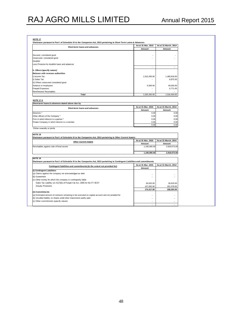| 0 | π<br>. . |  |
|---|----------|--|
|   |          |  |

|  |  | Disclosure pursuant to Part I of Schedule III to the Companies Act, 2013 pertaining to Short Term Loans & Advances |
|--|--|--------------------------------------------------------------------------------------------------------------------|

| Short-term loans and advances                   | As at 31 Mar, 2015 | As at 31 March, 2014 |  |
|-------------------------------------------------|--------------------|----------------------|--|
|                                                 | Amount             | Amount               |  |
|                                                 |                    |                      |  |
| Secured, considered good                        |                    | ۰.                   |  |
| Unsecured, considered good                      | ٠                  |                      |  |
| Doubtful                                        |                    |                      |  |
| Less: Provision for doubtful loans and advances |                    |                      |  |
|                                                 |                    |                      |  |
| b. Others (specify nature)                      |                    |                      |  |
| Balance with revenue authorities                |                    |                      |  |
| i) Income Tax                                   | 1,015,260.00       | 1,460,818.00         |  |
| ii) Sales Tax                                   |                    | 8,875.00             |  |
| iii) Others unsecured considered good           |                    |                      |  |
| Advance to employees                            | 5,000.00           | 40,000.00            |  |
| Prepaid Expenses                                |                    | 6.771.00             |  |
| Rent/Interest Receivables                       |                    |                      |  |
| Total                                           | 1,020,260.00       | 1,516,464.00         |  |

| NOTE 17 A                                       |                    |                      |  |  |  |
|-------------------------------------------------|--------------------|----------------------|--|--|--|
| Short-term loans & advances stated above due by |                    |                      |  |  |  |
| Short-term loans and advances                   | As at 31 Mar, 2015 | As at 31 March, 2014 |  |  |  |
|                                                 | Amount             |                      |  |  |  |
| Directors *                                     | 0.00               | 0.00                 |  |  |  |
| Other officers of the Company *                 | 0.00               | 0.00                 |  |  |  |
| Firm in which director is a partner *           | 0.00               | 0.00                 |  |  |  |
| Private Company in which director is a member   | 0.00               | 0.00                 |  |  |  |
|                                                 | 0.00               | 0.00                 |  |  |  |
| *Either severally or jointly                    |                    |                      |  |  |  |

| <b>NOTE 18</b>                                                                                                                |                    |                      |
|-------------------------------------------------------------------------------------------------------------------------------|--------------------|----------------------|
| Disclosure pursuant to Part I of Schedule III to the Companies Act, 2013 pertaining to Other Current Assets :                 |                    |                      |
| <b>Other Current Assets</b>                                                                                                   | As at 31 Mar. 2015 | As at 31 March, 2014 |
|                                                                                                                               | Amount             | Amount               |
| Receivables against sale of fixed assets                                                                                      | 1.100.000.00       | 2.918.073.00         |
|                                                                                                                               | 1.100.000.00       | 2,918,073.00         |
| NOTE 19                                                                                                                       |                    |                      |
| Disclosure pursuant to Part I of Schedule III to the Companies Act, 2013 pertaining to Contingent Liabilities and commitments |                    |                      |
| Contingent liabilities and commitments (to the extent not provided for)                                                       | As at 31 Mar. 2015 | As at 31 March, 2014 |
|                                                                                                                               | Amount             |                      |
| (i) Contingent Liabilities                                                                                                    |                    |                      |
| (a) Claims against the company not acknowledged as debt                                                                       |                    |                      |

|                                                                                                    | Amount     |            |
|----------------------------------------------------------------------------------------------------|------------|------------|
| (i) Contingent Liabilities                                                                         |            |            |
| (a) Claims against the company not acknowledged as debt                                            |            |            |
| (b) Guarantees                                                                                     | ۰          |            |
| (c) Other money for which the company is contingently liable                                       |            |            |
| Sales Tax Liability u/s 51(7)(b) of Punjab Vat Act, 2005 for the FY 06-07                          | 26.625.00  | 26.625.00  |
| <b>Grauity Provisions</b>                                                                          | 147.692.00 | 201.578.00 |
|                                                                                                    | 174.317.00 | 228.203.00 |
| (ii) Commitments                                                                                   |            |            |
| (a) Estimated amount of contracts remaining to be executed on capital account and not provided for | $\sim$     |            |
| (b) Uncalled liability on shares andd other investments partly paid                                | ۰          |            |
| (c) Other commitments (specify nature)                                                             | ۰          |            |
|                                                                                                    |            |            |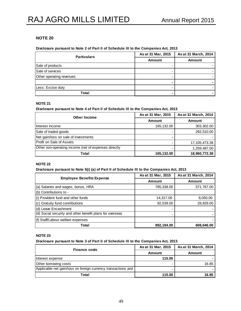#### **Disclosure pursuant to Note 2 of Part II of Schedule III to the Companies Act, 2013**

| <b>Particulars</b>       | As at 31 Mar, 2015 | As at 31 March, 2014 |
|--------------------------|--------------------|----------------------|
|                          | Amount             | Amount               |
| Sale of products         |                    |                      |
| Sale of services         |                    |                      |
| Other operating revenues |                    |                      |
|                          |                    |                      |
| Less: Excise duty        |                    |                      |
| Total                    |                    |                      |

#### **NOTE 21**

#### **Disclosure pursuant to Note 4 of Part II of Schedule III to the Companies Act, 2013**

| <b>Other Income</b>                                  | As at 31 Mar, 2015 | As at 31 March, 2014 |  |
|------------------------------------------------------|--------------------|----------------------|--|
|                                                      | <b>Amount</b>      | <b>Amount</b>        |  |
| Interest Income                                      | 165,132.00         | 303,302.00           |  |
| Sale of traded goods                                 |                    | 292,510.00           |  |
| Net gain/loss on sale of investments                 |                    |                      |  |
| <b>Profit on Sale of Assets</b>                      |                    | 17, 105, 473. 38     |  |
| Other non-operating income (net of expenses directly |                    | 1,259,487.00         |  |
| Total                                                | 165,132.00         | 18,960,772.38        |  |

#### **NOTE 22**

#### **Disclosure pursuant to Note 5(i) (a) of Part II of Schedule III to the Companies Act, 2013**

| <b>Employee Benefits Expense</b>                         | As at 31 Mar, 2015 | As at 31 March, 2014 |  |  |
|----------------------------------------------------------|--------------------|----------------------|--|--|
|                                                          | Amount             | <b>Amount</b>        |  |  |
| (a) Salaries and wages, bonus, HRA                       | 785,338.00         | 571,767.00           |  |  |
| (b) Contributions to -                                   |                    |                      |  |  |
| (i) Provident fund and other funds                       | 14,317.00          | 8,050.00             |  |  |
| (c) Gratuity fund contributions                          | 92,539.00          | 28,829.00            |  |  |
| (d) Leave Encashment                                     |                    |                      |  |  |
| (d) Social security and other benefit plans for overseas |                    |                      |  |  |
| (f) Staff/Labour welfare expenses                        |                    |                      |  |  |
| Total                                                    | 892,194.00         | 608,646.00           |  |  |

#### **NOTE 23**

#### **Disclosure pursuant to Note 3 of Part II of Schedule III to the Companies Act, 2013**

| <b>Finance costs</b>                                          | As at 31 Mar, 2015 | As at 31 March, 2014 |  |  |
|---------------------------------------------------------------|--------------------|----------------------|--|--|
|                                                               | Amount             | Amount               |  |  |
| Interest expense                                              | 115.00             |                      |  |  |
| Other borrowing costs                                         |                    | 16.85                |  |  |
| Applicable net gain/loss on foreign currency transactions and |                    |                      |  |  |
| Total                                                         | 115.00             | 16.85                |  |  |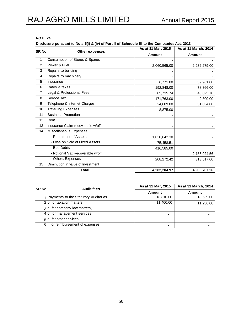#### **Disclosure pursuant to Note 5(i) & (iv) of Part II of Schedule III to the Companies Act, 2013**

| <b>SR No</b>   | Other expenses                    | As at 31 Mar, 2015 | As at 31 March, 2014 |  |
|----------------|-----------------------------------|--------------------|----------------------|--|
|                |                                   | <b>Amount</b>      | <b>Amount</b>        |  |
| 1              | Consumption of Stores & Spares    |                    |                      |  |
| $\overline{2}$ | Power & Fuel                      | 2,060,565.00       | 2,232,279.00         |  |
| 3              | Repairs to building               |                    |                      |  |
| 4              | Repairs to machinery              |                    |                      |  |
| $\sqrt{5}$     | Insurance                         | 6,771.00           | 39,961.00            |  |
| 6              | Rates & taxes                     | 192,848.00         | 78,366.00            |  |
| $\overline{7}$ | Legal & Professional Fees         | 85,735.74          | 48,825.70            |  |
| 8              | Service Tax                       | 171,763.00         | 2,800.00             |  |
| 9              | Telephone & Internet Charges      | 24,689.00          | 31,034.00            |  |
| 10             | <b>Travelling Expenses</b>        | 8,875.00           |                      |  |
| 11             | <b>Business Promotion</b>         |                    |                      |  |
| 12             | Rent                              |                    |                      |  |
| 13             | Insurance Claim recoverable w/off |                    |                      |  |
| 14             | Miscellaneous Expenses            |                    |                      |  |
|                | - Retirement of Assets            | 1,030,642.30       |                      |  |
|                | - Loss on Sale of Fixed Assets    | 75,458.51          |                      |  |
|                | - Bad Debts                       | 416,585.00         |                      |  |
|                | - Notional Vat Recoverable w/off  |                    | 2,158,924.56         |  |
|                | - Others Expenses                 | 208,272.42         | 313,517.00           |  |
| 15             | Diminution in value of Investment |                    |                      |  |
|                | Total                             | 4,282,204.97       | 4,905,707.26         |  |

| <b>SR No</b> | <b>Audit fees</b>                               | As at 31 Mar, 2015 | As at 31 March, 2014 |
|--------------|-------------------------------------------------|--------------------|----------------------|
|              |                                                 | <b>Amount</b>      | <b>Amount</b>        |
|              | Payments to the Statutory Auditor as            | 18,810.00          | 18,539.00            |
|              | $2 b.$ for taxation matters,                    | 11,400.00          | 11,236.00            |
|              | 3 c. for company law matters,                   |                    |                      |
|              | $4$ d. for management services,                 |                    |                      |
|              | 5 <sup>e</sup> . for other services,            |                    |                      |
|              | 6 <sup>f</sup> . for reimbursement of expenses; |                    |                      |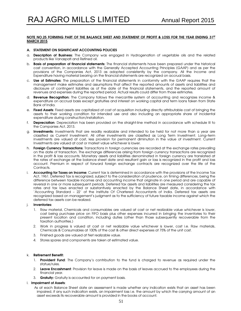#### NOTE NO.25 FORMING PART OF THE BALANCE SHEET AND STATEMENT OF PROFIT & LOSS FOR THE YEAR ENDING 31ST MARCH 2015

#### A. STATEMENT ON SIGNIFICANT ACCOUNTING POLICIES

- a. Description of Business: The Company was engaged in Hydrogenation of vegetable oils and the related products like Vanaspati and Refined oil.
- b. Basis of preparation of financial statements: The financial statements have been prepared under the historical cost convention, in accordance with the Generally Accepted Accounting Principles (GAAP) and as per the provisions of the Companies Act, 2013 as adopted consistently by the company. All the Income and Expenditure having material bearing on the financial statements are recognized on accrual basis.
- c. Use of Estimates: The preparation of the financial statements in conformity with the GAAP requires that the management make estimates and assumptions that affect the reported amounts of assets and liabilities and disclosure of contingent liabilities as of the date of the financial statements, and the reported amount of revenues and expenses during the reported period. Actual results could differ from those estimates.
- d. Revenue Recognition: The Company follows the mercantile system of accounting and recognizes income & expenditure on accrual basis except gratuities and interest on working capital and term loans taken from State Bank of India.
- e. Fixed Assets: Fixed assets are capitalized at cost of acquisition including directly attributable cost of bringing the assets to their working condition for intended use and also including an appropriate share of incidental expenditure during construction/installation.
- f. Depreciation: Depreciation has been provided on the straight-line method in accordance with schedule III to the Companies Act, 2013.
- Investments: Investments that are readily realizable and intended to be held for not more than a year are classified as Current Investment. All other investments are classified as Long Term Investment. Long–term investments are valued at cost, less provision for permanent diminution in the value of investment. Current Investments are valued at cost or market value whichever is lower.
- h. Foreign Currency Transactions: Transactions in foreign currencies are recorded at the exchange rates prevailing on the date of transaction. The exchange differences arising from foreign currency transactions are recognized in the profit & loss accounts. Monetary assets and liabilities denominated in foreign currency are translated at the rates of exchange at the balance sheet date and resultant gain or loss is recognized in the profit and loss account. Premium in respect of forward foreign exchange contracts are recognized over the life of the Contracts.
- i. Accounting for Taxes on Income: Current tax is determined in accordance with the provisions of the Income Tax Act, 1961. Deferred Tax is recognized, subject to the consideration of prudence, on timing differences, being the difference between taxable incomes and accounting income that originate in one period and are capable of reversal in one or more subsequent periods. Deferred tax assets and liabilities are measured considering the tax rates and tax laws enacted or substantively enacted by the Balance Sheet date, in accordance with 'Accounting Standard – 22' of the Institute Of Chartered Accountants of India. Deferred tax assets are recognized based on management's judgment as to the sufficiency of future taxable income against which the deferred tax assets can be realized.

#### j. Inventories:

- 1. Raw material, Chemicals and consumables are valued at cost or net realizable value whichever is lower, cost being purchase price on FIFO basis plus other expenses incurred in bringing the inventories to their present location and condition, including duties (other than those subsequently recoverable from the taxation authorities.)
- 2. Work in progress is valued at cost or net realizable value whichever is lower, cost i.e. Raw materials, Chemicals & Consumables at 100% of the cost & other direct expenses at 75% of the unit cost.
- 3. Finished goods are valued at Net realizable value.
- 4. Stores spares and components are taken at estimated value.

#### k. Retirement Benefit:

- 1. Provident Fund: The Company's contribution to the fund is charged to revenue as required under the statue/rules.
- 2. Leave Encashment: Provision for leave is made on the basis of leaves accrued to the employees during the financial year.
- 3. Gratuity: Gratuity is accounted for on payment basis.

#### l. Impairment of Assets:

 As at each Balance Sheet date an assessment is made whether any indication exists that an asset has been impaired, if any such indication exists, an impairment loss i.e. the amount by which the carrying amount of an asset exceeds its recoverable amount is provided in the books of account.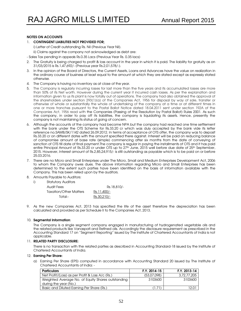#### NOTES ON ACCOUNTS

#### 1. CONTINGENT LIABILITIES NOT PROVIDED FOR;

i) Letter of Credit outstanding Rs. Nil (Previous Year Nil).

ii) Claims against the company not acknowledged as debt are:

- Sales Tax pending in appeals Rs.0.35 Lacs (Previous Year Rs. 0.35 lacs)

- 2. The Gratuity is being charged to profit & loss account in the year in which it is paid. The liability for gratuity as on 31/03/2015 is Rs.1,47,692/- (Previous year Rs.2,01,578/-).
- 3. In the opinion of the Board of Directors, the Current Assets, Loans and Advances have the value on realization in the ordinary course of business at least equal to the amount at which they are stated except as expressly stated otherwise.
- 4. The Company is having no inventory as at close of the year.
- 5. The Company is regularly incurring losses for last more than the five years and its accumulated losses are more than 50% of its Net worth. However during the current year it incurred cash losses. As per the explanation and information given to us its plant is now totally out of operations. The company had also obtained the approval of the shareholders under section 293(1)(a) of the Companies Act, 1956 for disposal by way of sale, transfer or otherwise of whole or substantially the whole of undertaking of the company at a time or at different times in one or more tranches pursuant to the Postal Ballot Notice dated 18.04.2011 sent under section 192A of the Companies Act, 1956 read with the Companies (Passing of the Resolution by Postal Ballot) Rules 2001. As such the company, in order to pay off its liabilities, the company is liquidating its assets. Hence, presently the company is not maintaining its status of going of concern.
- 6. Although the accounts of the company had become NPA but the company had reached one time settlement with the bank under the OTS Scheme for Rs.33.20 cr which was duly accepted by the bank vide its letter reference no.SAMB/SK/1142 dated 26.09.2012. In terms of acceptance of OTS offer, the company was to deposit Rs.33.20 cr on different dates with the amount specified there against. Interest will be paid on reducing balance of compromise amount at base rate (simple) commencing after six months from the date of conveying of sanction of OTS till date of final payment.The company is regular in paying the installments of OTS and it has paid entire Principal Amount of Rs.33.20 cr under OTS up to 27<sup>th</sup> June, 2015 well before due date of 25<sup>th</sup> September, 2015. However, Interest amount of Rs.2,85,24,915/- is still outstanding as payable which is to be paid on or before 25.03.2016.
- 7. There are no Micro and Small Enterprises under The Micro, Small and Medium Enterprises Development Act, 2006 to whom the Company owes dues. The above information regarding Micro and Small Enterprises has been determined to the extent such parties have been identified on the basis of information available with the Company. This has been relied upon by the auditors.
- 8. Amounts Payable to Auditors:
	- i) Statutory Auditors

| Audit Fees                    | Rs.18.810/-  |
|-------------------------------|--------------|
| <b>Taxation/Other Matters</b> | Rs. 11.400/- |
| Total:-                       | Rs.30,210/-  |

9. As the new Companies Act, 2013 has specified the life of the asset therefore the depreciation has been calculated and provided as per Schedule II to the Companies Act, 2013.

#### 10. Segmental Information:

The Company is a single segment company engaged in manufacturing of hydrogenated vegetable oils and the related products like Vanaspati and Refined oils. Accordingly the disclosure requirement as prescribed in the Accounting Standard 17 on "Segment Reporting" issued by The Institute of Chartered Accountants of India is not applicable.

#### 11. RELATED PARTY DISCLOSURE:

There is no transaction with the related parties as described in Accounting Standard-18 issued by the Institute of Chartered Accountants of India.

#### 12. Earning Per Share:

a) Earning Per Share (EPS) computed in accordance with Accounting Standard 20 issued by The Institute of Chartered Accountants of India: -

| <b>Particulars</b>                                | F.Y. 2014-15 | F.Y. 2013-14 |
|---------------------------------------------------|--------------|--------------|
| Net Profit/(Loss) as per Profit & Loss A/c (Rs.)  | (53,07,098)  | 3,72,77,205  |
| Weighted Average No. of Equity Shares outstanding | 3103600      | 3103600      |
| during the year (No.)                             |              |              |
| Basic and Diluted Earning Per Share (Rs.)         | (1.71        | 12.01        |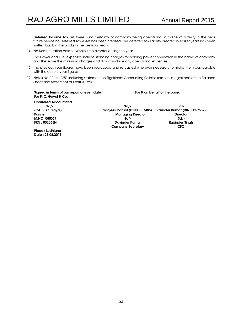- 13. Deferred Income Tax: As there is no certainty of company being operational in its line of activity in the near future hence no Deferred Tax Asset has been created. The deferred tax liability created in earlier years has been written back in the books in the previous years.
- 14. No Remuneration paid to Whole time director during the year.
- 15. The Power and Fuel expenses include standing charges for holding power connection in the name of company and these are the minimum charges and do not include any operational expenses.
- 16. The previous year figures have been regrouped and re-casted wherever necessary to make them comparable with the current year figures.
- 17. Notes No. "1" to "25" including statement on Significant Accounting Policies form an integral part of the Balance Sheet and Statement of Profit & Loss.

| Signed in terms of our report of even date<br>For P. C. Goyal & Co. | For & on behalf of the board |                              |  |  |
|---------------------------------------------------------------------|------------------------------|------------------------------|--|--|
| <b>Chartered Accountants</b>                                        |                              |                              |  |  |
| $Sd/-$                                                              | $Sd/-$                       | $Sd$ -                       |  |  |
| (CA. P. C. Goyal)                                                   | Sanjeev Bansal (DIN00057485) | Varinder Kumar (DIN00057532) |  |  |
| Partner                                                             | <b>Managing Director</b>     | <b>Director</b>              |  |  |
| M.NO. 080377                                                        | $Sd$ -                       | $Sd/-$                       |  |  |
| <b>FRN: 002368N</b>                                                 | Davinder Kumar               | <b>Rupinder Singh</b>        |  |  |
|                                                                     | <b>Company Secretary</b>     | <b>CFO</b>                   |  |  |
| Place: Ludhiana                                                     |                              |                              |  |  |
| Date: 28.08.2015                                                    |                              |                              |  |  |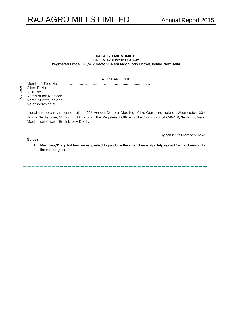#### RAJ AGRO MILLS LIMITED CIN:L15149DL1990PLC040532 Registered Office: C-8/419, Sector 8, Near Madhuban Chowk, Rohini, New Delhi

#### ATTENDANCE SLIP

I hereby record my presence at the 25<sup>th</sup> Annual General Meeting of the Company held on Wednesday, 30<sup>th</sup> day of September, 2015 at 10.00 a.m. at the Registered Office of the Company at C-8/419, Sector 8, Near Madhuban Chowk, Rohini, New Delhi .

> \_\_\_\_\_\_\_\_\_\_\_\_\_\_\_\_\_\_\_\_\_\_\_\_\_\_ Signature of Member/Proxy

> > $-$

Notes :

1. Members/Proxy holders are requested to produce the attendance slip duly signed for admission to the meeting hall.